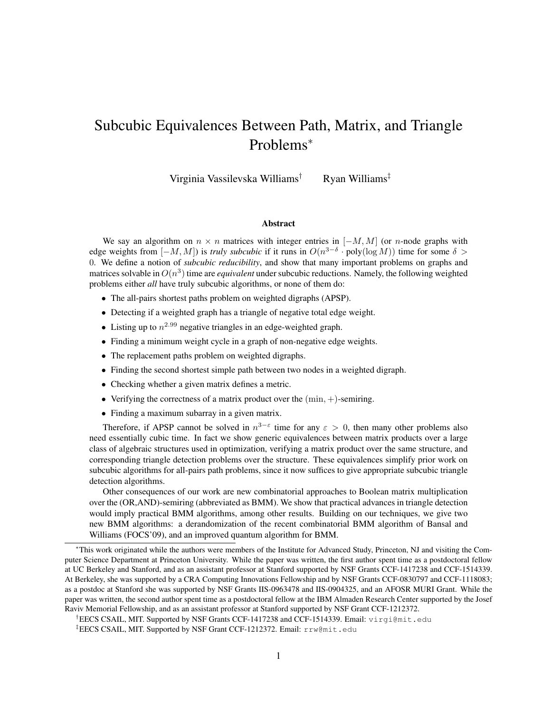# Subcubic Equivalences Between Path, Matrix, and Triangle Problems<sup>∗</sup>

Virginia Vassilevska Williams† Ryan Williams‡

#### Abstract

We say an algorithm on  $n \times n$  matrices with integer entries in  $[-M, M]$  (or n-node graphs with edge weights from  $[-M, M]$ ) is *truly subcubic* if it runs in  $O(n^{3-\delta} \cdot \text{poly}(\log M))$  time for some  $\delta >$ 0. We define a notion of *subcubic reducibility*, and show that many important problems on graphs and matrices solvable in  $O(n^3)$  time are *equivalent* under subcubic reductions. Namely, the following weighted problems either *all* have truly subcubic algorithms, or none of them do:

- The all-pairs shortest paths problem on weighted digraphs (APSP).
- Detecting if a weighted graph has a triangle of negative total edge weight.
- Listing up to  $n^{2.99}$  negative triangles in an edge-weighted graph.
- Finding a minimum weight cycle in a graph of non-negative edge weights.
- The replacement paths problem on weighted digraphs.
- Finding the second shortest simple path between two nodes in a weighted digraph.
- Checking whether a given matrix defines a metric.
- Verifying the correctness of a matrix product over the  $(\min, +)$ -semiring.
- Finding a maximum subarray in a given matrix.

Therefore, if APSP cannot be solved in  $n^{3-\epsilon}$  time for any  $\epsilon > 0$ , then many other problems also need essentially cubic time. In fact we show generic equivalences between matrix products over a large class of algebraic structures used in optimization, verifying a matrix product over the same structure, and corresponding triangle detection problems over the structure. These equivalences simplify prior work on subcubic algorithms for all-pairs path problems, since it now suffices to give appropriate subcubic triangle detection algorithms.

Other consequences of our work are new combinatorial approaches to Boolean matrix multiplication over the (OR,AND)-semiring (abbreviated as BMM). We show that practical advances in triangle detection would imply practical BMM algorithms, among other results. Building on our techniques, we give two new BMM algorithms: a derandomization of the recent combinatorial BMM algorithm of Bansal and Williams (FOCS'09), and an improved quantum algorithm for BMM.

<sup>∗</sup>This work originated while the authors were members of the Institute for Advanced Study, Princeton, NJ and visiting the Computer Science Department at Princeton University. While the paper was written, the first author spent time as a postdoctoral fellow at UC Berkeley and Stanford, and as an assistant professor at Stanford supported by NSF Grants CCF-1417238 and CCF-1514339. At Berkeley, she was supported by a CRA Computing Innovations Fellowship and by NSF Grants CCF-0830797 and CCF-1118083; as a postdoc at Stanford she was supported by NSF Grants IIS-0963478 and IIS-0904325, and an AFOSR MURI Grant. While the paper was written, the second author spent time as a postdoctoral fellow at the IBM Almaden Research Center supported by the Josef Raviv Memorial Fellowship, and as an assistant professor at Stanford supported by NSF Grant CCF-1212372.

<sup>†</sup>EECS CSAIL, MIT. Supported by NSF Grants CCF-1417238 and CCF-1514339. Email: virgi@mit.edu

<sup>‡</sup>EECS CSAIL, MIT. Supported by NSF Grant CCF-1212372. Email: rrw@mit.edu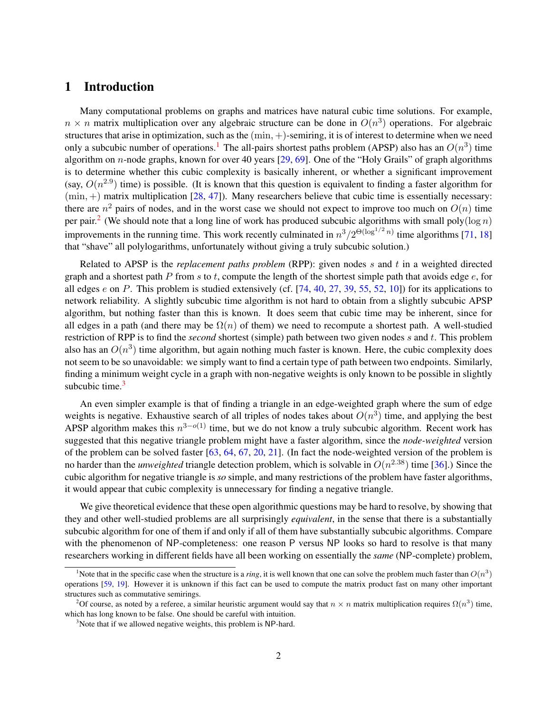# 1 Introduction

Many computational problems on graphs and matrices have natural cubic time solutions. For example,  $n \times n$  matrix multiplication over any algebraic structure can be done in  $O(n^3)$  operations. For algebraic structures that arise in optimization, such as the (min, +)-semiring, it is of interest to determine when we need only a subcubic number of operations.<sup>[1](#page-1-0)</sup> The all-pairs shortest paths problem (APSP) also has an  $O(n^3)$  time algorithm on  $n$ -node graphs, known for over 40 years  $[29, 69]$  $[29, 69]$  $[29, 69]$ . One of the "Holy Grails" of graph algorithms is to determine whether this cubic complexity is basically inherent, or whether a significant improvement (say,  $O(n^{2.9})$  time) is possible. (It is known that this question is equivalent to finding a faster algorithm for  $(\min, +)$  matrix multiplication [\[28,](#page-39-1) [47\]](#page-40-0)). Many researchers believe that cubic time is essentially necessary: there are  $n^2$  pairs of nodes, and in the worst case we should not expect to improve too much on  $O(n)$  time per pair.<sup>[2](#page-1-1)</sup> (We should note that a long line of work has produced subcubic algorithms with small poly( $\log n$ ) improvements in the running time. This work recently culminated in  $n^3/2^{\Theta(\log^{1/2} n)}$  time algorithms [\[71,](#page-41-1) [18\]](#page-39-2) that "shave" all polylogarithms, unfortunately without giving a truly subcubic solution.)

Related to APSP is the *replacement paths problem* (RPP): given nodes s and t in a weighted directed graph and a shortest path P from s to t, compute the length of the shortest simple path that avoids edge  $e$ , for all edges e on P. This problem is studied extensively (cf.  $[74, 40, 27, 39, 55, 52, 10]$  $[74, 40, 27, 39, 55, 52, 10]$  $[74, 40, 27, 39, 55, 52, 10]$  $[74, 40, 27, 39, 55, 52, 10]$  $[74, 40, 27, 39, 55, 52, 10]$  $[74, 40, 27, 39, 55, 52, 10]$  $[74, 40, 27, 39, 55, 52, 10]$  $[74, 40, 27, 39, 55, 52, 10]$  $[74, 40, 27, 39, 55, 52, 10]$  $[74, 40, 27, 39, 55, 52, 10]$  $[74, 40, 27, 39, 55, 52, 10]$  $[74, 40, 27, 39, 55, 52, 10]$  $[74, 40, 27, 39, 55, 52, 10]$ ) for its applications to network reliability. A slightly subcubic time algorithm is not hard to obtain from a slightly subcubic APSP algorithm, but nothing faster than this is known. It does seem that cubic time may be inherent, since for all edges in a path (and there may be  $\Omega(n)$  of them) we need to recompute a shortest path. A well-studied restriction of RPP is to find the *second* shortest (simple) path between two given nodes s and t. This problem also has an  $O(n^3)$  time algorithm, but again nothing much faster is known. Here, the cubic complexity does not seem to be so unavoidable: we simply want to find a certain type of path between two endpoints. Similarly, finding a minimum weight cycle in a graph with non-negative weights is only known to be possible in slightly subcubic time. $3$ 

An even simpler example is that of finding a triangle in an edge-weighted graph where the sum of edge weights is negative. Exhaustive search of all triples of nodes takes about  $O(n^3)$  time, and applying the best APSP algorithm makes this  $n^{3-o(1)}$  time, but we do not know a truly subcubic algorithm. Recent work has suggested that this negative triangle problem might have a faster algorithm, since the *node-weighted* version of the problem can be solved faster [\[63,](#page-41-3) [64,](#page-41-4) [67,](#page-41-5) [20,](#page-39-4) [21\]](#page-39-5). (In fact the node-weighted version of the problem is no harder than the *unweighted* triangle detection problem, which is solvable in  $O(n^{2.38})$  time [\[36\]](#page-39-6).) Since the cubic algorithm for negative triangle is *so* simple, and many restrictions of the problem have faster algorithms, it would appear that cubic complexity is unnecessary for finding a negative triangle.

We give theoretical evidence that these open algorithmic questions may be hard to resolve, by showing that they and other well-studied problems are all surprisingly *equivalent*, in the sense that there is a substantially subcubic algorithm for one of them if and only if all of them have substantially subcubic algorithms. Compare with the phenomenon of NP-completeness: one reason P versus NP looks so hard to resolve is that many researchers working in different fields have all been working on essentially the *same* (NP-complete) problem,

<span id="page-1-0"></span><sup>&</sup>lt;sup>1</sup>Note that in the specific case when the structure is a *ring*, it is well known that one can solve the problem much faster than  $O(n^3)$ operations [\[59,](#page-41-6) [19\]](#page-39-7). However it is unknown if this fact can be used to compute the matrix product fast on many other important structures such as commutative semirings.

<span id="page-1-1"></span><sup>&</sup>lt;sup>2</sup>Of course, as noted by a referee, a similar heuristic argument would say that  $n \times n$  matrix multiplication requires  $\Omega(n^3)$  time, which has long known to be false. One should be careful with intuition.

<span id="page-1-2"></span><sup>&</sup>lt;sup>3</sup>Note that if we allowed negative weights, this problem is NP-hard.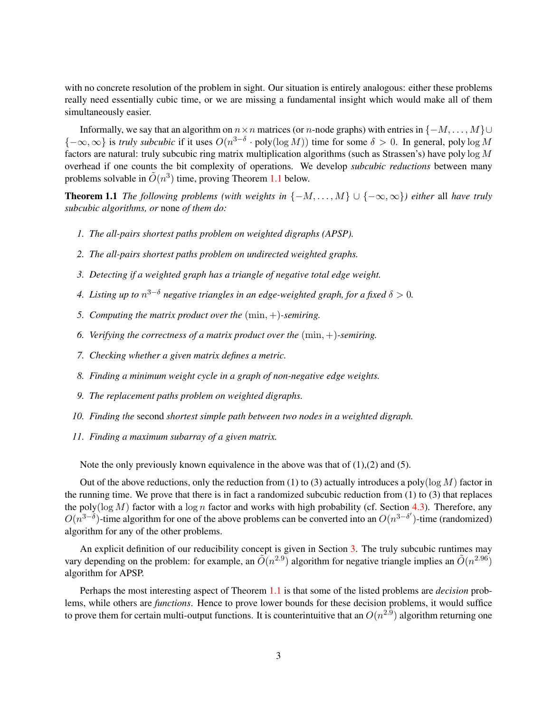with no concrete resolution of the problem in sight. Our situation is entirely analogous: either these problems really need essentially cubic time, or we are missing a fundamental insight which would make all of them simultaneously easier.

Informally, we say that an algorithm on  $n \times n$  matrices (or n-node graphs) with entries in  $\{-M, \ldots, M\} \cup$  ${-\infty,\infty}$  is *truly subcubic* if it uses  $O(n^{3-\delta} \cdot \text{poly}(\log M))$  time for some  $\delta > 0$ . In general, poly  $\log M$ factors are natural: truly subcubic ring matrix multiplication algorithms (such as Strassen's) have poly log M overhead if one counts the bit complexity of operations. We develop *subcubic reductions* between many problems solvable in  $\tilde{O}(n^3)$  time, proving Theorem [1.1](#page-2-0) below.

**Theorem 1.1** *The following problems (with weights in*  $\{-M, \ldots, M\} \cup \{-\infty, \infty\}$ ) *either* all *have truly subcubic algorithms, or* none *of them do:*

- *1. The all-pairs shortest paths problem on weighted digraphs (APSP).*
- *2. The all-pairs shortest paths problem on undirected weighted graphs.*
- *3. Detecting if a weighted graph has a triangle of negative total edge weight.*
- *4. Listing up to* n <sup>3</sup>−<sup>δ</sup> *negative triangles in an edge-weighted graph, for a fixed* δ > 0*.*
- *5. Computing the matrix product over the* (min, +)*-semiring.*
- *6. Verifying the correctness of a matrix product over the* (min, +)*-semiring.*
- *7. Checking whether a given matrix defines a metric.*
- *8. Finding a minimum weight cycle in a graph of non-negative edge weights.*
- *9. The replacement paths problem on weighted digraphs.*
- *10. Finding the* second *shortest simple path between two nodes in a weighted digraph.*
- <span id="page-2-0"></span>*11. Finding a maximum subarray of a given matrix.*

Note the only previously known equivalence in the above was that of (1),(2) and (5).

Out of the above reductions, only the reduction from (1) to (3) actually introduces a poly( $\log M$ ) factor in the running time. We prove that there is in fact a randomized subcubic reduction from  $(1)$  to  $(3)$  that replaces the poly( $\log M$ ) factor with a  $\log n$  factor and works with high probability (cf. Section [4.3\)](#page-20-0). Therefore, any  $O(n^{3-\delta})$ -time algorithm for one of the above problems can be converted into an  $O(n^{3-\delta'})$ -time (randomized) algorithm for any of the other problems.

An explicit definition of our reducibility concept is given in Section [3.](#page-9-0) The truly subcubic runtimes may vary depending on the problem: for example, an  $\tilde{O}(n^{2.9})$  algorithm for negative triangle implies an  $\tilde{O}(n^{2.96})$ algorithm for APSP.

Perhaps the most interesting aspect of Theorem [1.1](#page-2-0) is that some of the listed problems are *decision* problems, while others are *functions*. Hence to prove lower bounds for these decision problems, it would suffice to prove them for certain multi-output functions. It is counterintuitive that an  $O(n^{2.9})$  algorithm returning one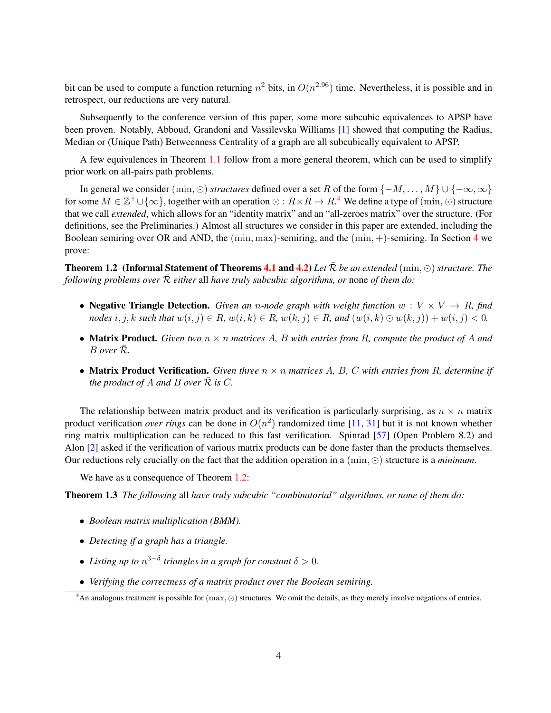bit can be used to compute a function returning  $n^2$  bits, in  $O(n^{2.96})$  time. Nevertheless, it is possible and in retrospect, our reductions are very natural.

Subsequently to the conference version of this paper, some more subcubic equivalences to APSP have been proven. Notably, Abboud, Grandoni and Vassilevska Williams [\[1\]](#page-38-1) showed that computing the Radius, Median or (Unique Path) Betweenness Centrality of a graph are all subcubically equivalent to APSP.

A few equivalences in Theorem [1.1](#page-2-0) follow from a more general theorem, which can be used to simplify prior work on all-pairs path problems.

In general we consider (min,  $\odot$ ) *structures* defined over a set R of the form { $-M, \ldots, M$ } ∪ { $-\infty, \infty$ } for some  $M \in \mathbb{Z}^+ \cup \{\infty\}$ , together with an operation  $\odot: R \times R \to R^4$  $\odot: R \times R \to R^4$  We define a type of  $(\min, \odot)$  structure that we call *extended*, which allows for an "identity matrix" and an "all-zeroes matrix" over the structure. (For definitions, see the Preliminaries.) Almost all structures we consider in this paper are extended, including the Boolean semiring over OR and AND, the  $(\min, \max)$ -semiring, and the  $(\min, +)$ -semiring. In Section [4](#page-13-0) we prove:

<span id="page-3-1"></span>**Theorem 1.2** (Informal Statement of Theorems [4.1](#page-14-0) and [4.2\)](#page-14-1) Let  $\bar{\mathcal{R}}$  be an extended (min,  $\odot$ ) *structure. The following problems over*  $\overline{\mathcal{R}}$  *either* all *have truly subcubic algorithms, or* none *of them do:* 

- **Negative Triangle Detection.** *Given an n-node graph with weight function*  $w : V \times V \rightarrow R$ *, find nodes* i, j, k such that  $w(i, j) \in R$ ,  $w(i, k) \in R$ ,  $w(k, j) \in R$ , and  $(w(i, k) \odot w(k, j)) + w(i, j) < 0$ .
- Matrix Product. *Given two* n × n *matrices* A*,* B *with entries from* R*, compute the product of* A *and* B *over* R¯*.*
- Matrix Product Verification. *Given three* n × n *matrices* A*,* B*,* C *with entries from* R*, determine if the product of A and B over*  $\mathcal R$  *is*  $C$ *.*

The relationship between matrix product and its verification is particularly surprising, as  $n \times n$  matrix product verification *over rings* can be done in  $O(n^2)$  randomized time [\[11,](#page-38-2) [31\]](#page-39-8) but it is not known whether ring matrix multiplication can be reduced to this fast verification. Spinrad [\[57\]](#page-41-7) (Open Problem 8.2) and Alon [\[2\]](#page-38-3) asked if the verification of various matrix products can be done faster than the products themselves. Our reductions rely crucially on the fact that the addition operation in a  $(\min, \odot)$  structure is a *minimum*.

<span id="page-3-2"></span>We have as a consequence of Theorem [1.2:](#page-3-1)

Theorem 1.3 *The following* all *have truly subcubic "combinatorial" algorithms, or none of them do:*

- *Boolean matrix multiplication (BMM).*
- *Detecting if a graph has a triangle.*
- Listing up to  $n^{3-\delta}$  triangles in a graph for constant  $\delta > 0$ .
- *Verifying the correctness of a matrix product over the Boolean semiring.*

<span id="page-3-0"></span><sup>&</sup>lt;sup>4</sup>An analogous treatment is possible for  $(\max, \odot)$  structures. We omit the details, as they merely involve negations of entries.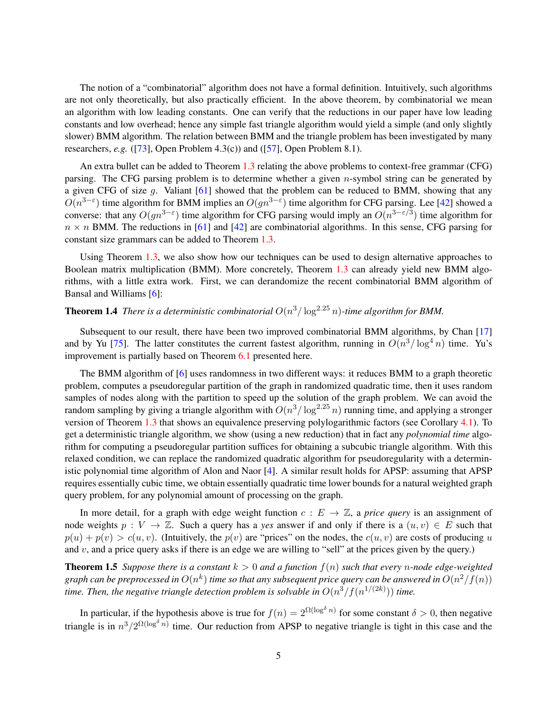The notion of a "combinatorial" algorithm does not have a formal definition. Intuitively, such algorithms are not only theoretically, but also practically efficient. In the above theorem, by combinatorial we mean an algorithm with low leading constants. One can verify that the reductions in our paper have low leading constants and low overhead; hence any simple fast triangle algorithm would yield a simple (and only slightly slower) BMM algorithm. The relation between BMM and the triangle problem has been investigated by many researchers, *e.g.* ([\[73\]](#page-42-1), Open Problem 4.3(c)) and ([\[57\]](#page-41-7), Open Problem 8.1).

An extra bullet can be added to Theorem [1.3](#page-3-2) relating the above problems to context-free grammar (CFG) parsing. The CFG parsing problem is to determine whether a given  $n$ -symbol string can be generated by a given CFG of size  $g$ . Valiant [\[61\]](#page-41-8) showed that the problem can be reduced to BMM, showing that any  $O(n^{3-\epsilon})$  time algorithm for BMM implies an  $O(gn^{3-\epsilon})$  time algorithm for CFG parsing. Lee [\[42\]](#page-40-4) showed a converse: that any  $O(gn^{3-\epsilon})$  time algorithm for CFG parsing would imply an  $O(n^{3-\epsilon/3})$  time algorithm for  $n \times n$  BMM. The reductions in [\[61\]](#page-41-8) and [\[42\]](#page-40-4) are combinatorial algorithms. In this sense, CFG parsing for constant size grammars can be added to Theorem [1.3.](#page-3-2)

Using Theorem [1.3,](#page-3-2) we also show how our techniques can be used to design alternative approaches to Boolean matrix multiplication (BMM). More concretely, Theorem [1.3](#page-3-2) can already yield new BMM algorithms, with a little extra work. First, we can derandomize the recent combinatorial BMM algorithm of Bansal and Williams [\[6\]](#page-38-4):

# <span id="page-4-0"></span>**Theorem 1.4** There is a deterministic combinatorial  $O(n^3/\log^{2.25} n)$ -time algorithm for BMM.

Subsequent to our result, there have been two improved combinatorial BMM algorithms, by Chan [\[17\]](#page-38-5) and by Yu [\[75\]](#page-42-2). The latter constitutes the current fastest algorithm, running in  $O(n^3/\log^4 n)$  time. Yu's improvement is partially based on Theorem [6.1](#page-29-0) presented here.

The BMM algorithm of [\[6\]](#page-38-4) uses randomness in two different ways: it reduces BMM to a graph theoretic problem, computes a pseudoregular partition of the graph in randomized quadratic time, then it uses random samples of nodes along with the partition to speed up the solution of the graph problem. We can avoid the random sampling by giving a triangle algorithm with  $O(n^3/\log^{2.25} n)$  running time, and applying a stronger version of Theorem [1.3](#page-3-2) that shows an equivalence preserving polylogarithmic factors (see Corollary [4.1\)](#page-18-0). To get a deterministic triangle algorithm, we show (using a new reduction) that in fact any *polynomial time* algorithm for computing a pseudoregular partition suffices for obtaining a subcubic triangle algorithm. With this relaxed condition, we can replace the randomized quadratic algorithm for pseudoregularity with a deterministic polynomial time algorithm of Alon and Naor [\[4\]](#page-38-6). A similar result holds for APSP: assuming that APSP requires essentially cubic time, we obtain essentially quadratic time lower bounds for a natural weighted graph query problem, for any polynomial amount of processing on the graph.

In more detail, for a graph with edge weight function  $c : E \to \mathbb{Z}$ , a *price query* is an assignment of node weights  $p : V \to \mathbb{Z}$ . Such a query has a *yes* answer if and only if there is a  $(u, v) \in E$  such that  $p(u) + p(v) > c(u, v)$ . (Intuitively, the  $p(v)$  are "prices" on the nodes, the  $c(u, v)$  are costs of producing u and  $v$ , and a price query asks if there is an edge we are willing to "sell" at the prices given by the query.)

<span id="page-4-1"></span>**Theorem 1.5** *Suppose there is a constant*  $k > 0$  *and a function*  $f(n)$  *such that every n-node edge-weighted* graph can be preprocessed in  $O(n^k)$  time so that any subsequent price query can be answered in  $O(n^2/f(n))$ time. Then, the negative triangle detection problem is solvable in  $O(n^3/f(n^{1/(2k)}))$  time.

In particular, if the hypothesis above is true for  $f(n) = 2^{\Omega(\log^{\delta} n)}$  for some constant  $\delta > 0$ , then negative triangle is in  $n^3/2^{\Omega(\log^\delta n)}$  time. Our reduction from APSP to negative triangle is tight in this case and the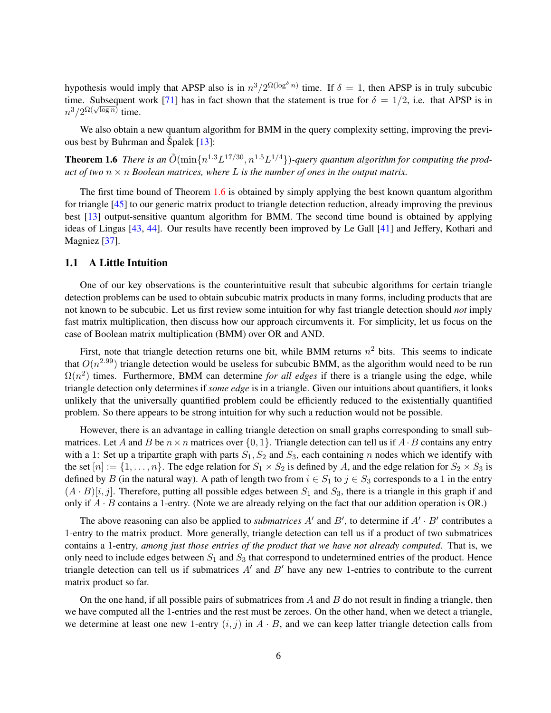hypothesis would imply that APSP also is in  $n^3/2^{\Omega(\log^\delta n)}$  time. If  $\delta = 1$ , then APSP is in truly subcubic time. Subsequent work [\[71\]](#page-41-1) has in fact shown that the statement is true for  $\delta = 1/2$ , i.e. that APSP is in  $n^3/2^{\Omega(\sqrt{\log n})}$  time.

We also obtain a new quantum algorithm for BMM in the query complexity setting, improving the previous best by Buhrman and Špalek  $[13]$  $[13]$ :

<span id="page-5-0"></span>**Theorem 1.6** There is an  $\tilde{O}(\min\{n^{1.3}L^{17/30}, n^{1.5}L^{1/4}\})$ -query quantum algorithm for computing the prod*uct of two*  $n \times n$  *Boolean matrices, where* L *is the number of ones in the output matrix.* 

The first time bound of Theorem [1.6](#page-5-0) is obtained by simply applying the best known quantum algorithm for triangle [\[45\]](#page-40-5) to our generic matrix product to triangle detection reduction, already improving the previous best [\[13\]](#page-38-7) output-sensitive quantum algorithm for BMM. The second time bound is obtained by applying ideas of Lingas [\[43,](#page-40-6) [44\]](#page-40-7). Our results have recently been improved by Le Gall [\[41\]](#page-40-8) and Jeffery, Kothari and Magniez [\[37\]](#page-40-9).

#### 1.1 A Little Intuition

One of our key observations is the counterintuitive result that subcubic algorithms for certain triangle detection problems can be used to obtain subcubic matrix products in many forms, including products that are not known to be subcubic. Let us first review some intuition for why fast triangle detection should *not* imply fast matrix multiplication, then discuss how our approach circumvents it. For simplicity, let us focus on the case of Boolean matrix multiplication (BMM) over OR and AND.

First, note that triangle detection returns one bit, while BMM returns  $n^2$  bits. This seems to indicate that  $O(n^{2.99})$  triangle detection would be useless for subcubic BMM, as the algorithm would need to be run  $\Omega(n^2)$  times. Furthermore, BMM can determine *for all edges* if there is a triangle using the edge, while triangle detection only determines if *some edge* is in a triangle. Given our intuitions about quantifiers, it looks unlikely that the universally quantified problem could be efficiently reduced to the existentially quantified problem. So there appears to be strong intuition for why such a reduction would not be possible.

However, there is an advantage in calling triangle detection on small graphs corresponding to small submatrices. Let A and B be  $n \times n$  matrices over  $\{0, 1\}$ . Triangle detection can tell us if A  $\cdot$  B contains any entry with a 1: Set up a tripartite graph with parts  $S_1, S_2$  and  $S_3$ , each containing n nodes which we identify with the set  $[n] := \{1, \ldots, n\}$ . The edge relation for  $S_1 \times S_2$  is defined by A, and the edge relation for  $S_2 \times S_3$  is defined by B (in the natural way). A path of length two from  $i \in S_1$  to  $j \in S_3$  corresponds to a 1 in the entry  $(A \cdot B)[i, j]$ . Therefore, putting all possible edges between  $S_1$  and  $S_3$ , there is a triangle in this graph if and only if  $A \cdot B$  contains a 1-entry. (Note we are already relying on the fact that our addition operation is OR.)

The above reasoning can also be applied to *submatrices*  $A'$  and  $B'$ , to determine if  $A' \cdot B'$  contributes a 1-entry to the matrix product. More generally, triangle detection can tell us if a product of two submatrices contains a 1-entry, *among just those entries of the product that we have not already computed*. That is, we only need to include edges between  $S_1$  and  $S_3$  that correspond to undetermined entries of the product. Hence triangle detection can tell us if submatrices  $A'$  and  $B'$  have any new 1-entries to contribute to the current matrix product so far.

On the one hand, if all possible pairs of submatrices from  $A$  and  $B$  do not result in finding a triangle, then we have computed all the 1-entries and the rest must be zeroes. On the other hand, when we detect a triangle, we determine at least one new 1-entry  $(i, j)$  in  $A \cdot B$ , and we can keep latter triangle detection calls from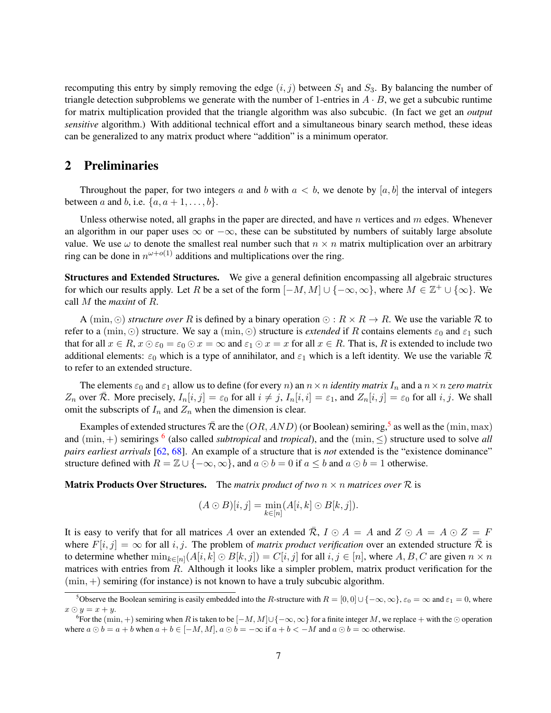recomputing this entry by simply removing the edge  $(i, j)$  between  $S_1$  and  $S_3$ . By balancing the number of triangle detection subproblems we generate with the number of 1-entries in  $A \cdot B$ , we get a subcubic runtime for matrix multiplication provided that the triangle algorithm was also subcubic. (In fact we get an *output sensitive* algorithm.) With additional technical effort and a simultaneous binary search method, these ideas can be generalized to any matrix product where "addition" is a minimum operator.

# 2 Preliminaries

Throughout the paper, for two integers a and b with  $a < b$ , we denote by  $[a, b]$  the interval of integers between a and b, i.e.  $\{a, a+1, \ldots, b\}$ .

Unless otherwise noted, all graphs in the paper are directed, and have  $n$  vertices and  $m$  edges. Whenever an algorithm in our paper uses  $\infty$  or  $-\infty$ , these can be substituted by numbers of suitably large absolute value. We use  $\omega$  to denote the smallest real number such that  $n \times n$  matrix multiplication over an arbitrary ring can be done in  $n^{\omega+o(1)}$  additions and multiplications over the ring.

Structures and Extended Structures. We give a general definition encompassing all algebraic structures for which our results apply. Let R be a set of the form  $[-M, M] \cup \{-\infty, \infty\}$ , where  $M \in \mathbb{Z}^+ \cup \{\infty\}$ . We call M the *maxint* of R.

A (min,  $\odot$ ) *structure over* R is defined by a binary operation  $\odot$  :  $R \times R \rightarrow R$ . We use the variable R to refer to a (min,  $\odot$ ) structure. We say a (min,  $\odot$ ) structure is *extended* if R contains elements  $\varepsilon_0$  and  $\varepsilon_1$  such that for all  $x \in R$ ,  $x \odot \varepsilon_0 = \varepsilon_0 \odot x = \infty$  and  $\varepsilon_1 \odot x = x$  for all  $x \in R$ . That is, R is extended to include two additional elements:  $\varepsilon_0$  which is a type of annihilator, and  $\varepsilon_1$  which is a left identity. We use the variable  $\bar{\mathcal{R}}$ to refer to an extended structure.

The elements  $\varepsilon_0$  and  $\varepsilon_1$  allow us to define (for every *n*) an  $n \times n$  *identity matrix*  $I_n$  and a  $n \times n$  *zero matrix*  $Z_n$  over  $\overline{\mathcal{R}}$ . More precisely,  $I_n[i, j] = \varepsilon_0$  for all  $i \neq j$ ,  $I_n[i, i] = \varepsilon_1$ , and  $Z_n[i, j] = \varepsilon_0$  for all i, j. We shall omit the subscripts of  $I_n$  and  $Z_n$  when the dimension is clear.

Examples of extended structures  $\bar{\mathcal{R}}$  are the  $(OR, AND)$  (or Boolean) semiring,<sup>[5](#page-6-0)</sup> as well as the  $(\min, \max)$ and  $(\min, +)$  semirings <sup>[6](#page-6-1)</sup> (also called *subtropical* and *tropical*), and the  $(\min, \le)$  structure used to solve *all pairs earliest arrivals* [\[62,](#page-41-9) [68\]](#page-41-10). An example of a structure that is *not* extended is the "existence dominance" structure defined with  $R = \mathbb{Z} \cup \{-\infty, \infty\}$ , and  $a \odot b = 0$  if  $a \leq b$  and  $a \odot b = 1$  otherwise.

**Matrix Products Over Structures.** The *matrix product of two*  $n \times n$  *matrices over*  $\mathcal{R}$  is

$$
(A \odot B)[i,j] = \min_{k \in [n]} (A[i,k] \odot B[k,j]).
$$

It is easy to verify that for all matrices A over an extended  $\overline{R}$ ,  $I \odot A = A$  and  $Z \odot A = A \odot Z = F$ where  $F[i, j] = \infty$  for all i, j. The problem of *matrix product verification* over an extended structure  $\overline{R}$  is to determine whether  $\min_{k \in [n]} (A[i, k] \odot B[k, j]) = C[i, j]$  for all  $i, j \in [n]$ , where  $A, B, C$  are given  $n \times n$ matrices with entries from R. Although it looks like a simpler problem, matrix product verification for the  $(\min, +)$  semiring (for instance) is not known to have a truly subcubic algorithm.

<span id="page-6-0"></span><sup>&</sup>lt;sup>5</sup>Observe the Boolean semiring is easily embedded into the R-structure with  $R = [0, 0] \cup \{-\infty, \infty\}$ ,  $\varepsilon_0 = \infty$  and  $\varepsilon_1 = 0$ , where  $x \odot y = x + y.$ 

<span id="page-6-1"></span><sup>&</sup>lt;sup>6</sup>For the (min, +) semiring when R is taken to be  $[-M, M] \cup \{-\infty, \infty\}$  for a finite integer M, we replace + with the ⊙ operation where  $a \odot b = a + b$  when  $a + b \in [-M, M]$ ,  $a \odot b = -\infty$  if  $a + b < -M$  and  $a \odot b = \infty$  otherwise.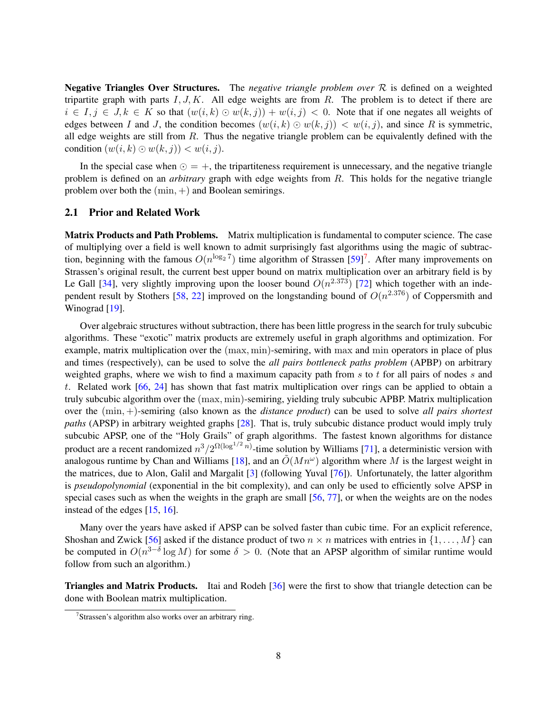Negative Triangles Over Structures. The *negative triangle problem over* R is defined on a weighted tripartite graph with parts  $I, J, K$ . All edge weights are from R. The problem is to detect if there are  $i \in I, j \in J, k \in K$  so that  $(w(i,k) \odot w(k,j)) + w(i,j) < 0$ . Note that if one negates all weights of edges between I and J, the condition becomes  $(w(i, k) \odot w(k, j)) < w(i, j)$ , and since R is symmetric, all edge weights are still from  $R$ . Thus the negative triangle problem can be equivalently defined with the condition  $(w(i, k) \odot w(k, j)) < w(i, j)$ .

In the special case when  $\odot = +$ , the tripartiteness requirement is unnecessary, and the negative triangle problem is defined on an *arbitrary* graph with edge weights from R. This holds for the negative triangle problem over both the  $(min, +)$  and Boolean semirings.

#### <span id="page-7-1"></span>2.1 Prior and Related Work

Matrix Products and Path Problems. Matrix multiplication is fundamental to computer science. The case of multiplying over a field is well known to admit surprisingly fast algorithms using the magic of subtraction, beginning with the famous  $O(n^{\log_2 7})$  $O(n^{\log_2 7})$  $O(n^{\log_2 7})$  time algorithm of Strassen [\[59\]](#page-41-6)<sup>7</sup>. After many improvements on Strassen's original result, the current best upper bound on matrix multiplication over an arbitrary field is by Le Gall [\[34\]](#page-39-9), very slightly improving upon the looser bound  $O(n^{2.373})$  [\[72\]](#page-41-11) which together with an inde-pendent result by Stothers [\[58,](#page-41-12) [22\]](#page-39-10) improved on the longstanding bound of  $O(n^{2.376})$  of Coppersmith and Winograd [\[19\]](#page-39-7).

Over algebraic structures without subtraction, there has been little progress in the search for truly subcubic algorithms. These "exotic" matrix products are extremely useful in graph algorithms and optimization. For example, matrix multiplication over the (max, min)-semiring, with max and min operators in place of plus and times (respectively), can be used to solve the *all pairs bottleneck paths problem* (APBP) on arbitrary weighted graphs, where we wish to find a maximum capacity path from  $s$  to  $t$  for all pairs of nodes  $s$  and t. Related work [\[66,](#page-41-13) [24\]](#page-39-11) has shown that fast matrix multiplication over rings can be applied to obtain a truly subcubic algorithm over the (max, min)-semiring, yielding truly subcubic APBP. Matrix multiplication over the (min, +)-semiring (also known as the *distance product*) can be used to solve *all pairs shortest paths* (APSP) in arbitrary weighted graphs [\[28\]](#page-39-1). That is, truly subcubic distance product would imply truly subcubic APSP, one of the "Holy Grails" of graph algorithms. The fastest known algorithms for distance product are a recent randomized  $n^3/2^{\Omega(\log^{1/2} n)}$ -time solution by Williams [\[71\]](#page-41-1), a deterministic version with analogous runtime by Chan and Williams [\[18\]](#page-39-2), and an  $\tilde{O}(Mn^{\omega})$  algorithm where M is the largest weight in the matrices, due to Alon, Galil and Margalit [\[3\]](#page-38-8) (following Yuval [\[76\]](#page-42-3)). Unfortunately, the latter algorithm is *pseudopolynomial* (exponential in the bit complexity), and can only be used to efficiently solve APSP in special cases such as when the weights in the graph are small [\[56,](#page-41-14) [77\]](#page-42-4), or when the weights are on the nodes instead of the edges [\[15,](#page-38-9) [16\]](#page-38-10).

Many over the years have asked if APSP can be solved faster than cubic time. For an explicit reference, Shoshan and Zwick [\[56\]](#page-41-14) asked if the distance product of two  $n \times n$  matrices with entries in  $\{1, \ldots, M\}$  can be computed in  $O(n^{3-\delta}\log M)$  for some  $\delta > 0$ . (Note that an APSP algorithm of similar runtime would follow from such an algorithm.)

Triangles and Matrix Products. Itai and Rodeh [\[36\]](#page-39-6) were the first to show that triangle detection can be done with Boolean matrix multiplication.

<span id="page-7-0"></span><sup>7</sup> Strassen's algorithm also works over an arbitrary ring.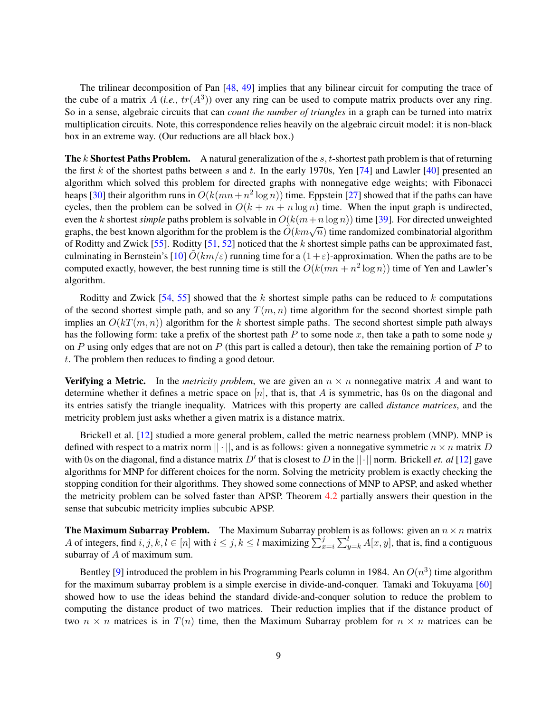The trilinear decomposition of Pan [\[48,](#page-40-10) [49\]](#page-40-11) implies that any bilinear circuit for computing the trace of the cube of a matrix  $A$  (*i.e.*,  $tr(A^3)$ ) over any ring can be used to compute matrix products over any ring. So in a sense, algebraic circuits that can *count the number of triangles* in a graph can be turned into matrix multiplication circuits. Note, this correspondence relies heavily on the algebraic circuit model: it is non-black box in an extreme way. (Our reductions are all black box.)

**The k Shortest Paths Problem.** A natural generalization of the s, t-shortest path problem is that of returning the first k of the shortest paths between s and t. In the early 1970s, Yen  $[74]$  and Lawler  $[40]$  presented an algorithm which solved this problem for directed graphs with nonnegative edge weights; with Fibonacci heaps [\[30\]](#page-39-12) their algorithm runs in  $O(k(mn + n^2 \log n))$  time. Eppstein [\[27\]](#page-39-3) showed that if the paths can have cycles, then the problem can be solved in  $O(k + m + n \log n)$  time. When the input graph is undirected, even the k shortest *simple* paths problem is solvable in  $O(k(m+n \log n))$  time [\[39\]](#page-40-2). For directed unweighted graphs, the best known algorithm for the problem is the  $\tilde{O}(km\sqrt{n})$  time randomized combinatorial algorithm graphs, the best known algorithm for the problem is the  $\tilde{O}(km\sqrt{n})$  time randomized combinatorial algorithm of Roditty and Zwick [\[55\]](#page-41-2). Roditty [\[51,](#page-40-12) [52\]](#page-40-3) noticed that the k shortest simple paths can be approximated fast, culminating in Bernstein's [\[10\]](#page-38-0)  $O(km/\varepsilon)$  running time for a  $(1+\varepsilon)$ -approximation. When the paths are to be computed exactly, however, the best running time is still the  $O(k(mn + n^2 \log n))$  time of Yen and Lawler's algorithm.

Roditty and Zwick [\[54,](#page-40-13) [55\]](#page-41-2) showed that the k shortest simple paths can be reduced to k computations of the second shortest simple path, and so any  $T(m, n)$  time algorithm for the second shortest simple path implies an  $O(kT(m, n))$  algorithm for the k shortest simple paths. The second shortest simple path always has the following form: take a prefix of the shortest path P to some node x, then take a path to some node  $y$ on P using only edges that are not on P (this part is called a detour), then take the remaining portion of P to t. The problem then reduces to finding a good detour.

**Verifying a Metric.** In the *metricity problem*, we are given an  $n \times n$  nonnegative matrix A and want to determine whether it defines a metric space on  $[n]$ , that is, that A is symmetric, has 0s on the diagonal and its entries satisfy the triangle inequality. Matrices with this property are called *distance matrices*, and the metricity problem just asks whether a given matrix is a distance matrix.

Brickell et al. [\[12\]](#page-38-11) studied a more general problem, called the metric nearness problem (MNP). MNP is defined with respect to a matrix norm  $|| \cdot ||$ , and is as follows: given a nonnegative symmetric  $n \times n$  matrix D with 0s on the diagonal, find a distance matrix  $D'$  that is closest to D in the  $||\cdot||$  norm. Brickell *et. al* [\[12\]](#page-38-11) gave algorithms for MNP for different choices for the norm. Solving the metricity problem is exactly checking the stopping condition for their algorithms. They showed some connections of MNP to APSP, and asked whether the metricity problem can be solved faster than APSP. Theorem [4.2](#page-14-1) partially answers their question in the sense that subcubic metricity implies subcubic APSP.

**The Maximum Subarray Problem.** The Maximum Subarray problem is as follows: given an  $n \times n$  matrix A of integers, find  $i, j, k, l \in [n]$  with  $i \leq j, k \leq l$  maximizing  $\sum_{x=i}^{j} \sum_{y=k}^{l} A[x, y]$ , that is, find a contiguous subarray of A of maximum sum.

Bentley [\[9\]](#page-38-12) introduced the problem in his Programming Pearls column in 1984. An  $O(n^3)$  time algorithm for the maximum subarray problem is a simple exercise in divide-and-conquer. Tamaki and Tokuyama [\[60\]](#page-41-15) showed how to use the ideas behind the standard divide-and-conquer solution to reduce the problem to computing the distance product of two matrices. Their reduction implies that if the distance product of two  $n \times n$  matrices is in  $T(n)$  time, then the Maximum Subarray problem for  $n \times n$  matrices can be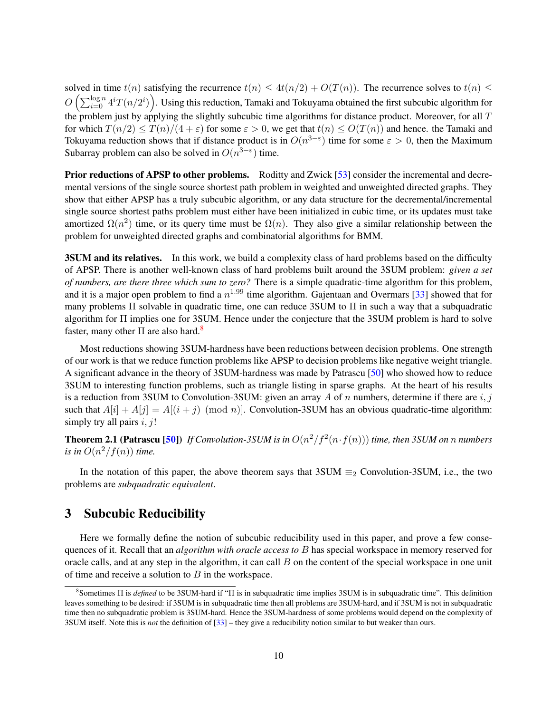solved in time  $t(n)$  satisfying the recurrence  $t(n) \leq 4t(n/2) + O(T(n))$ . The recurrence solves to  $t(n) \leq$  $O\left(\sum_{i=0}^{\log n}4^i T(n/2^i)\right)$ . Using this reduction, Tamaki and Tokuyama obtained the first subcubic algorithm for the problem just by applying the slightly subcubic time algorithms for distance product. Moreover, for all  $T$ for which  $T(n/2) \leq T(n)/(4 + \varepsilon)$  for some  $\varepsilon > 0$ , we get that  $t(n) \leq O(T(n))$  and hence. the Tamaki and Tokuyama reduction shows that if distance product is in  $O(n^{3-\epsilon})$  time for some  $\epsilon > 0$ , then the Maximum Subarray problem can also be solved in  $O(n^{3-\epsilon})$  time.

Prior reductions of APSP to other problems. Roditty and Zwick [\[53\]](#page-40-14) consider the incremental and decremental versions of the single source shortest path problem in weighted and unweighted directed graphs. They show that either APSP has a truly subcubic algorithm, or any data structure for the decremental/incremental single source shortest paths problem must either have been initialized in cubic time, or its updates must take amortized  $\Omega(n^2)$  time, or its query time must be  $\Omega(n)$ . They also give a similar relationship between the problem for unweighted directed graphs and combinatorial algorithms for BMM.

**3SUM and its relatives.** In this work, we build a complexity class of hard problems based on the difficulty of APSP. There is another well-known class of hard problems built around the 3SUM problem: *given a set of numbers, are there three which sum to zero?* There is a simple quadratic-time algorithm for this problem, and it is a major open problem to find a  $n^{1.99}$  time algorithm. Gajentaan and Overmars [\[33\]](#page-39-13) showed that for many problems Π solvable in quadratic time, one can reduce 3SUM to Π in such a way that a subquadratic algorithm for Π implies one for 3SUM. Hence under the conjecture that the 3SUM problem is hard to solve faster, many other  $\Pi$  are also hard.<sup>[8](#page-9-1)</sup>

Most reductions showing 3SUM-hardness have been reductions between decision problems. One strength of our work is that we reduce function problems like APSP to decision problems like negative weight triangle. A significant advance in the theory of 3SUM-hardness was made by Patrascu [\[50\]](#page-40-15) who showed how to reduce 3SUM to interesting function problems, such as triangle listing in sparse graphs. At the heart of his results is a reduction from 3SUM to Convolution-3SUM: given an array A of n numbers, determine if there are i, j such that  $A[i] + A[i] = A[(i + j) \pmod{n}$ . Convolution-3SUM has an obvious quadratic-time algorithm: simply try all pairs  $i, j!$ 

**Theorem 2.1 (Patrascu [\[50\]](#page-40-15))** If Convolution-3SUM is in  $O(n^2/f^2(n \cdot f(n)))$  time, then 3SUM on n numbers *is in*  $O(n^2/f(n))$  *time.* 

In the notation of this paper, the above theorem says that  $3SUM \equiv_2$  Convolution-3SUM, i.e., the two problems are *subquadratic equivalent*.

# <span id="page-9-0"></span>3 Subcubic Reducibility

Here we formally define the notion of subcubic reducibility used in this paper, and prove a few consequences of it. Recall that an *algorithm with oracle access to* B has special workspace in memory reserved for oracle calls, and at any step in the algorithm, it can call  $B$  on the content of the special workspace in one unit of time and receive a solution to  $B$  in the workspace.

<span id="page-9-1"></span><sup>8</sup> Sometimes Π is *defined* to be 3SUM-hard if "Π is in subquadratic time implies 3SUM is in subquadratic time". This definition leaves something to be desired: if 3SUM is in subquadratic time then all problems are 3SUM-hard, and if 3SUM is not in subquadratic time then no subquadratic problem is 3SUM-hard. Hence the 3SUM-hardness of some problems would depend on the complexity of 3SUM itself. Note this is *not* the definition of [\[33\]](#page-39-13) – they give a reducibility notion similar to but weaker than ours.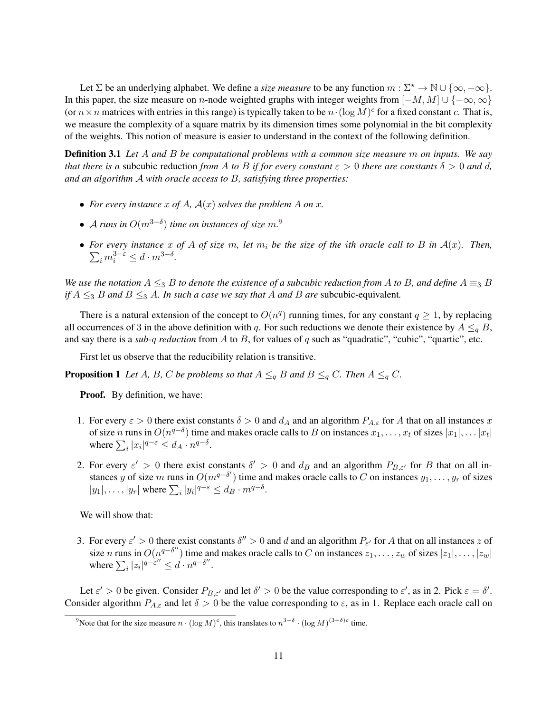Let  $\Sigma$  be an underlying alphabet. We define a *size measure* to be any function  $m : \Sigma^* \to \mathbb{N} \cup \{\infty, -\infty\}.$ In this paper, the size measure on n-node weighted graphs with integer weights from  $[-M, M] \cup \{-\infty, \infty\}$ (or  $n \times n$  matrices with entries in this range) is typically taken to be  $n \cdot (\log M)^c$  for a fixed constant c. That is, we measure the complexity of a square matrix by its dimension times some polynomial in the bit complexity of the weights. This notion of measure is easier to understand in the context of the following definition.

Definition 3.1 *Let* A *and* B *be computational problems with a common size measure* m *on inputs. We say that there is a subcubic reduction from* A *to* B *if for every constant*  $\varepsilon > 0$  *there are constants*  $\delta > 0$  *and* d, *and an algorithm* A *with oracle access to* B*, satisfying three properties:*

- For every instance x of A,  $A(x)$  solves the problem A on x.
- A *runs in* O(m3−<sup>δ</sup> ) *time on instances of size* m*.* [9](#page-10-0)
- For every instance x of A of size m, let  $m_i$  be the size of the ith oracle call to B in  $A(x)$ . Then,  $\sum_i m_i^{3-\varepsilon} \leq d \cdot m^{3-\delta}.$

*We use the notation*  $A \leq_{3} B$  *to denote the existence of a subcubic reduction from* A *to* B, and define  $A \equiv_{3} B$ *if*  $A \leq 3$  *B* and  $B \leq 3$  *A. In such a case we say that A and B* are subcubic-equivalent.

There is a natural extension of the concept to  $O(n^q)$  running times, for any constant  $q \ge 1$ , by replacing all occurrences of 3 in the above definition with q. For such reductions we denote their existence by  $A \leq_{q} B$ , and say there is a *sub-q reduction* from A to B, for values of q such as "quadratic", "cubic", "quartic", etc.

First let us observe that the reducibility relation is transitive.

**Proposition 1** *Let* A, B, C *be problems so that*  $A \leq_q B$  *and*  $B \leq_q C$ *. Then*  $A \leq_q C$ *.* 

Proof. By definition, we have:

- 1. For every  $\varepsilon > 0$  there exist constants  $\delta > 0$  and  $d_A$  and an algorithm  $P_{A,\varepsilon}$  for A that on all instances x of size *n* runs in  $O(n^{q-\delta})$  time and makes oracle calls to B on instances  $x_1, \ldots, x_t$  of sizes  $|x_1|, \ldots |x_t|$ where  $\sum_i |x_i|^{q-\varepsilon} \leq d_A \cdot n^{q-\delta}$ .
- 2. For every  $\varepsilon' > 0$  there exist constants  $\delta' > 0$  and  $d_B$  and an algorithm  $P_{B,\varepsilon'}$  for B that on all instances y of size m runs in  $O(m^{q-\delta'})$  time and makes oracle calls to C on instances  $y_1, \ldots, y_r$  of sizes  $|y_1|, \ldots, |y_r|$  where  $\sum_i |y_i|^{q-\varepsilon} \leq d_B \cdot m^{q-\delta}$ .

We will show that:

3. For every  $\varepsilon' > 0$  there exist constants  $\delta'' > 0$  and d and an algorithm  $P_{\varepsilon'}$  for A that on all instances z of size n runs in  $O(n^{q-\delta''})$  time and makes oracle calls to C on instances  $z_1, \ldots, z_w$  of sizes  $|z_1|, \ldots, |z_w|$ where  $\sum_i |z_i|^{q-\varepsilon''} \leq d \cdot n^{q-\delta''}.$ 

Let  $\varepsilon' > 0$  be given. Consider  $P_{B,\varepsilon'}$  and let  $\delta' > 0$  be the value corresponding to  $\varepsilon'$ , as in 2. Pick  $\varepsilon = \delta'$ . Consider algorithm  $P_{A,\varepsilon}$  and let  $\delta > 0$  be the value corresponding to  $\varepsilon$ , as in 1. Replace each oracle call on

<span id="page-10-0"></span><sup>&</sup>lt;sup>9</sup>Note that for the size measure  $n \cdot (\log M)^c$ , this translates to  $n^{3-\delta} \cdot (\log M)^{(3-\delta)c}$  time.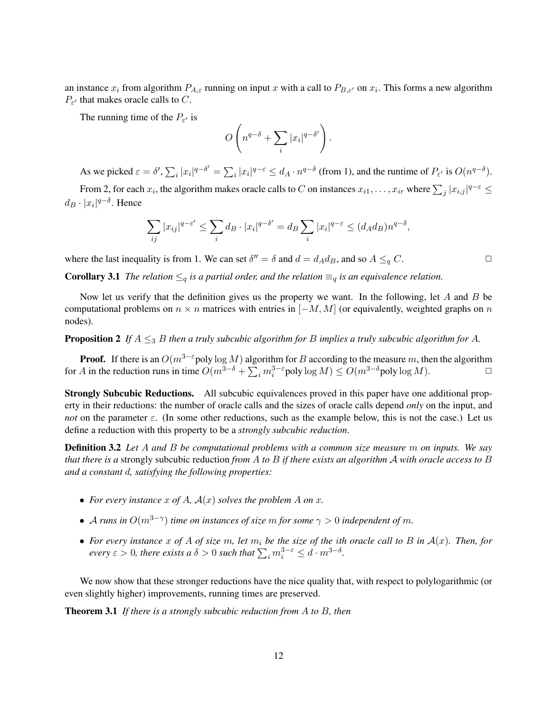an instance  $x_i$  from algorithm  $P_{A,\varepsilon}$  running on input x with a call to  $P_{B,\varepsilon}$  on  $x_i$ . This forms a new algorithm  $P_{\varepsilon}$  that makes oracle calls to C.

The running time of the  $P_{\varepsilon}$  is

$$
O\left(n^{q-\delta} + \sum_i |x_i|^{q-\delta'}\right).
$$

As we picked  $\varepsilon = \delta', \sum_i |x_i|^{q-\delta'} = \sum_i |x_i|^{q-\varepsilon} \leq d_A \cdot n^{q-\delta}$  (from 1), and the runtime of  $P_{\varepsilon'}$  is  $O(n^{q-\delta})$ .

From 2, for each  $x_i$ , the algorithm makes oracle calls to C on instances  $x_{i1}, \ldots, x_{ir}$  where  $\sum_j |x_{i,j}|^{q-\varepsilon} \leq$  $d_B \cdot |x_i|^{q-\delta}$ . Hence

$$
\sum_{ij} |x_{ij}|^{q-\varepsilon'} \le \sum_i d_B \cdot |x_i|^{q-\delta'} = d_B \sum_i |x_i|^{q-\varepsilon} \le (d_A d_B) n^{q-\delta},
$$

where the last inequality is from 1. We can set  $\delta'' = \delta$  and  $d = d_A d_B$ , and so  $A \leq_q C$ .

**Corollary 3.1** *The relation*  $\leq_q$  *is a partial order, and the relation*  $\equiv_q$  *is an equivalence relation.* 

Now let us verify that the definition gives us the property we want. In the following, let A and B be computational problems on  $n \times n$  matrices with entries in  $[-M, M]$  (or equivalently, weighted graphs on n nodes).

**Proposition 2** If  $A \leq_3 B$  *then a truly subcubic algorithm for* B *implies a truly subcubic algorithm for* A.

**Proof.** If there is an  $O(m^{3-\epsilon}poly \log M)$  algorithm for B according to the measure m, then the algorithm for A in the reduction runs in time  $O(m^{3-\delta} + \sum_i m_i^{3-\epsilon}$  poly  $\log M) \leq O(m^{3-\delta}$  poly  $\log M$ ).

Strongly Subcubic Reductions. All subcubic equivalences proved in this paper have one additional property in their reductions: the number of oracle calls and the sizes of oracle calls depend *only* on the input, and *not* on the parameter  $\varepsilon$ . (In some other reductions, such as the example below, this is not the case.) Let us define a reduction with this property to be a *strongly subcubic reduction*.

Definition 3.2 *Let* A *and* B *be computational problems with a common size measure* m *on inputs. We say that there is a* strongly subcubic reduction *from* A *to* B *if there exists an algorithm* A *with oracle access to* B *and a constant* d*, satisfying the following properties:*

- For every instance  $x$  of  $A$ ,  $A(x)$  solves the problem  $A$  on  $x$ .
- $\bullet$  *A runs in*  $O(m^{3-\gamma})$  *time on instances of size m for some*  $\gamma > 0$  *independent of m.*
- *For every instance* x *of* A *of size* m*, let* m<sup>i</sup> *be the size of the* i*th oracle call to* B *in* A(x)*. Then, for every*  $\varepsilon > 0$ *, there exists a*  $\delta > 0$  *such that*  $\sum_i m_i^{3-\varepsilon} \leq d \cdot m^{3-\delta}$ *.*

We now show that these stronger reductions have the nice quality that, with respect to polylogarithmic (or even slightly higher) improvements, running times are preserved.

<span id="page-11-0"></span>Theorem 3.1 *If there is a strongly subcubic reduction from* A *to* B*, then*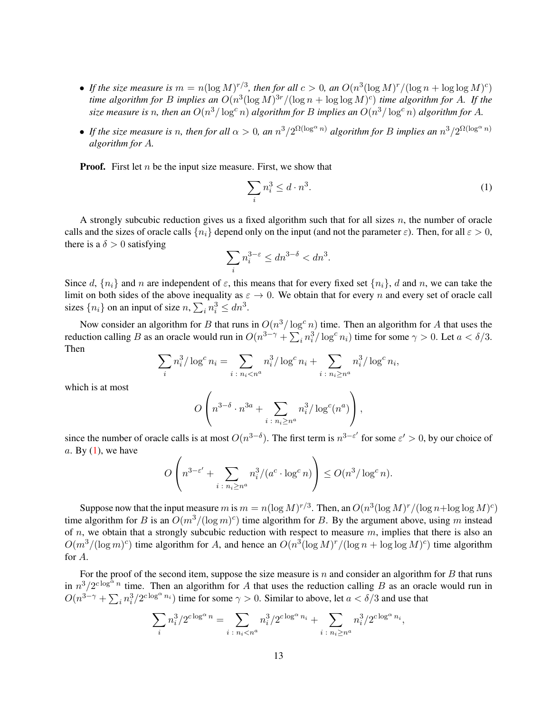- If the size measure is  $m = n(\log M)^{r/3}$ , then for all  $c > 0$ , an  $O(n^3(\log M)^r / (\log n + \log \log M)^c)$ *time algorithm for B implies an*  $O(n^3(\log M)^{3r}/(\log n + \log \log M)^c)$  *time algorithm for A. If the* size measure is n, then an  $O(n^3/\log^c n)$  algorithm for B implies an  $O(n^3/\log^c n)$  algorithm for A.
- If the size measure is n, then for all  $\alpha > 0$ , an  $n^3/2^{\Omega(\log^\alpha n)}$  algorithm for B implies an  $n^3/2^{\Omega(\log^\alpha n)}$ *algorithm for* A*.*

**Proof.** First let  $n$  be the input size measure. First, we show that

<span id="page-12-0"></span>
$$
\sum_{i} n_i^3 \le d \cdot n^3. \tag{1}
$$

A strongly subcubic reduction gives us a fixed algorithm such that for all sizes  $n$ , the number of oracle calls and the sizes of oracle calls  $\{n_i\}$  depend only on the input (and not the parameter  $\varepsilon$ ). Then, for all  $\varepsilon > 0$ , there is a  $\delta > 0$  satisfying

$$
\sum_i n_i^{3-\varepsilon} \leq dn^{3-\delta} < dn^3.
$$

Since d,  $\{n_i\}$  and n are independent of  $\varepsilon$ , this means that for every fixed set  $\{n_i\}$ , d and n, we can take the limit on both sides of the above inequality as  $\varepsilon \to 0$ . We obtain that for every n and every set of oracle call sizes  $\{n_i\}$  on an input of size  $n, \sum_i n_i^3 \leq dn^3$ .

Now consider an algorithm for B that runs in  $O(n^3/\log^c n)$  time. Then an algorithm for A that uses the reduction calling B as an oracle would run in  $O(n^{3-\gamma} + \sum_i n_i^3 / \log^c n_i)$  time for some  $\gamma > 0$ . Let  $a < \delta/3$ . Then

$$
\sum_{i} n_i^3 / \log^c n_i = \sum_{i \; : \; n_i < n^a} n_i^3 / \log^c n_i + \sum_{i \; : \; n_i \ge n^a} n_i^3 / \log^c n_i,
$$

which is at most

$$
O\left(n^{3-\delta} \cdot n^{3a} + \sum_{i \,:\, n_i \ge n^a} n_i^3 / \log^c(n^a)\right),\,
$$

since the number of oracle calls is at most  $O(n^{3-\delta})$ . The first term is  $n^{3-\epsilon'}$  for some  $\epsilon' > 0$ , by our choice of  $a.$  By  $(1)$ , we have

$$
O\left(n^{3-\varepsilon'} + \sum_{i \colon n_i \ge n^a} n_i^3/(a^c \cdot \log^c n)\right) \le O(n^3/\log^c n).
$$

Suppose now that the input measure m is  $m = n(\log M)^{r/3}$ . Then, an  $O(n^3(\log M)^r / (\log n + \log \log M)^c)$ time algorithm for B is an  $O(m^3/(\log m)^c)$  time algorithm for B. By the argument above, using m instead of n, we obtain that a strongly subcubic reduction with respect to measure  $m$ , implies that there is also an  $O(m^3/(\log m)^c)$  time algorithm for A, and hence an  $O(n^3(\log M)^r/(\log n + \log \log M)^c)$  time algorithm for A.

For the proof of the second item, suppose the size measure is  $n$  and consider an algorithm for  $B$  that runs in  $n^3/2^{c \log^{\alpha} n}$  time. Then an algorithm for A that uses the reduction calling B as an oracle would run in  $O(n^{3-\gamma} + \sum_i n_i^3/2^{c \log^{\alpha} n_i})$  time for some  $\gamma > 0$ . Similar to above, let  $a < \delta/3$  and use that

$$
\sum_{i} n_i^3 / 2^{c \log^{\alpha} n} = \sum_{i \; : \; n_i < n^a} n_i^3 / 2^{c \log^{\alpha} n_i} + \sum_{i \; : \; n_i \ge n^a} n_i^3 / 2^{c \log^{\alpha} n_i},
$$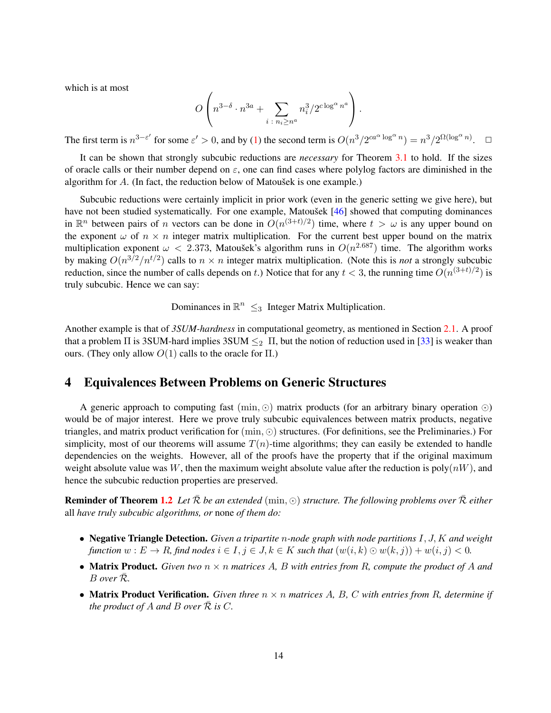which is at most

$$
O\left(n^{3-\delta} \cdot n^{3a} + \sum_{i \;:\; n_i \ge n^a} n_i^3 / 2^{c \log^{\alpha} n^a} \right).
$$

The first term is  $n^{3-\varepsilon'}$  for some  $\varepsilon' > 0$ , and by [\(1\)](#page-12-0) the second term is  $O(n^3/2^{ca^{\alpha} \log^{\alpha} n}) = n^3/2^{\Omega(\log^{\alpha} n)}$ .  $\Box$ 

It can be shown that strongly subcubic reductions are *necessary* for Theorem [3.1](#page-11-0) to hold. If the sizes of oracle calls or their number depend on  $\varepsilon$ , one can find cases where polylog factors are diminished in the algorithm for  $A$ . (In fact, the reduction below of Matoušek is one example.)

Subcubic reductions were certainly implicit in prior work (even in the generic setting we give here), but have not been studied systematically. For one example, Matoušek [[46\]](#page-40-16) showed that computing dominances in  $\mathbb{R}^n$  between pairs of *n* vectors can be done in  $O(n^{(3+t)/2})$  time, where  $t > \omega$  is any upper bound on the exponent  $\omega$  of  $n \times n$  integer matrix multiplication. For the current best upper bound on the matrix multiplication exponent  $\omega < 2.373$ , Matoušek's algorithm runs in  $O(n^{2.687})$  time. The algorithm works by making  $O(n^{3/2}/n^{t/2})$  calls to  $n \times n$  integer matrix multiplication. (Note this is *not* a strongly subcubic reduction, since the number of calls depends on t.) Notice that for any  $t < 3$ , the running time  $O(n^{(3+t)/2})$  is truly subcubic. Hence we can say:

Dominances in  $\mathbb{R}^n \leq_3$  Integer Matrix Multiplication.

Another example is that of *3SUM-hardness* in computational geometry, as mentioned in Section [2.1.](#page-7-1) A proof that a problem  $\Pi$  is 3SUM-hard implies 3SUM  $\leq_2 \Pi$ , but the notion of reduction used in [\[33\]](#page-39-13) is weaker than ours. (They only allow  $O(1)$  calls to the oracle for  $\Pi$ .)

# <span id="page-13-0"></span>4 Equivalences Between Problems on Generic Structures

A generic approach to computing fast  $(\min, \odot)$  matrix products (for an arbitrary binary operation  $\odot$ ) would be of major interest. Here we prove truly subcubic equivalences between matrix products, negative triangles, and matrix product verification for  $(\min, \odot)$  structures. (For definitions, see the Preliminaries.) For simplicity, most of our theorems will assume  $T(n)$ -time algorithms; they can easily be extended to handle dependencies on the weights. However, all of the proofs have the property that if the original maximum weight absolute value was W, then the maximum weight absolute value after the reduction is  $poly(nW)$ , and hence the subcubic reduction properties are preserved.

**Reminder of Theorem [1.2](#page-3-1)** Let  $\bar{\mathcal{R}}$  *be an extended* (min,  $\odot$ ) *structure. The following problems over*  $\bar{\mathcal{R}}$  *either* all *have truly subcubic algorithms, or* none *of them do:*

- Negative Triangle Detection. *Given a tripartite* n*-node graph with node partitions* I, J, K *and weight function*  $w : E \to R$ *, find nodes*  $i \in I, j \in J, k \in K$  *such that*  $(w(i, k) \odot w(k, j)) + w(i, j) < 0$ *.*
- **Matrix Product.** Given two  $n \times n$  matrices A, B with entries from R, compute the product of A and B *over* R¯*.*
- Matrix Product Verification. *Given three* n × n *matrices* A*,* B*,* C *with entries from* R*, determine if the product of A and B over*  $\overline{\mathcal{R}}$  *is*  $C$ *.*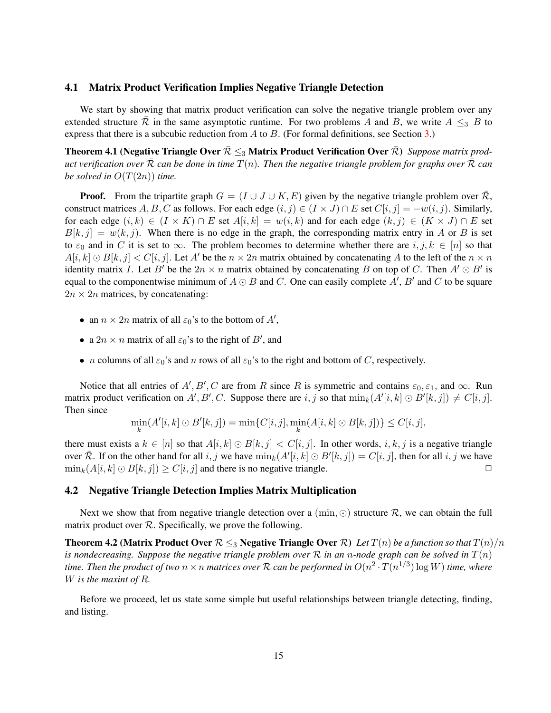#### 4.1 Matrix Product Verification Implies Negative Triangle Detection

We start by showing that matrix product verification can solve the negative triangle problem over any extended structure R in the same asymptotic runtime. For two problems A and B, we write  $A \leq_{3} B$  to express that there is a subcubic reduction from  $A$  to  $B$ . (For formal definitions, see Section [3.](#page-9-0))

<span id="page-14-0"></span>Theorem 4.1 (Negative Triangle Over  $\bar{\mathcal{R}} \leq_{3}$  Matrix Product Verification Over  $\bar{\mathcal{R}}$ ) *Suppose matrix product verification over*  $\overline{\mathcal{R}}$  *can be done in time*  $T(n)$ *. Then the negative triangle problem for graphs over*  $\overline{\mathcal{R}}$  *can be solved in*  $O(T(2n))$  *time.* 

**Proof.** From the tripartite graph  $G = (I \cup J \cup K, E)$  given by the negative triangle problem over R, construct matrices A, B, C as follows. For each edge  $(i, j) \in (I \times J) \cap E$  set  $C[i, j] = -w(i, j)$ . Similarly, for each edge  $(i, k) \in (I \times K) \cap E$  set  $A[i, k] = w(i, k)$  and for each edge  $(k, j) \in (K \times J) \cap E$  set  $B[k, j] = w(k, j)$ . When there is no edge in the graph, the corresponding matrix entry in A or B is set to  $\varepsilon_0$  and in C it is set to  $\infty$ . The problem becomes to determine whether there are i, j,  $k \in [n]$  so that  $A[i, k] \odot B[k, j] < C[i, j]$ . Let A' be the  $n \times 2n$  matrix obtained by concatenating A to the left of the  $n \times n$ identity matrix *I*. Let B' be the  $2n \times n$  matrix obtained by concatenating B on top of C. Then  $A' \odot B'$  is equal to the componentwise minimum of  $A \odot B$  and C. One can easily complete  $A'$ ,  $B'$  and C to be square  $2n \times 2n$  matrices, by concatenating:

- an  $n \times 2n$  matrix of all  $\varepsilon_0$ 's to the bottom of  $A'$ ,
- a  $2n \times n$  matrix of all  $\varepsilon_0$ 's to the right of  $B'$ , and
- *n* columns of all  $\varepsilon_0$ 's and *n* rows of all  $\varepsilon_0$ 's to the right and bottom of *C*, respectively.

Notice that all entries of  $A', B', C$  are from R since R is symmetric and contains  $\varepsilon_0, \varepsilon_1$ , and  $\infty$ . Run matrix product verification on  $A', B', C$ . Suppose there are  $i, j$  so that  $\min_k(A'[i,k] \odot B'[k,j]) \neq C[i,j]$ . Then since

$$
\min_{k} (A'[i,k] \odot B'[k,j]) = \min \{C[i,j], \min_{k} (A[i,k] \odot B[k,j])\} \le C[i,j],
$$

there must exists a  $k \in [n]$  so that  $A[i, k] \odot B[k, j] < C[i, j]$ . In other words,  $i, k, j$  is a negative triangle over  $\overline{\mathcal{R}}$ . If on the other hand for all i, j we have  $\min_k(A'[i,k] \odot B'[k,j]) = C[i,j]$ , then for all i, j we have  $\min_k (A[i, k] \odot B[k, j]) \ge C[i, j]$  and there is no negative triangle.

### 4.2 Negative Triangle Detection Implies Matrix Multiplication

Next we show that from negative triangle detection over a ( $\min$ ,  $\odot$ ) structure  $\mathcal{R}$ , we can obtain the full matrix product over  $R$ . Specifically, we prove the following.

<span id="page-14-1"></span>**Theorem 4.2 (Matrix Product Over**  $\mathcal{R} \leq_3$  **Negative Triangle Over**  $\mathcal{R}$ ) *Let*  $T(n)$  *be a function so that*  $T(n)/n$ *is nondecreasing. Suppose the negative triangle problem over* R *in an* n*-node graph can be solved in* T(n) time. Then the product of two  $n\times n$  matrices over  ${\cal R}$  can be performed in  $O(n^2\cdot T(n^{1/3})\log W)$  time, where W *is the maxint of* R*.*

<span id="page-14-2"></span>Before we proceed, let us state some simple but useful relationships between triangle detecting, finding, and listing.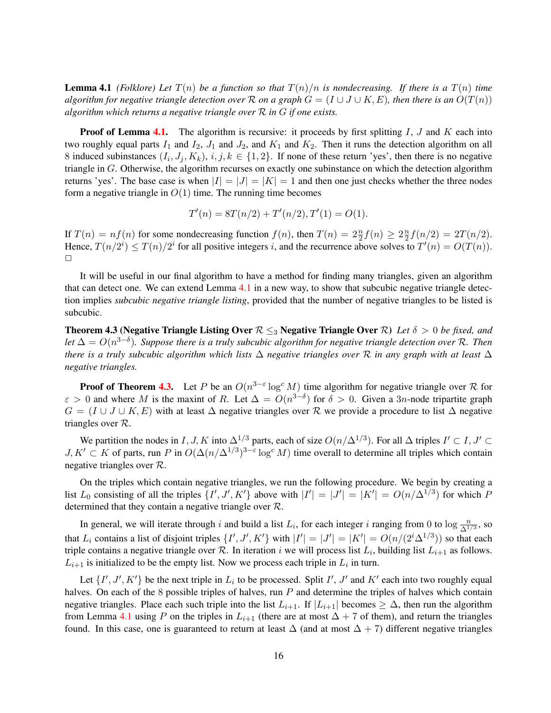**Lemma 4.1** *(Folklore)* Let  $T(n)$  *be a function so that*  $T(n)/n$  *is nondecreasing. If there is a*  $T(n)$  *time algorithm for negative triangle detection over* R *on a graph*  $G = (I \cup J \cup K, E)$ *, then there is an*  $O(T(n))$ *algorithm which returns a negative triangle over* R *in* G *if one exists.*

**Proof of Lemma [4.1.](#page-14-2)** The algorithm is recursive: it proceeds by first splitting  $I, J$  and  $K$  each into two roughly equal parts  $I_1$  and  $I_2$ ,  $J_1$  and  $J_2$ , and  $K_1$  and  $K_2$ . Then it runs the detection algorithm on all 8 induced subinstances  $(I_i, J_j, K_k)$ ,  $i, j, k \in \{1, 2\}$ . If none of these return 'yes', then there is no negative triangle in G. Otherwise, the algorithm recurses on exactly one subinstance on which the detection algorithm returns 'yes'. The base case is when  $|I| = |J| = |K| = 1$  and then one just checks whether the three nodes form a negative triangle in  $O(1)$  time. The running time becomes

$$
T'(n) = 8T(n/2) + T'(n/2), T'(1) = O(1).
$$

If  $T(n) = nf(n)$  for some nondecreasing function  $f(n)$ , then  $T(n) = 2\frac{n}{2}f(n) \geq 2\frac{n}{2}$  $\frac{n}{2}f(n/2) = 2T(n/2).$ Hence,  $T(n/2^i) \leq T(n)/2^i$  for all positive integers i, and the recurrence above solves to  $T'(n) = O(T(n))$ .  $\Box$ 

It will be useful in our final algorithm to have a method for finding many triangles, given an algorithm that can detect one. We can extend Lemma [4.1](#page-14-2) in a new way, to show that subcubic negative triangle detection implies *subcubic negative triangle listing*, provided that the number of negative triangles to be listed is subcubic.

<span id="page-15-0"></span>Theorem 4.3 (Negative Triangle Listing Over R ≤<sup>3</sup> Negative Triangle Over R) *Let* δ > 0 *be fixed, and let* ∆ = O(n 3−δ )*. Suppose there is a truly subcubic algorithm for negative triangle detection over* R*. Then there is a truly subcubic algorithm which lists* ∆ *negative triangles over* R *in any graph with at least* ∆ *negative triangles.*

**Proof of Theorem [4.3.](#page-15-0)** Let P be an  $O(n^{3-\epsilon} \log^c M)$  time algorithm for negative triangle over R for  $\varepsilon > 0$  and where M is the maxint of R. Let  $\Delta = O(n^{3-\delta})$  for  $\delta > 0$ . Given a 3n-node tripartite graph  $G = (I \cup J \cup K, E)$  with at least  $\Delta$  negative triangles over R we provide a procedure to list  $\Delta$  negative triangles over  $\mathcal{R}$ .

We partition the nodes in I, J, K into  $\Delta^{1/3}$  parts, each of size  $O(n/\Delta^{1/3})$ . For all  $\Delta$  triples  $I' \subset I, J' \subset I$  $J, K' \subset K$  of parts, run P in  $O(\Delta(n/\Delta^{1/3})^{3-\epsilon} \log^c M)$  time overall to determine all triples which contain negative triangles over R.

On the triples which contain negative triangles, we run the following procedure. We begin by creating a list  $L_0$  consisting of all the triples  $\{I', J', K'\}$  above with  $|I'| = |J'| = |K'| = O(n/\Delta^{1/3})$  for which P determined that they contain a negative triangle over R.

In general, we will iterate through i and build a list  $L_i$ , for each integer i ranging from 0 to  $\log \frac{n}{\Delta^{1/3}}$ , so that  $L_i$  contains a list of disjoint triples  $\{I', J', K'\}$  with  $|I'| = |J'| = |K'| = O(n/(2^i \Delta^{1/3}))$  so that each triple contains a negative triangle over  $R$ . In iteration i we will process list  $L_i$ , building list  $L_{i+1}$  as follows.  $L_{i+1}$  is initialized to be the empty list. Now we process each triple in  $L_i$  in turn.

Let  $\{I', J', K'\}$  be the next triple in  $L_i$  to be processed. Split I', J' and K' each into two roughly equal halves. On each of the 8 possible triples of halves, run P and determine the triples of halves which contain negative triangles. Place each such triple into the list  $L_{i+1}$ . If  $|L_{i+1}|$  becomes  $\geq \Delta$ , then run the algorithm from Lemma [4.1](#page-14-2) using P on the triples in  $L_{i+1}$  (there are at most  $\Delta + 7$  of them), and return the triangles found. In this case, one is guaranteed to return at least  $\Delta$  (and at most  $\Delta + 7$ ) different negative triangles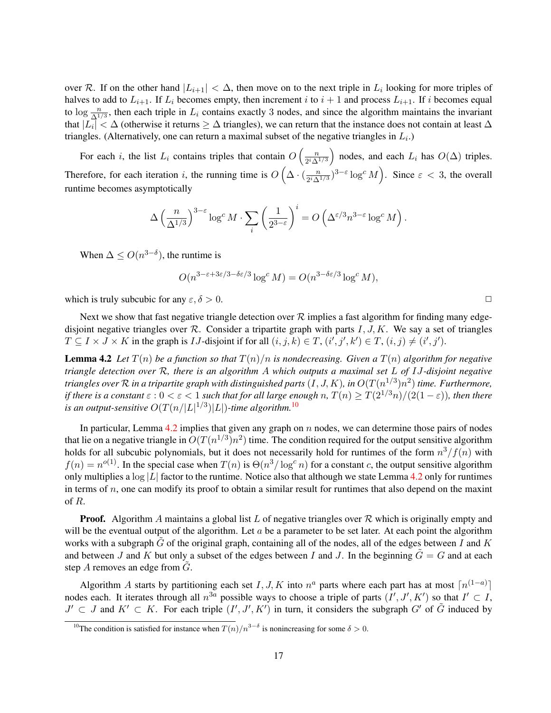over R. If on the other hand  $|L_{i+1}| < \Delta$ , then move on to the next triple in  $L_i$  looking for more triples of halves to add to  $L_{i+1}$ . If  $L_i$  becomes empty, then increment i to  $i + 1$  and process  $L_{i+1}$ . If i becomes equal to  $\log \frac{n}{\Delta^{1/3}}$ , then each triple in  $L_i$  contains exactly 3 nodes, and since the algorithm maintains the invariant that  $|L_i| < \Delta$  (otherwise it returns  $\geq \Delta$  triangles), we can return that the instance does not contain at least  $\Delta$ triangles. (Alternatively, one can return a maximal subset of the negative triangles in  $L_i$ .)

For each i, the list  $L_i$  contains triples that contain  $O\left(\frac{n}{2i\Delta}\right)$  $2^i\Delta^{1/3}$ ) nodes, and each  $L_i$  has  $O(\Delta)$  triples. Therefore, for each iteration i, the running time is  $O\left(\Delta \cdot \left(\frac{n}{2i\Delta}\right)\right)$  $\frac{n}{2^i \Delta^{1/3}}$ )<sup>3- $\varepsilon$ </sup> log<sup>c</sup> M). Since  $\varepsilon$  < 3, the overall runtime becomes asymptotically

$$
\Delta \left(\frac{n}{\Delta^{1/3}}\right)^{3-\varepsilon} \log^c M \cdot \sum_i \left(\frac{1}{2^{3-\varepsilon}}\right)^i = O\left(\Delta^{\varepsilon/3} n^{3-\varepsilon} \log^c M\right).
$$

When  $\Delta \leq O(n^{3-\delta})$ , the runtime is

$$
O(n^{3-\varepsilon+3\varepsilon/3-\delta\varepsilon/3}\log^c M) = O(n^{3-\delta\varepsilon/3}\log^c M),
$$

which is truly subcubic for any  $\varepsilon$ ,  $\delta > 0$ .

Next we show that fast negative triangle detection over  $R$  implies a fast algorithm for finding many edgedisjoint negative triangles over  $\mathcal{R}$ . Consider a tripartite graph with parts  $I, J, K$ . We say a set of triangles  $T \subseteq I \times J \times K$  in the graph is *IJ*-disjoint if for all  $(i, j, k) \in T$ ,  $(i', j', k') \in T$ ,  $(i, j) \neq (i', j')$ .

<span id="page-16-1"></span>**Lemma 4.2** Let  $T(n)$  be a function so that  $T(n)/n$  is nondecreasing. Given a  $T(n)$  algorithm for negative *triangle detection over* R*, there is an algorithm* A *which outputs a maximal set* L *of* IJ*-disjoint negative* triangles over  ${\cal R}$  in a tripartite graph with distinguished parts  $(I,J,K)$ , in  $O(T(n^{1/3})n^2)$  time. Furthermore, *if there is a constant*  $\varepsilon$  :  $0 < \varepsilon < 1$  *such that for all large enough n,*  $T(n) \geq T(2^{1/3}n)/(2(1-\varepsilon))$ *, then there* is an output-sensitive  $O(T(n/|L|^{1/3})|L|)$ -time algorithm.<sup>[10](#page-16-0)</sup>

In particular, Lemma  $4.2$  implies that given any graph on n nodes, we can determine those pairs of nodes that lie on a negative triangle in  $O(T(n^{1/3})n^2)$  time. The condition required for the output sensitive algorithm holds for all subcubic polynomials, but it does not necessarily hold for runtimes of the form  $n^3/f(n)$  with  $f(n) = n^{o(1)}$ . In the special case when  $T(n)$  is  $\Theta(n^3/\log^c n)$  for a constant c, the output sensitive algorithm only multiplies a  $\log |L|$  factor to the runtime. Notice also that although we state Lemma [4.2](#page-16-1) only for runtimes in terms of  $n$ , one can modify its proof to obtain a similar result for runtimes that also depend on the maxint of R.

**Proof.** Algorithm A maintains a global list L of negative triangles over  $\mathcal{R}$  which is originally empty and will be the eventual output of the algorithm. Let  $a$  be a parameter to be set later. At each point the algorithm works with a subgraph  $G$  of the original graph, containing all of the nodes, all of the edges between  $I$  and  $K$ and between J and K but only a subset of the edges between I and J. In the beginning  $\tilde{G} = G$  and at each step  $A$  removes an edge from  $G$ .

Algorithm A starts by partitioning each set I, J, K into  $n^a$  parts where each part has at most  $\lceil n^{(1-a)} \rceil$ nodes each. It iterates through all  $n^{3a}$  possible ways to choose a triple of parts  $(I', J', K')$  so that  $I' \subset I$ ,  $J' \subset J$  and  $K' \subset K$ . For each triple  $(I', J', K')$  in turn, it considers the subgraph  $G'$  of  $\tilde{G}$  induced by

<span id="page-16-0"></span><sup>&</sup>lt;sup>10</sup>The condition is satisfied for instance when  $T(n)/n^{3-\delta}$  is nonincreasing for some  $\delta > 0$ .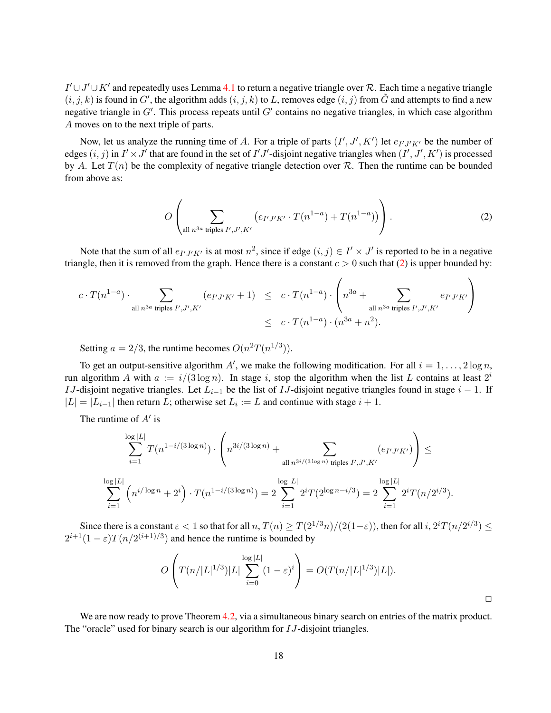$I' \cup J' \cup K'$  and repeatedly uses Lemma [4.1](#page-14-2) to return a negative triangle over R. Each time a negative triangle  $(i, j, k)$  is found in G', the algorithm adds  $(i, j, k)$  to L, removes edge  $(i, j)$  from  $\tilde{G}$  and attempts to find a new negative triangle in  $G'$ . This process repeats until  $G'$  contains no negative triangles, in which case algorithm A moves on to the next triple of parts.

Now, let us analyze the running time of A. For a triple of parts  $(I', J', K')$  let  $e_{I'J'K'}$  be the number of edges  $(i, j)$  in  $I' \times J'$  that are found in the set of  $I'J'$ -disjoint negative triangles when  $(I', J', K')$  is processed by A. Let  $T(n)$  be the complexity of negative triangle detection over R. Then the runtime can be bounded from above as:

<span id="page-17-0"></span>
$$
O\left(\sum_{\text{all } n^{3a} \text{ triples } I', J', K'} \left(e_{I'J'K'} \cdot T(n^{1-a}) + T(n^{1-a})\right)\right).
$$
 (2)

Note that the sum of all  $e_{I'J'K'}$  is at most  $n^2$ , since if edge  $(i, j) \in I' \times J'$  is reported to be in a negative triangle, then it is removed from the graph. Hence there is a constant  $c > 0$  such that [\(2\)](#page-17-0) is upper bounded by:

$$
\begin{array}{lcl} c \cdot T(n^{1-a}) \cdot \sum_{\text{all } n^{3a} \text{ triples } I', J', K'} \left( e_{I'J'K'}+1 \right) & \leq & c \cdot T(n^{1-a}) \cdot \left( n^{3a} + \sum_{\text{all } n^{3a} \text{ triples } I', J', K'} e_{I'J'K'} \right) \\ & \leq & c \cdot T(n^{1-a}) \cdot (n^{3a}+n^2). \end{array}
$$

Setting  $a = 2/3$ , the runtime becomes  $O(n^2T(n^{1/3}))$ .

To get an output-sensitive algorithm A', we make the following modification. For all  $i = 1, \ldots, 2 \log n$ , run algorithm A with  $a := i/(3 \log n)$ . In stage i, stop the algorithm when the list L contains at least  $2^i$ IJ-disjoint negative triangles. Let  $L_{i-1}$  be the list of IJ-disjoint negative triangles found in stage  $i - 1$ . If  $|L| = |L_{i-1}|$  then return L; otherwise set  $L_i := L$  and continue with stage  $i + 1$ .

The runtime of  $A'$  is

$$
\sum_{i=1}^{\log|L|} T(n^{1-i/(3\log n)}) \cdot \left( n^{3i/(3\log n)} + \sum_{\text{all } n^{3i/(3\log n)} \text{ triples } I', J', K'} (e_{I'J'K'}) \right) \le
$$
  

$$
\sum_{i=1}^{\log|L|} \left( n^{i/\log n} + 2^i \right) \cdot T(n^{1-i/(3\log n)}) = 2 \sum_{i=1}^{\log|L|} 2^i T(2^{\log n - i/3}) = 2 \sum_{i=1}^{\log|L|} 2^i T(n/2^{i/3}).
$$

Since there is a constant  $\varepsilon < 1$  so that for all  $n, T(n) \geq T(2^{1/3}n)/(2(1-\varepsilon))$ , then for all  $i, 2^{i}T(n/2^{i/3}) \leq T(n/2^{i/3})$  $2^{i+1}(1-\varepsilon)T(n/2^{(i+1)/3})$  and hence the runtime is bounded by

$$
O\left(T(n/|L|^{1/3})|L|\sum_{i=0}^{\log|L|}(1-\varepsilon)^i\right) = O(T(n/|L|^{1/3})|L|).
$$

 $\Box$ 

We are now ready to prove Theorem [4.2,](#page-14-1) via a simultaneous binary search on entries of the matrix product. The "oracle" used for binary search is our algorithm for *IJ*-disjoint triangles.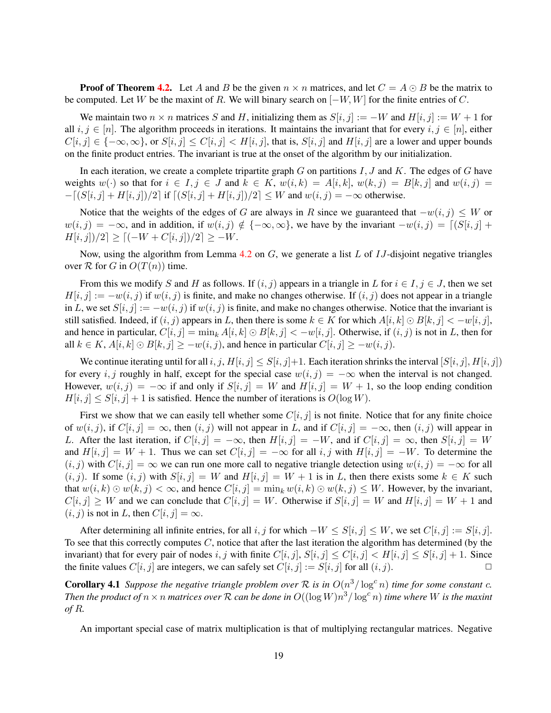**Proof of Theorem [4.2.](#page-14-1)** Let A and B be the given  $n \times n$  matrices, and let  $C = A \odot B$  be the matrix to be computed. Let W be the maxint of R. We will binary search on  $[-W, W]$  for the finite entries of C.

We maintain two  $n \times n$  matrices S and H, initializing them as  $S[i, j] := -W$  and  $H[i, j] := W + 1$  for all  $i, j \in [n]$ . The algorithm proceeds in iterations. It maintains the invariant that for every  $i, j \in [n]$ , either  $C[i, j] \in \{-\infty, \infty\}$ , or  $S[i, j] \le C[i, j] \le H[i, j]$ , that is,  $S[i, j]$  and  $H[i, j]$  are a lower and upper bounds on the finite product entries. The invariant is true at the onset of the algorithm by our initialization.

In each iteration, we create a complete tripartite graph  $G$  on partitions  $I, J$  and  $K$ . The edges of  $G$  have weights  $w(\cdot)$  so that for  $i \in I, j \in J$  and  $k \in K$ ,  $w(i,k) = A[i,k]$ ,  $w(k,j) = B[k,j]$  and  $w(i,j) =$  $-\left[(S[i, j] + H[i, j])/2\right]$  if  $\left[(S[i, j] + H[i, j])/2\right] \leq W$  and  $w(i, j) = -\infty$  otherwise.

Notice that the weights of the edges of G are always in R since we guaranteed that  $-w(i, j) \leq W$  or  $w(i, j) = -\infty$ , and in addition, if  $w(i, j) \notin \{-\infty, \infty\}$ , we have by the invariant  $-w(i, j) = \lfloor (S[i, j] +$  $H[i, j]/2] \geq [(-W + C[i, j])/2] \geq -W.$ 

Now, using the algorithm from Lemma [4.2](#page-16-1) on  $G$ , we generate a list  $L$  of  $IJ$ -disjoint negative triangles over  $R$  for  $G$  in  $O(T(n))$  time.

From this we modify S and H as follows. If  $(i, j)$  appears in a triangle in L for  $i \in I, j \in J$ , then we set  $H[i, j] := -w(i, j)$  if  $w(i, j)$  is finite, and make no changes otherwise. If  $(i, j)$  does not appear in a triangle in L, we set  $S[i, j] := -w(i, j)$  if  $w(i, j)$  is finite, and make no changes otherwise. Notice that the invariant is still satisfied. Indeed, if  $(i, j)$  appears in L, then there is some  $k \in K$  for which  $A[i, k] \odot B[k, j] < -w[i, j]$ , and hence in particular,  $C[i, j] = \min_k A[i, k] \odot B[k, j] < -w[i, j]$ . Otherwise, if  $(i, j)$  is not in L, then for all  $k \in K$ ,  $A[i, k] \odot B[k, j] \ge -w(i, j)$ , and hence in particular  $C[i, j] \ge -w(i, j)$ .

We continue iterating until for all  $i, j, H[i, j] \leq S[i, j]+1$ . Each iteration shrinks the interval  $[S[i, j], H[i, j])$ for every i, j roughly in half, except for the special case  $w(i, j) = -\infty$  when the interval is not changed. However,  $w(i, j) = -\infty$  if and only if  $S[i, j] = W$  and  $H[i, j] = W + 1$ , so the loop ending condition  $H[i, j] \leq S[i, j] + 1$  is satisfied. Hence the number of iterations is  $O(\log W)$ .

First we show that we can easily tell whether some  $C[i, j]$  is not finite. Notice that for any finite choice of  $w(i, j)$ , if  $C[i, j] = \infty$ , then  $(i, j)$  will not appear in L, and if  $C[i, j] = -\infty$ , then  $(i, j)$  will appear in L. After the last iteration, if  $C[i, j] = -\infty$ , then  $H[i, j] = -W$ , and if  $C[i, j] = \infty$ , then  $S[i, j] = W$ and  $H[i, j] = W + 1$ . Thus we can set  $C[i, j] = -\infty$  for all  $i, j$  with  $H[i, j] = -W$ . To determine the  $(i, j)$  with  $C[i, j] = \infty$  we can run one more call to negative triangle detection using  $w(i, j) = -\infty$  for all  $(i, j)$ . If some  $(i, j)$  with  $S[i, j] = W$  and  $H[i, j] = W + 1$  is in L, then there exists some  $k \in K$  such that  $w(i,k) \odot w(k,j) < \infty$ , and hence  $C[i,j] = \min_k w(i,k) \odot w(k,j) \leq W$ . However, by the invariant,  $C[i, j] \geq W$  and we can conclude that  $C[i, j] = W$ . Otherwise if  $S[i, j] = W$  and  $H[i, j] = W + 1$  and  $(i, j)$  is not in L, then  $C[i, j] = \infty$ .

After determining all infinite entries, for all i, j for which  $-W \leq S[i, j] \leq W$ , we set  $C[i, j] := S[i, j]$ . To see that this correctly computes  $C$ , notice that after the last iteration the algorithm has determined (by the invariant) that for every pair of nodes i, j with finite  $C[i, j]$ ,  $S[i, j] \leq C[i, j] \leq H[i, j] \leq S[i, j] + 1$ . Since the finite values  $C[i, j]$  are integers, we can safely set  $C[i, j] := S[i, j]$  for all  $(i, j)$ .

<span id="page-18-0"></span>**Corollary 4.1** Suppose the negative triangle problem over R is in  $O(n^3/\log^c n)$  time for some constant c. *Then the product of*  $n \times n$  *matrices over*  $\mathcal R$  *can be done in*  $O((\log W)n^3/\log^c n)$  *time where*  $W$  *is the maxint of* R*.*

An important special case of matrix multiplication is that of multiplying rectangular matrices. Negative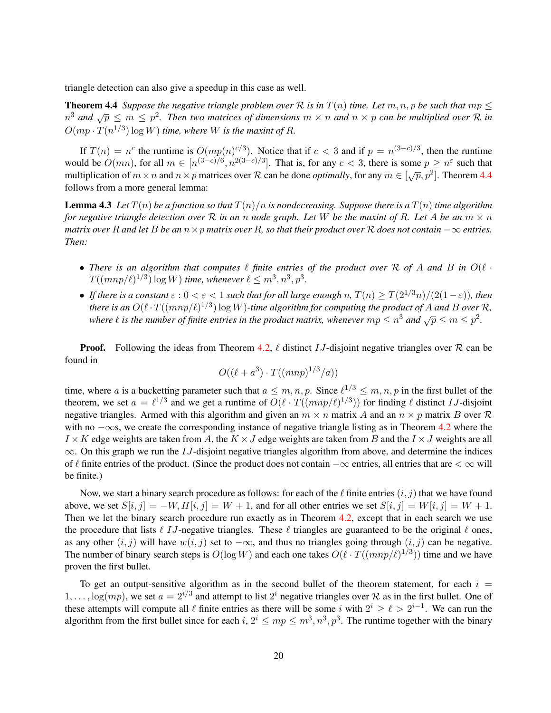triangle detection can also give a speedup in this case as well.

<span id="page-19-0"></span>**Theorem 4.4** *Suppose the negative triangle problem over*  $\mathcal R$  *is in*  $T(n)$  *time. Let*  $m, n, p$  *be such that*  $mp \leq$ **1 and**  $\sqrt{p} \le m \le p^2$ . Then two matrices of dimensions  $m \times n$  and  $n \times p$  can be multiplied over R in  $O(mp \cdot T(n^{1/3}) \log W)$  time, where W is the maxint of R.

If  $T(n) = n^c$  the runtime is  $O(mp(n)^{c/3})$ . Notice that if  $c < 3$  and if  $p = n^{(3-c)/3}$ , then the runtime would be  $O(mn)$ , for all  $m \in [n^{(3-c)/6}, n^{2(3-c)/3}]$ . That is, for any  $c < 3$ , there is some  $p \ge n^{\epsilon}$  such that multiplication of  $m \times n$  and  $n \times p$  matrices over R can be done *optimally*, for any  $m \in [\sqrt{p}, p^2]$ . Theorem [4.4](#page-19-0) follows from a more general lemma:

<span id="page-19-1"></span>**Lemma 4.3** Let  $T(n)$  be a function so that  $T(n)/n$  is nondecreasing. Suppose there is a  $T(n)$  time algorithm *for negative triangle detection over*  $\mathcal R$  *in an n node graph. Let*  $W$  *be the maxint of*  $R$ *. Let*  $A$  *be an*  $m \times n$ *matrix over* R and let B be an  $n \times p$  *matrix over* R, so that their product over R does not contain  $-\infty$  *entries. Then:*

- There is an algorithm that computes  $\ell$  finite entries of the product over R of A and B in  $O(\ell \cdot$  $T((mnp/\ell)^{1/3}) \log W$ ) time, whenever  $\ell \leq m^3, n^3, p^3$ .
- *If there is a constant*  $\varepsilon$  :  $0 < \varepsilon < 1$  *such that for all large enough n,*  $T(n) \geq T(2^{1/3}n)/(2(1-\varepsilon))$ *, then* there is an  $O(\ell \cdot T((mnp/\ell)^{1/3}) \log W)$ -time algorithm for computing the product of A and B over R, where  $\ell$  is the number of finite entries in the product matrix, whenever  $mp \leq n^3$  and  $\sqrt{p} \leq m \leq p^2$ .

**Proof.** Following the ideas from Theorem [4.2,](#page-14-1)  $\ell$  distinct IJ-disjoint negative triangles over R can be found in

$$
O((\ell+a^3) \cdot T((mnp)^{1/3}/a))
$$

time, where a is a bucketting parameter such that  $a \leq m, n, p$ . Since  $\ell^{1/3} \leq m, n, p$  in the first bullet of the theorem, we set  $a = \ell^{1/3}$  and we get a runtime of  $O(\ell \cdot T((mnp/\ell)^{1/3}))$  for finding  $\ell$  distinct IJ-disjoint negative triangles. Armed with this algorithm and given an  $m \times n$  matrix A and an  $n \times p$  matrix B over R with no  $-\infty$ s, we create the corresponding instance of negative triangle listing as in Theorem [4.2](#page-14-1) where the  $I \times K$  edge weights are taken from A, the  $K \times J$  edge weights are taken from B and the  $I \times J$  weights are all  $\infty$ . On this graph we run the IJ-disjoint negative triangles algorithm from above, and determine the indices of  $\ell$  finite entries of the product. (Since the product does not contain  $-\infty$  entries, all entries that are  $<\infty$  will be finite.)

Now, we start a binary search procedure as follows: for each of the  $\ell$  finite entries  $(i, j)$  that we have found above, we set  $S[i, j] = -W, H[i, j] = W + 1$ , and for all other entries we set  $S[i, j] = W[i, j] = W + 1$ . Then we let the binary search procedure run exactly as in Theorem [4.2,](#page-14-1) except that in each search we use the procedure that lists  $\ell$  IJ-negative triangles. These  $\ell$  triangles are guaranteed to be the original  $\ell$  ones, as any other  $(i, j)$  will have  $w(i, j)$  set to  $-\infty$ , and thus no triangles going through  $(i, j)$  can be negative. The number of binary search steps is  $O(\log W)$  and each one takes  $O(\ell \cdot T((mnp/\ell)^{1/3}))$  time and we have proven the first bullet.

To get an output-sensitive algorithm as in the second bullet of the theorem statement, for each  $i =$  $1,\ldots,\log(mp)$ , we set  $a=2^{i/3}$  and attempt to list  $2^i$  negative triangles over  $\mathcal R$  as in the first bullet. One of these attempts will compute all  $\ell$  finite entries as there will be some i with  $2^i \geq \ell > 2^{i-1}$ . We can run the algorithm from the first bullet since for each i,  $2^i \leq mp \leq m^3, n^3, p^3$ . The runtime together with the binary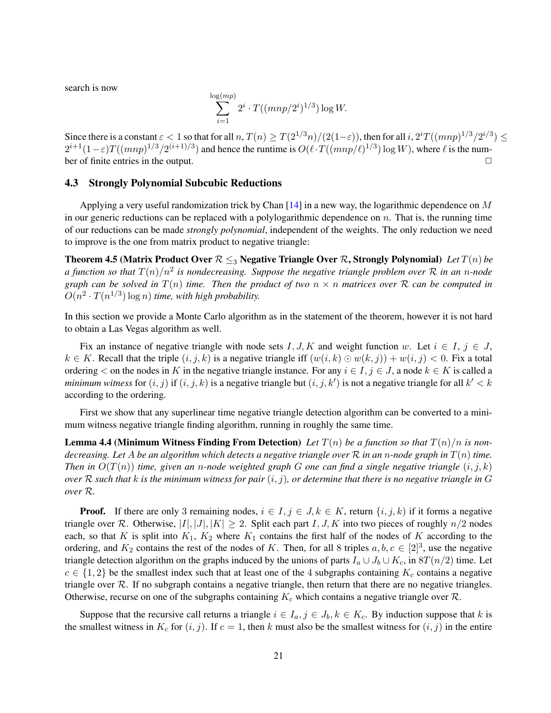search is now

$$
\sum_{i=1}^{\log (mp)} 2^i \cdot T((mnp/2^i)^{1/3}) \log W.
$$

Since there is a constant  $\varepsilon < 1$  so that for all  $n$ ,  $T(n) \geq T(2^{1/3}n)/(2(1-\varepsilon))$ , then for all  $i$ ,  $2^i T((mnp)^{1/3}/2^{i/3}) \leq$  $2^{i+1}(1-\varepsilon)T((mnp)^{1/3}/2^{(i+1)/3})$  and hence the runtime is  $O(\ell \cdot T((mnp/\ell)^{1/3}) \log W)$ , where  $\ell$  is the number of finite entries in the output.  $\Box$ 

#### <span id="page-20-0"></span>4.3 Strongly Polynomial Subcubic Reductions

Applying a very useful randomization trick by Chan [\[14\]](#page-38-13) in a new way, the logarithmic dependence on M in our generic reductions can be replaced with a polylogarithmic dependence on  $n$ . That is, the running time of our reductions can be made *strongly polynomial*, independent of the weights. The only reduction we need to improve is the one from matrix product to negative triangle:

<span id="page-20-1"></span>Theorem 4.5 (Matrix Product Over  $\mathcal{R} \leq_{3}$  Negative Triangle Over  $\mathcal{R}$ , Strongly Polynomial) *Let*  $T(n)$  *be a* function so that  $T(n)/n^2$  is nondecreasing. Suppose the negative triangle problem over R in an n-node *graph can be solved in*  $T(n)$  *time. Then the product of two*  $n \times n$  *matrices over* R *can be computed in*  $O(n^2 \cdot T(n^{1/3}) \log n)$  *time, with high probability.* 

In this section we provide a Monte Carlo algorithm as in the statement of the theorem, however it is not hard to obtain a Las Vegas algorithm as well.

Fix an instance of negative triangle with node sets I, J, K and weight function w. Let  $i \in I$ ,  $j \in J$ ,  $k \in K$ . Recall that the triple  $(i, j, k)$  is a negative triangle iff  $(w(i, k) \odot w(k, j)) + w(i, j) < 0$ . Fix a total ordering  $\lt$  on the nodes in K in the negative triangle instance. For any  $i \in I, j \in J$ , a node  $k \in K$  is called a *minimum witness* for  $(i, j)$  if  $(i, j, k)$  is a negative triangle but  $(i, j, k')$  is not a negative triangle for all  $k' < k$ according to the ordering.

First we show that any superlinear time negative triangle detection algorithm can be converted to a minimum witness negative triangle finding algorithm, running in roughly the same time.

**Lemma 4.4 (Minimum Witness Finding From Detection)** Let  $T(n)$  be a function so that  $T(n)/n$  is non*decreasing. Let* A *be an algorithm which detects a negative triangle over* R *in an* n*-node graph in* T(n) *time. Then in*  $O(T(n))$  *time, given an n-node weighted graph* G *one can find a single negative triangle*  $(i, j, k)$ *over* R *such that* k *is the minimum witness for pair* (i, j)*, or determine that there is no negative triangle in* G *over* R*.*

**Proof.** If there are only 3 remaining nodes,  $i \in I$ ,  $j \in J$ ,  $k \in K$ , return  $\{i, j, k\}$  if it forms a negative triangle over R. Otherwise,  $|I|, |J|, |K| \geq 2$ . Split each part I, J, K into two pieces of roughly  $n/2$  nodes each, so that K is split into  $K_1$ ,  $K_2$  where  $K_1$  contains the first half of the nodes of K according to the ordering, and  $K_2$  contains the rest of the nodes of K. Then, for all 8 triples  $a, b, c \in [2]^3$ , use the negative triangle detection algorithm on the graphs induced by the unions of parts  $I_a \cup J_b \cup K_c$ , in 8T $(n/2)$  time. Let  $c \in \{1,2\}$  be the smallest index such that at least one of the 4 subgraphs containing  $K_c$  contains a negative triangle over R. If no subgraph contains a negative triangle, then return that there are no negative triangles. Otherwise, recurse on one of the subgraphs containing  $K_c$  which contains a negative triangle over  $\mathcal{R}$ .

Suppose that the recursive call returns a triangle  $i \in I_a, j \in J_b, k \in K_c$ . By induction suppose that k is the smallest witness in  $K_c$  for  $(i, j)$ . If  $c = 1$ , then k must also be the smallest witness for  $(i, j)$  in the entire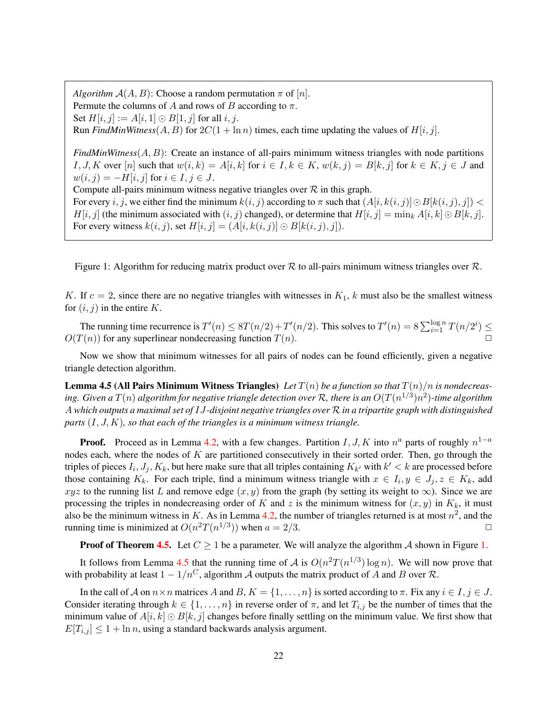*Algorithm*  $A(A, B)$ : Choose a random permutation  $\pi$  of [n]. Permute the columns of A and rows of B according to  $\pi$ . Set  $H[i, j] := A[i, 1] \odot B[1, j]$  for all  $i, j$ . Run *FindMinWitness*( $A, B$ ) for  $2C(1 + \ln n)$  times, each time updating the values of  $H[i, j]$ .  $FindMinWitness(A, B)$ : Create an instance of all-pairs minimum witness triangles with node partitions I, J, K over [n] such that  $w(i, k) = A[i, k]$  for  $i \in I, k \in K$ ,  $w(k, j) = B[k, j]$  for  $k \in K, j \in J$  and  $w(i, j) = -H[i, j]$  for  $i \in I, j \in J$ . Compute all-pairs minimum witness negative triangles over  $R$  in this graph. For every i, j, we either find the minimum  $k(i, j)$  according to  $\pi$  such that  $(A[i, k(i, j)] \odot B[k(i, j), j]) <$  $H[i, j]$  (the minimum associated with  $(i, j)$  changed), or determine that  $H[i, j] = \min_k A[i, k] \odot B[k, j]$ . For every witness  $k(i, j)$ , set  $H[i, j] = (A[i, k(i, j)] \odot B[k(i, j), j])$ .

<span id="page-21-0"></span>Figure 1: Algorithm for reducing matrix product over  $R$  to all-pairs minimum witness triangles over  $R$ .

K. If  $c = 2$ , since there are no negative triangles with witnesses in  $K_1$ , k must also be the smallest witness for  $(i, j)$  in the entire K.

The running time recurrence is  $T'(n) \leq 8T(n/2) + T'(n/2)$ . This solves to  $T'(n) = 8 \sum_{i=1}^{\log n} T(n/2^i) \leq$  $O(T(n))$  for any superlinear nondecreasing function  $T(n)$ .

Now we show that minimum witnesses for all pairs of nodes can be found efficiently, given a negative triangle detection algorithm.

<span id="page-21-1"></span>**Lemma 4.5 (All Pairs Minimum Witness Triangles)** Let  $T(n)$  be a function so that  $T(n)/n$  is nondecreasing. Given a  $T(n)$  algorithm for negative triangle detection over  $\mathcal R$ , there is an  $O(T(n^{1/3})n^2)$ -time algorithm A *which outputs a maximal set of* IJ*-disjoint negative triangles over* R *in a tripartite graph with distinguished parts* (I, J, K)*, so that each of the triangles is a minimum witness triangle.*

**Proof.** Proceed as in Lemma [4.2,](#page-16-1) with a few changes. Partition  $I, J, K$  into  $n^a$  parts of roughly  $n^{1-a}$ nodes each, where the nodes of  $K$  are partitioned consecutively in their sorted order. Then, go through the triples of pieces  $I_i, J_j, K_k$ , but here make sure that all triples containing  $K_{k'}$  with  $k' < k$  are processed before those containing  $K_k$ . For each triple, find a minimum witness triangle with  $x \in I_i, y \in J_j, z \in K_k$ , add xyz to the running list L and remove edge  $(x, y)$  from the graph (by setting its weight to  $\infty$ ). Since we are processing the triples in nondecreasing order of K and z is the minimum witness for  $(x, y)$  in  $K_k$ , it must also be the minimum witness in K. As in Lemma [4.2,](#page-16-1) the number of triangles returned is at most  $n^2$ , and the running time is minimized at  $O(n^2T(n^{1/3}))$  when  $a = 2/3$ .

**Proof of Theorem [4.5.](#page-20-1)** Let  $C \ge 1$  be a parameter. We will analyze the algorithm A shown in Figure [1.](#page-21-0)

It follows from Lemma [4.5](#page-21-1) that the running time of A is  $O(n^2T(n^{1/3}) \log n)$ . We will now prove that with probability at least  $1 - 1/n^C$ , algorithm A outputs the matrix product of A and B over R.

In the call of A on  $n \times n$  matrices A and B,  $K = \{1, \ldots, n\}$  is sorted according to  $\pi$ . Fix any  $i \in I, j \in J$ . Consider iterating through  $k \in \{1, \ldots, n\}$  in reverse order of  $\pi$ , and let  $T_{i,j}$  be the number of times that the minimum value of  $A[i, k] \odot B[k, j]$  changes before finally settling on the minimum value. We first show that  $E[T_{i,j}] \leq 1 + \ln n$ , using a standard backwards analysis argument.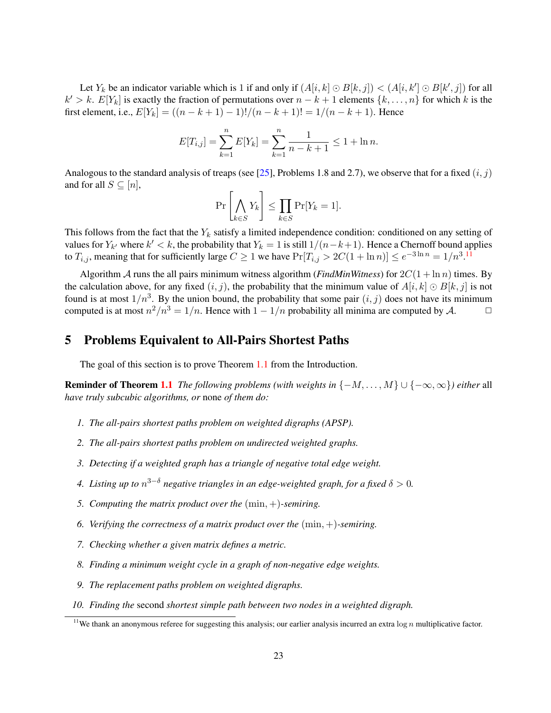Let  $Y_k$  be an indicator variable which is 1 if and only if  $(A[i, k] \odot B[k, j]) < (A[i, k'] \odot B[k', j])$  for all  $k' > k$ .  $E[Y_k]$  is exactly the fraction of permutations over  $n - k + 1$  elements  $\{k, \ldots, n\}$  for which k is the first element, i.e.,  $E[Y_k] = ((n - k + 1) - 1)!/(n - k + 1)! = 1/(n - k + 1)$ . Hence

$$
E[T_{i,j}] = \sum_{k=1}^{n} E[Y_k] = \sum_{k=1}^{n} \frac{1}{n-k+1} \le 1 + \ln n.
$$

Analogous to the standard analysis of treaps (see [\[25\]](#page-39-14), Problems 1.8 and 2.7), we observe that for a fixed  $(i, j)$ and for all  $S \subseteq [n]$ ,

$$
\Pr\left[\bigwedge_{k\in S} Y_k\right] \le \prod_{k\in S} \Pr[Y_k = 1].
$$

This follows from the fact that the  $Y_k$  satisfy a limited independence condition: conditioned on any setting of values for  $Y_{k'}$  where  $k' < k$ , the probability that  $Y_k = 1$  is still  $1/(n-k+1)$ . Hence a Chernoff bound applies to  $T_{i,j}$ , meaning that for sufficiently large  $C \ge 1$  we have  $Pr[T_{i,j} > 2C(1 + \ln n)] \le e^{-3\ln n} = 1/n^{3}$ .<sup>[11](#page-22-0)</sup>

Algorithm A runs the all pairs minimum witness algorithm (*FindMinWitness*) for  $2C(1 + \ln n)$  times. By the calculation above, for any fixed  $(i, j)$ , the probability that the minimum value of  $A[i, k] \odot B[k, j]$  is not found is at most  $1/n<sup>3</sup>$ . By the union bound, the probability that some pair  $(i, j)$  does not have its minimum computed is at most  $n^2/n^3 = 1/n$ . Hence with  $1 - 1/n$  probability all minima are computed by A.  $\Box$ 

### 5 Problems Equivalent to All-Pairs Shortest Paths

The goal of this section is to prove Theorem [1.1](#page-2-0) from the Introduction.

**Reminder of Theorem [1.1](#page-2-0)** *The following problems (with weights in*  $\{-M, \ldots, M\} \cup \{-\infty, \infty\}$ ) *either* all *have truly subcubic algorithms, or* none *of them do:*

- *1. The all-pairs shortest paths problem on weighted digraphs (APSP).*
- *2. The all-pairs shortest paths problem on undirected weighted graphs.*
- *3. Detecting if a weighted graph has a triangle of negative total edge weight.*
- *4. Listing up to* n <sup>3</sup>−<sup>δ</sup> *negative triangles in an edge-weighted graph, for a fixed* δ > 0*.*
- *5. Computing the matrix product over the* (min, +)*-semiring.*
- *6. Verifying the correctness of a matrix product over the* (min, +)*-semiring.*
- *7. Checking whether a given matrix defines a metric.*
- *8. Finding a minimum weight cycle in a graph of non-negative edge weights.*
- *9. The replacement paths problem on weighted digraphs.*
- *10. Finding the* second *shortest simple path between two nodes in a weighted digraph.*

<span id="page-22-0"></span><sup>&</sup>lt;sup>11</sup>We thank an anonymous referee for suggesting this analysis; our earlier analysis incurred an extra  $\log n$  multiplicative factor.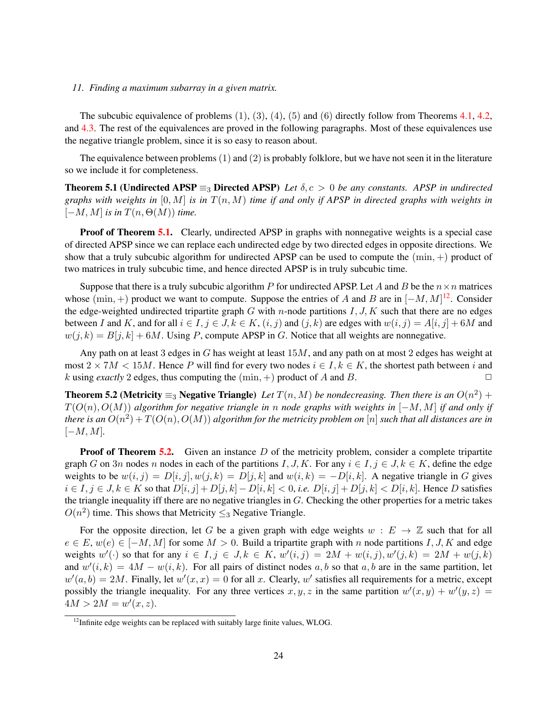#### *11. Finding a maximum subarray in a given matrix.*

The subcubic equivalence of problems  $(1)$ ,  $(3)$ ,  $(4)$ ,  $(5)$  and  $(6)$  directly follow from Theorems [4.1,](#page-14-0) [4.2,](#page-14-1) and [4.3.](#page-15-0) The rest of the equivalences are proved in the following paragraphs. Most of these equivalences use the negative triangle problem, since it is so easy to reason about.

<span id="page-23-0"></span>The equivalence between problems (1) and (2) is probably folklore, but we have not seen it in the literature so we include it for completeness.

Theorem 5.1 (Undirected APSP  $\equiv_3$  Directed APSP) *Let*  $\delta, c > 0$  *be any constants. APSP in undirected graphs with weights in*  $[0, M]$  *is in*  $T(n, M)$  *time if and only if APSP in directed graphs with weights in*  $[-M, M]$  *is in*  $T(n, \Theta(M))$  *time.* 

**Proof of Theorem [5.1.](#page-23-0)** Clearly, undirected APSP in graphs with nonnegative weights is a special case of directed APSP since we can replace each undirected edge by two directed edges in opposite directions. We show that a truly subcubic algorithm for undirected APSP can be used to compute the  $(min, +)$  product of two matrices in truly subcubic time, and hence directed APSP is in truly subcubic time.

Suppose that there is a truly subcubic algorithm P for undirected APSP. Let A and B be the  $n \times n$  matrices whose (min, +) product we want to compute. Suppose the entries of A and B are in  $[-M, M]$ <sup>[12](#page-23-1)</sup>. Consider the edge-weighted undirected tripartite graph  $G$  with n-node partitions  $I, J, K$  such that there are no edges between I and K, and for all  $i \in I, j \in J, k \in K, (i, j)$  and  $(j, k)$  are edges with  $w(i, j) = A[i, j] + 6M$  and  $w(j, k) = B[j, k] + 6M$ . Using P, compute APSP in G. Notice that all weights are nonnegative.

Any path on at least 3 edges in G has weight at least 15M, and any path on at most 2 edges has weight at most  $2 \times 7M < 15M$ . Hence P will find for every two nodes  $i \in I, k \in K$ , the shortest path between i and k using *exactly* 2 edges, thus computing the  $(\min, +)$  product of A and B.

<span id="page-23-2"></span>**Theorem 5.2 (Metricity**  $\equiv_3$  **Negative Triangle**) Let  $T(n, M)$  be nondecreasing. Then there is an  $O(n^2)$  + T(O(n), O(M)) *algorithm for negative triangle in* n *node graphs with weights in* [−M, M] *if and only if* there is an  $O(n^2) + T(O(n), O(M))$  algorithm for the metricity problem on  $[n]$  such that all distances are in  $[-M, M]$ .

**Proof of Theorem [5.2.](#page-23-2)** Given an instance  $D$  of the metricity problem, consider a complete tripartite graph G on 3n nodes n nodes in each of the partitions I, J, K. For any  $i \in I, j \in J, k \in K$ , define the edge weights to be  $w(i, j) = D[i, j], w(j, k) = D[j, k]$  and  $w(i, k) = -D[i, k]$ . A negative triangle in G gives  $i \in I, j \in J, k \in K$  so that  $D[i, j] + D[j, k] - D[i, k] < 0$ , *i.e.*  $D[i, j] + D[j, k] < D[i, k]$ . Hence D satisfies the triangle inequality iff there are no negative triangles in G. Checking the other properties for a metric takes  $O(n^2)$  time. This shows that Metricity  $\leq_3$  Negative Triangle.

For the opposite direction, let G be a given graph with edge weights  $w : E \to \mathbb{Z}$  such that for all  $e \in E$ ,  $w(e) \in [-M, M]$  for some  $M > 0$ . Build a tripartite graph with n node partitions I, J, K and edge weights  $w'(\cdot)$  so that for any  $i \in I, j \in J, k \in K$ ,  $w'(i,j) = 2M + w(i,j)$ ,  $w'(j,k) = 2M + w(j,k)$ and  $w'(i,k) = 4M - w(i,k)$ . For all pairs of distinct nodes a, b so that a, b are in the same partition, let  $w'(a, b) = 2M$ . Finally, let  $w'(x, x) = 0$  for all x. Clearly, w' satisfies all requirements for a metric, except possibly the triangle inequality. For any three vertices  $x, y, z$  in the same partition  $w'(x, y) + w'(y, z) =$  $4M > 2M = w'(x, z).$ 

<span id="page-23-1"></span><sup>&</sup>lt;sup>12</sup>Infinite edge weights can be replaced with suitably large finite values, WLOG.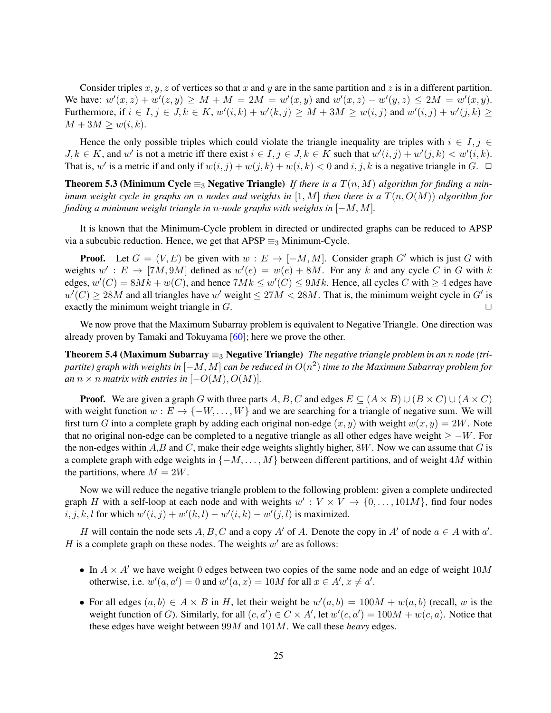Consider triples x, y, z of vertices so that x and y are in the same partition and z is in a different partition. We have:  $w'(x, z) + w'(z, y) \ge M + M = 2M = w'(x, y)$  and  $w'(x, z) - w'(y, z) \le 2M = w'(x, y)$ . Furthermore, if  $i \in I, j \in J, k \in K$ ,  $w'(i,k) + w'(k,j) \ge M + 3M \ge w(i,j)$  and  $w'(i,j) + w'(j,k) \ge$  $M + 3M \geq w(i, k).$ 

Hence the only possible triples which could violate the triangle inequality are triples with  $i \in I, j \in I$  $J, k \in K$ , and w' is not a metric iff there exist  $i \in I, j \in J, k \in K$  such that  $w'(i, j) + w'(j, k) < w'(i, k)$ . That is, w' is a metric if and only if  $w(i, j) + w(j, k) + w(i, k) < 0$  and  $i, j, k$  is a negative triangle in  $G$ .  $\Box$ 

**Theorem 5.3 (Minimum Cycle**  $\equiv_3$  **Negative Triangle)** *If there is a*  $T(n, M)$  *algorithm for finding a minimum weight cycle in graphs on* n *nodes and weights in* [1, M] *then there is a* T(n, O(M)) *algorithm for finding a minimum weight triangle in* n*-node graphs with weights in* [−M, M]*.*

It is known that the Minimum-Cycle problem in directed or undirected graphs can be reduced to APSP via a subcubic reduction. Hence, we get that  $APSP \equiv_3$  Minimum-Cycle.

**Proof.** Let  $G = (V, E)$  be given with  $w : E \to [-M, M]$ . Consider graph G' which is just G with weights  $w' : E \to [7M, 9M]$  defined as  $w'(e) = w(e) + 8M$ . For any k and any cycle C in G with k edges,  $w'(C) = 8Mk + w(C)$ , and hence  $7Mk \leq w'(C) \leq 9Mk$ . Hence, all cycles C with  $\geq 4$  edges have  $w'(C) \ge 28M$  and all triangles have w' weight  $\le 27M < 28M$ . That is, the minimum weight cycle in G' is exactly the minimum weight triangle in  $G$ .

We now prove that the Maximum Subarray problem is equivalent to Negative Triangle. One direction was already proven by Tamaki and Tokuyama [\[60\]](#page-41-15); here we prove the other.

Theorem 5.4 (Maximum Subarray ≡<sup>3</sup> Negative Triangle) *The negative triangle problem in an* n *node (tripartite) graph with weights in* [−M, M] *can be reduced in* O(n 2 ) *time to the Maximum Subarray problem for an*  $n \times n$  *matrix with entries in*  $[-O(M), O(M)]$ *.* 

**Proof.** We are given a graph G with three parts A, B, C and edges  $E \subseteq (A \times B) \cup (B \times C) \cup (A \times C)$ with weight function  $w : E \to \{-W, \dots, W\}$  and we are searching for a triangle of negative sum. We will first turn G into a complete graph by adding each original non-edge  $(x, y)$  with weight  $w(x, y) = 2W$ . Note that no original non-edge can be completed to a negative triangle as all other edges have weight  $\geq -W$ . For the non-edges within  $A, B$  and  $C$ , make their edge weights slightly higher,  $8W$ . Now we can assume that  $G$  is a complete graph with edge weights in  $\{-M, \ldots, M\}$  between different partitions, and of weight 4M within the partitions, where  $M = 2W$ .

Now we will reduce the negative triangle problem to the following problem: given a complete undirected graph H with a self-loop at each node and with weights  $w': V \times V \to \{0, \ldots, 101M\}$ , find four nodes i, j, k, l for which  $w'(i, j) + w'(k, l) - w'(i, k) - w'(j, l)$  is maximized.

H will contain the node sets A, B, C and a copy A' of A. Denote the copy in A' of node  $a \in A$  with  $a'$ . H is a complete graph on these nodes. The weights  $w'$  are as follows:

- In  $A \times A'$  we have weight 0 edges between two copies of the same node and an edge of weight  $10M$ otherwise, i.e.  $w'(a, a') = 0$  and  $w'(a, x) = 10M$  for all  $x \in A', x \neq a'$ .
- For all edges  $(a, b) \in A \times B$  in H, let their weight be  $w'(a, b) = 100M + w(a, b)$  (recall, w is the weight function of G). Similarly, for all  $(c, a') \in C \times A'$ , let  $w'(c, a') = 100M + w(c, a)$ . Notice that these edges have weight between 99M and 101M. We call these *heavy* edges.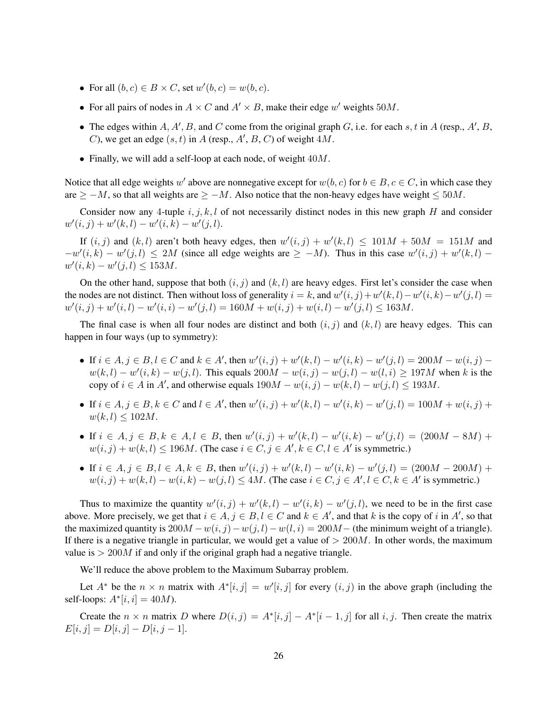- For all  $(b, c) \in B \times C$ , set  $w'(b, c) = w(b, c)$ .
- For all pairs of nodes in  $A \times C$  and  $A' \times B$ , make their edge w' weights 50M.
- The edges within  $A, A', B$ , and C come from the original graph G, i.e. for each s, t in A (resp., A', B, C), we get an edge  $(s, t)$  in A (resp., A', B, C) of weight  $4M$ .
- Finally, we will add a self-loop at each node, of weight  $40M$ .

Notice that all edge weights w' above are nonnegative except for  $w(b, c)$  for  $b \in B, c \in C$ , in which case they are  $\geq -M$ , so that all weights are  $\geq -M$ . Also notice that the non-heavy edges have weight  $\leq 50M$ .

Consider now any 4-tuple i, j, k, l of not necessarily distinct nodes in this new graph H and consider  $w'(i, j) + w'(k, l) - w'(i, k) - w'(j, l).$ 

If  $(i, j)$  and  $(k, l)$  aren't both heavy edges, then  $w'(i, j) + w'(k, l) \leq 101M + 50M = 151M$  and  $-w'(i,k) - w'(j,l) \le 2M$  (since all edge weights are  $\ge -M$ ). Thus in this case  $w'(i,j) + w'(k,l)$  $w'(i,k) - w'(j,l) \le 153M.$ 

On the other hand, suppose that both  $(i, j)$  and  $(k, l)$  are heavy edges. First let's consider the case when the nodes are not distinct. Then without loss of generality  $i = k$ , and  $w'(i, j) + w'(k, l) - w'(i, k) - w'(j, l) =$  $w'(i, j) + w'(i, l) - w'(i, i) - w'(j, l) = 160M + w(i, j) + w(i, l) - w'(j, l) \le 163M.$ 

The final case is when all four nodes are distinct and both  $(i, j)$  and  $(k, l)$  are heavy edges. This can happen in four ways (up to symmetry):

- If  $i \in A, j \in B, l \in C$  and  $k \in A'$ , then  $w'(i, j) + w'(k, l) w'(i, k) w'(j, l) = 200M w(i, j)$  $w(k, l) - w'(i, k) - w(j, l)$ . This equals  $200M - w(i, j) - w(j, l) - w(l, i) \ge 197M$  when k is the copy of  $i \in A$  in A', and otherwise equals  $190M - w(i, j) - w(k, l) - w(j, l) \le 193M$ .
- If  $i \in A, j \in B, k \in C$  and  $l \in A'$ , then  $w'(i, j) + w'(k, l) w'(i, k) w'(j, l) = 100M + w(i, j) +$  $w(k, l) \leq 102M$ .
- If  $i \in A, j \in B, k \in A, l \in B$ , then  $w'(i, j) + w'(k, l) w'(i, k) w'(j, l) = (200M 8M) +$  $w(i, j) + w(k, l) \le 196M$ . (The case  $i \in C, j \in A', k \in C, l \in A'$  is symmetric.)
- If  $i \in A, j \in B, l \in A, k \in B$ , then  $w'(i, j) + w'(k, l) w'(i, k) w'(j, l) = (200M 200M) +$  $w(i, j) + w(k, l) - w(i, k) - w(j, l) \le 4M$ . (The case  $i \in C, j \in A', l \in C, k \in A'$  is symmetric.)

Thus to maximize the quantity  $w'(i, j) + w'(k, l) - w'(i, k) - w'(j, l)$ , we need to be in the first case above. More precisely, we get that  $i \in A$ ,  $j \in B$ ,  $l \in C$  and  $k \in A'$ , and that k is the copy of i in A', so that the maximized quantity is  $200M - w(i, j) - w(j, l) - w(l, i) = 200M$  – (the minimum weight of a triangle). If there is a negative triangle in particular, we would get a value of  $> 200M$ . In other words, the maximum value is  $> 200M$  if and only if the original graph had a negative triangle.

We'll reduce the above problem to the Maximum Subarray problem.

Let  $A^*$  be the  $n \times n$  matrix with  $A^*[i, j] = w'[i, j]$  for every  $(i, j)$  in the above graph (including the self-loops:  $A^*[i, i] = 40M$ .

Create the  $n \times n$  matrix D where  $D(i, j) = A^*[i, j] - A^*[i-1, j]$  for all i, j. Then create the matrix  $E[i, j] = D[i, j] - D[i, j-1].$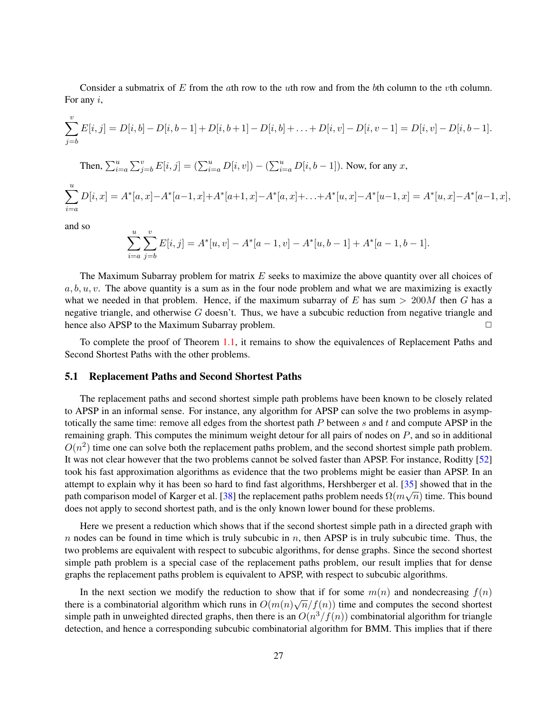Consider a submatrix of E from the ath row to the uth row and from the bth column to the vth column. For any  $i$ ,

$$
\sum_{j=b}^{v} E[i,j] = D[i,b]-D[i,b-1]+D[i,b+1]-D[i,b]+\ldots+D[i,v]-D[i,v-1]=D[i,v]-D[i,b-1].
$$

Then, 
$$
\sum_{i=a}^{u} \sum_{j=b}^{v} E[i, j] = (\sum_{i=a}^{u} D[i, v]) - (\sum_{i=a}^{u} D[i, b-1])
$$
. Now, for any x,

$$
\sum_{i=a}^{u} D[i,x] = A^*[a,x] - A^*[a-1,x] + A^*[a+1,x] - A^*[a,x] + \ldots + A^*[u,x] - A^*[u-1,x] = A^*[u,x] - A^*[a-1,x],
$$

and so

$$
\sum_{i=a}^{u} \sum_{j=b}^{v} E[i,j] = A^*[u, v] - A^*[a-1, v] - A^*[u, b-1] + A^*[a-1, b-1].
$$

The Maximum Subarray problem for matrix  $E$  seeks to maximize the above quantity over all choices of  $a, b, u, v$ . The above quantity is a sum as in the four node problem and what we are maximizing is exactly what we needed in that problem. Hence, if the maximum subarray of E has sum  $> 200M$  then G has a negative triangle, and otherwise  $G$  doesn't. Thus, we have a subcubic reduction from negative triangle and hence also APSP to the Maximum Subarray problem. ◯

To complete the proof of Theorem [1.1,](#page-2-0) it remains to show the equivalences of Replacement Paths and Second Shortest Paths with the other problems.

#### 5.1 Replacement Paths and Second Shortest Paths

The replacement paths and second shortest simple path problems have been known to be closely related to APSP in an informal sense. For instance, any algorithm for APSP can solve the two problems in asymptotically the same time: remove all edges from the shortest path  $P$  between  $s$  and  $t$  and compute APSP in the remaining graph. This computes the minimum weight detour for all pairs of nodes on  $P$ , and so in additional  $O(n^2)$  time one can solve both the replacement paths problem, and the second shortest simple path problem. It was not clear however that the two problems cannot be solved faster than APSP. For instance, Roditty [\[52\]](#page-40-3) took his fast approximation algorithms as evidence that the two problems might be easier than APSP. In an attempt to explain why it has been so hard to find fast algorithms, Hershberger et al.  $[35]$  showed that in the path comparison model of Karger et al. [\[38\]](#page-40-17) the replacement paths problem needs  $\Omega(m\sqrt{n})$  time. This bound does not apply to second shortest path, and is the only known lower bound for these problems.

Here we present a reduction which shows that if the second shortest simple path in a directed graph with n nodes can be found in time which is truly subcubic in  $n$ , then APSP is in truly subcubic time. Thus, the two problems are equivalent with respect to subcubic algorithms, for dense graphs. Since the second shortest simple path problem is a special case of the replacement paths problem, our result implies that for dense graphs the replacement paths problem is equivalent to APSP, with respect to subcubic algorithms.

In the next section we modify the reduction to show that if for some  $m(n)$  and nondecreasing  $f(n)$ there is a combinatorial algorithm which runs in  $O(m(n)\sqrt{n}/f(n))$  time and computes the second shortest simple path in unweighted directed graphs, then there is an  $O(n^3/f(n))$  combinatorial algorithm for triangle detection, and hence a corresponding subcubic combinatorial algorithm for BMM. This implies that if there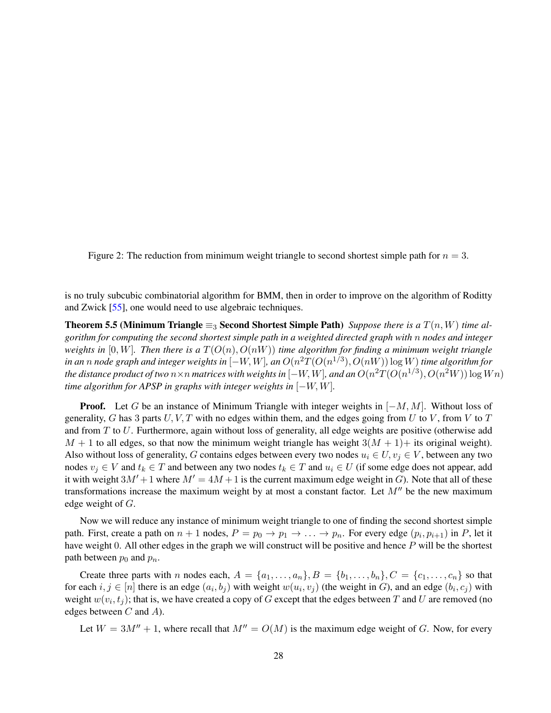<span id="page-27-0"></span>Figure 2: The reduction from minimum weight triangle to second shortest simple path for  $n = 3$ .

is no truly subcubic combinatorial algorithm for BMM, then in order to improve on the algorithm of Roditty and Zwick [\[55\]](#page-41-2), one would need to use algebraic techniques.

**Theorem 5.5 (Minimum Triangle**  $\equiv_3$  **Second Shortest Simple Path)** *Suppose there is a*  $T(n, W)$  *time algorithm for computing the second shortest simple path in a weighted directed graph with* n *nodes and integer weights in* [0, W]. Then there is a  $T(O(n), O(nW))$  time algorithm for finding a minimum weight triangle  $\tilde{a}$  *in an*  $n$  *node graph and integer weights in*  $[-W,W]$ *, an*  $O(n^2T(O(n^{1/3}), O(nW))\log W)$  *time algorithm for* the distance product of two  $n\times n$  matrices with weights in  $[-W,W]$ , and an  $O(n^2T(O(n^{1/3}),O(n^2W))\log Wn)$ *time algorithm for APSP in graphs with integer weights in* [−W, W]*.*

**Proof.** Let G be an instance of Minimum Triangle with integer weights in  $[-M, M]$ . Without loss of generality, G has 3 parts  $U, V, T$  with no edges within them, and the edges going from U to V, from V to T and from T to U. Furthermore, again without loss of generality, all edge weights are positive (otherwise add  $M + 1$  to all edges, so that now the minimum weight triangle has weight  $3(M + 1)$ + its original weight). Also without loss of generality, G contains edges between every two nodes  $u_i \in U$ ,  $v_j \in V$ , between any two nodes  $v_i \in V$  and  $t_k \in T$  and between any two nodes  $t_k \in T$  and  $u_i \in U$  (if some edge does not appear, add it with weight  $3M' + 1$  where  $M' = 4M + 1$  is the current maximum edge weight in G). Note that all of these transformations increase the maximum weight by at most a constant factor. Let  $M''$  be the new maximum edge weight of G.

Now we will reduce any instance of minimum weight triangle to one of finding the second shortest simple path. First, create a path on  $n+1$  nodes,  $P = p_0 \to p_1 \to \ldots \to p_n$ . For every edge  $(p_i, p_{i+1})$  in P, let it have weight 0. All other edges in the graph we will construct will be positive and hence P will be the shortest path between  $p_0$  and  $p_n$ .

Create three parts with n nodes each,  $A = \{a_1, \ldots, a_n\}$ ,  $B = \{b_1, \ldots, b_n\}$ ,  $C = \{c_1, \ldots, c_n\}$  so that for each  $i, j \in [n]$  there is an edge  $(a_i, b_j)$  with weight  $w(u_i, v_j)$  (the weight in G), and an edge  $(b_i, c_j)$  with weight  $w(v_i, t_j)$ ; that is, we have created a copy of G except that the edges between T and U are removed (no edges between  $C$  and  $A$ ).

Let  $W = 3M'' + 1$ , where recall that  $M'' = O(M)$  is the maximum edge weight of G. Now, for every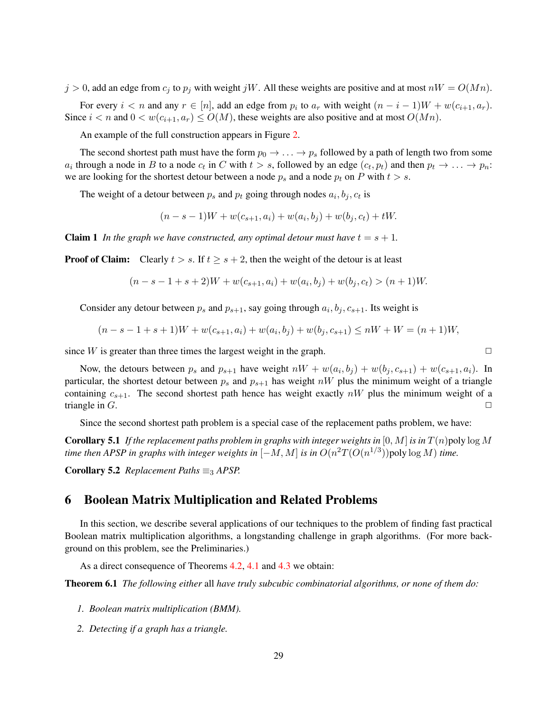$j > 0$ , add an edge from  $c_j$  to  $p_j$  with weight  $jW$ . All these weights are positive and at most  $nW = O(Mn)$ .

For every  $i < n$  and any  $r \in [n]$ , add an edge from  $p_i$  to  $a_r$  with weight  $(n - i - 1)W + w(c_{i+1}, a_r)$ . Since  $i < n$  and  $0 < w(c_{i+1}, a_r) \le O(M)$ , these weights are also positive and at most  $O(Mn)$ .

An example of the full construction appears in Figure [2.](#page-27-0)

The second shortest path must have the form  $p_0 \to \ldots \to p_s$  followed by a path of length two from some  $a_i$  through a node in B to a node  $c_t$  in C with  $t > s$ , followed by an edge  $(c_t, p_t)$  and then  $p_t \to \ldots \to p_n$ : we are looking for the shortest detour between a node  $p_s$  and a node  $p_t$  on P with  $t > s$ .

The weight of a detour between  $p_s$  and  $p_t$  going through nodes  $a_i, b_j, c_t$  is

$$
(n - s - 1)W + w(c_{s+1}, a_i) + w(a_i, b_j) + w(b_j, c_t) + tW.
$$

**Claim 1** *In the graph we have constructed, any optimal detour must have*  $t = s + 1$ *.* 

**Proof of Claim:** Clearly  $t > s$ . If  $t \geq s + 2$ , then the weight of the detour is at least

$$
(n - s - 1 + s + 2)W + w(c_{s+1}, a_i) + w(a_i, b_j) + w(b_j, c_t) > (n + 1)W.
$$

Consider any detour between  $p_s$  and  $p_{s+1}$ , say going through  $a_i, b_j, c_{s+1}$ . Its weight is

$$
(n - s - 1 + s + 1)W + w(c_{s+1}, a_i) + w(a_i, b_j) + w(b_j, c_{s+1}) \le nW + W = (n + 1)W,
$$

since  $W$  is greater than three times the largest weight in the graph.  $\square$ 

Now, the detours between  $p_s$  and  $p_{s+1}$  have weight  $nW + w(a_i, b_j) + w(b_j, c_{s+1}) + w(c_{s+1}, a_i)$ . In particular, the shortest detour between  $p_s$  and  $p_{s+1}$  has weight nW plus the minimum weight of a triangle containing  $c_{s+1}$ . The second shortest path hence has weight exactly nW plus the minimum weight of a triangle in  $G$ .

Since the second shortest path problem is a special case of the replacement paths problem, we have:

**Corollary 5.1** If the replacement paths problem in graphs with integer weights in  $[0, M]$  is in  $T(n)$  poly  $\log M$ *time then APSP in graphs with integer weights in*  $[-M, M]$  *is in*  $O(n^2T(O(n^{1/3}))$  poly  $\log M)$  *time.* 

Corollary 5.2 *Replacement Paths*  $\equiv_3$  *APSP.* 

# 6 Boolean Matrix Multiplication and Related Problems

In this section, we describe several applications of our techniques to the problem of finding fast practical Boolean matrix multiplication algorithms, a longstanding challenge in graph algorithms. (For more background on this problem, see the Preliminaries.)

As a direct consequence of Theorems [4.2,](#page-14-1) [4.1](#page-14-0) and [4.3](#page-15-0) we obtain:

Theorem 6.1 *The following either* all *have truly subcubic combinatorial algorithms, or none of them do:*

- *1. Boolean matrix multiplication (BMM).*
- *2. Detecting if a graph has a triangle.*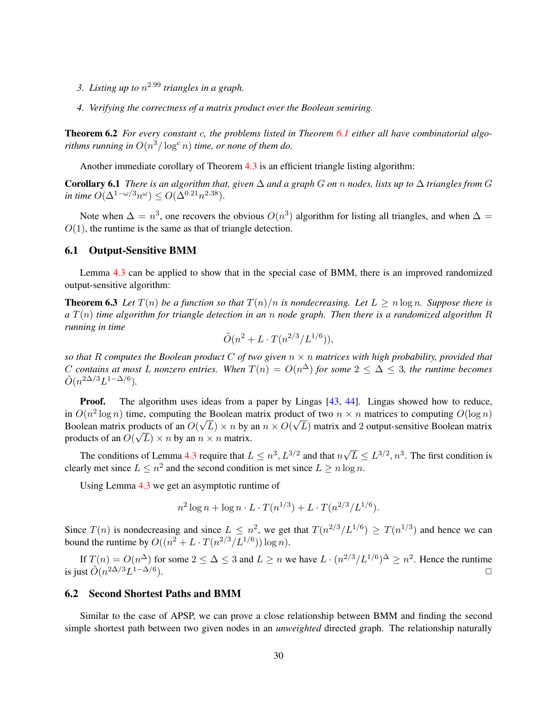- *3. Listing up to* n <sup>2</sup>.<sup>99</sup> *triangles in a graph.*
- <span id="page-29-0"></span>*4. Verifying the correctness of a matrix product over the Boolean semiring.*

Theorem 6.2 *For every constant* c*, the problems listed in Theorem [6.1](#page-29-0) either all have combinatorial algorithms running in*  $O(n^3/\log^c n)$  *time, or none of them do.* 

Another immediate corollary of Theorem [4.3](#page-15-0) is an efficient triangle listing algorithm:

Corollary 6.1 *There is an algorithm that, given* ∆ *and a graph* G *on* n *nodes, lists up to* ∆ *triangles from* G *in time*  $O(\Delta^{1-\omega/3}n^{\omega}) \leq O(\Delta^{0.21}n^{2.38}).$ 

Note when  $\Delta = n^3$ , one recovers the obvious  $O(n^3)$  algorithm for listing all triangles, and when  $\Delta =$  $O(1)$ , the runtime is the same as that of triangle detection.

#### 6.1 Output-Sensitive BMM

Lemma [4.3](#page-19-1) can be applied to show that in the special case of BMM, there is an improved randomized output-sensitive algorithm:

**Theorem 6.3** Let  $T(n)$  be a function so that  $T(n)/n$  is nondecreasing. Let  $L \ge n \log n$ . Suppose there is *a* T(n) *time algorithm for triangle detection in an* n *node graph. Then there is a randomized algorithm* R *running in time*

<span id="page-29-1"></span>
$$
\tilde{O}(n^2 + L \cdot T(n^{2/3}/L^{1/6})),
$$

*so that* R *computes the Boolean product* C *of two given* n × n *matrices with high probability, provided that*  $C$  contains at most L nonzero entries. When  $T(n) = O(n^{\Delta})$  for some  $2 \leq \Delta \leq 3$ , the runtime becomes  $\tilde{O}(n^{2\Delta/3}L^{1-\Delta/6}).$ 

**Proof.** The algorithm uses ideas from a paper by Lingas [\[43,](#page-40-6) [44\]](#page-40-7). Lingas showed how to reduce, in  $O(n^2 \log n)$  time, computing the Boolean matrix product of two  $n \times n$  matrices to computing  $O(\log n)$ Boolean matrix products of an  $O(\sqrt{L}) \times n$  by an  $n \times O(\sqrt{L})$  matrix and 2 output-sensitive Boolean matrix products of an  $O(\sqrt{L}) \times n$  by an  $n \times n$  matrix.

The conditions of Lemma [4.3](#page-19-1) require that  $L \leq n^3, L^{3/2}$  and that n √  $\overline{L} \le L^{3/2}, n^3$ . The first condition is clearly met since  $L \leq n^2$  and the second condition is met since  $L \geq n \log n$ .

Using Lemma [4.3](#page-19-1) we get an asymptotic runtime of

$$
n^{2} \log n + \log n \cdot L \cdot T(n^{1/3}) + L \cdot T(n^{2/3}/L^{1/6}).
$$

Since  $T(n)$  is nondecreasing and since  $L \leq n^2$ , we get that  $T(n^{2/3}/L^{1/6}) \geq T(n^{1/3})$  and hence we can bound the runtime by  $O((n^2 + L \cdot T(n^{2/3}/L^{1/6})) \log n)$ .

If  $T(n) = O(n^{\Delta})$  for some  $2 \le \Delta \le 3$  and  $L \ge n$  we have  $L \cdot (n^{2/3}/L^{1/6})^{\Delta} \ge n^2$ . Hence the runtime is just  $\tilde{O}(n^{2\Delta/3}L^{1-\Delta/6})$ .

#### 6.2 Second Shortest Paths and BMM

Similar to the case of APSP, we can prove a close relationship between BMM and finding the second simple shortest path between two given nodes in an *unweighted* directed graph. The relationship naturally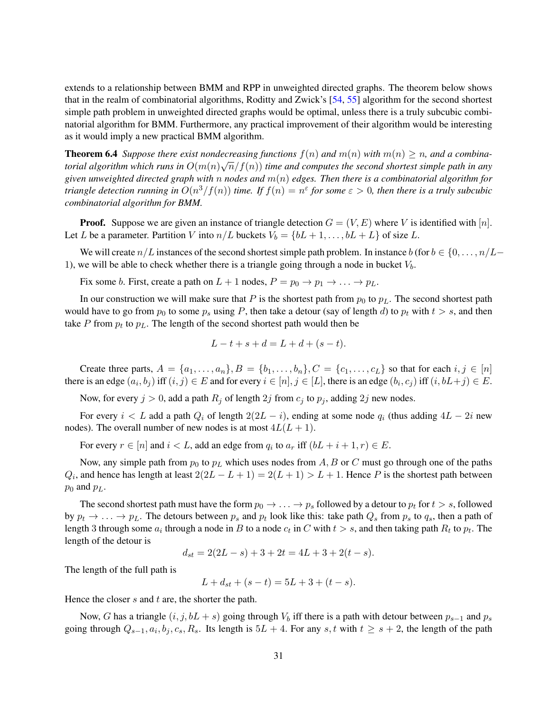extends to a relationship between BMM and RPP in unweighted directed graphs. The theorem below shows that in the realm of combinatorial algorithms, Roditty and Zwick's [\[54,](#page-40-13) [55\]](#page-41-2) algorithm for the second shortest simple path problem in unweighted directed graphs would be optimal, unless there is a truly subcubic combinatorial algorithm for BMM. Furthermore, any practical improvement of their algorithm would be interesting as it would imply a new practical BMM algorithm.

**Theorem 6.4** *Suppose there exist nondecreasing functions*  $f(n)$  *and*  $m(n)$  *with*  $m(n) \geq n$ *, and a combina*torial algorithm which runs in  $O(m(n)\sqrt{n}/f(n))$  time and computes the second shortest simple path in any *given unweighted directed graph with* n *nodes and* m(n) *edges. Then there is a combinatorial algorithm for triangle detection running in*  $O(n^3/f(n))$  *time. If*  $f(n) = n^{\varepsilon}$  *for some*  $\varepsilon > 0$ *, then there is a truly subcubic combinatorial algorithm for BMM.*

**Proof.** Suppose we are given an instance of triangle detection  $G = (V, E)$  where V is identified with [n]. Let L be a parameter. Partition V into  $n/L$  buckets  $V_b = \{bL + 1, \ldots, bL + L\}$  of size L.

We will create  $n/L$  instances of the second shortest simple path problem. In instance  $b$  (for  $b \in \{0, \ldots, n/L-\}$ 1), we will be able to check whether there is a triangle going through a node in bucket  $V_b$ .

Fix some *b*. First, create a path on  $L + 1$  nodes,  $P = p_0 \rightarrow p_1 \rightarrow \dots \rightarrow p_L$ .

In our construction we will make sure that P is the shortest path from  $p_0$  to  $p_L$ . The second shortest path would have to go from  $p_0$  to some  $p_s$  using P, then take a detour (say of length d) to  $p_t$  with  $t > s$ , and then take P from  $p_t$  to  $p_L$ . The length of the second shortest path would then be

$$
L - t + s + d = L + d + (s - t).
$$

Create three parts,  $A = \{a_1, \ldots, a_n\}, B = \{b_1, \ldots, b_n\}, C = \{c_1, \ldots, c_L\}$  so that for each  $i, j \in [n]$ there is an edge  $(a_i, b_j)$  iff  $(i, j) \in E$  and for every  $i \in [n], j \in [L]$ , there is an edge  $(b_i, c_j)$  iff  $(i, bL + j) \in E$ .

Now, for every  $j > 0$ , add a path  $R_j$  of length  $2j$  from  $c_j$  to  $p_j$ , adding  $2j$  new nodes.

For every  $i < L$  add a path  $Q_i$  of length  $2(2L - i)$ , ending at some node  $q_i$  (thus adding  $4L - 2i$  new nodes). The overall number of new nodes is at most  $4L(L + 1)$ .

For every  $r \in [n]$  and  $i < L$ , add an edge from  $q_i$  to  $a_r$  iff  $(bL + i + 1, r) \in E$ .

Now, any simple path from  $p_0$  to  $p_L$  which uses nodes from A, B or C must go through one of the paths  $Q_i$ , and hence has length at least  $2(2L - L + 1) = 2(L + 1) > L + 1$ . Hence P is the shortest path between  $p_0$  and  $p_L$ .

The second shortest path must have the form  $p_0 \to \ldots \to p_s$  followed by a detour to  $p_t$  for  $t > s$ , followed by  $p_t \to \ldots \to p_L$ . The detours between  $p_s$  and  $p_t$  look like this: take path  $Q_s$  from  $p_s$  to  $q_s$ , then a path of length 3 through some  $a_i$  through a node in B to a node  $c_t$  in C with  $t > s$ , and then taking path  $R_t$  to  $p_t$ . The length of the detour is

$$
d_{st} = 2(2L - s) + 3 + 2t = 4L + 3 + 2(t - s).
$$

The length of the full path is

$$
L + d_{st} + (s - t) = 5L + 3 + (t - s).
$$

Hence the closer  $s$  and  $t$  are, the shorter the path.

Now, G has a triangle  $(i, j, bL + s)$  going through  $V_b$  iff there is a path with detour between  $p_{s-1}$  and  $p_s$ going through  $Q_{s-1}, a_i, b_j, c_s, R_s$ . Its length is  $5L + 4$ . For any s, t with  $t \geq s+2$ , the length of the path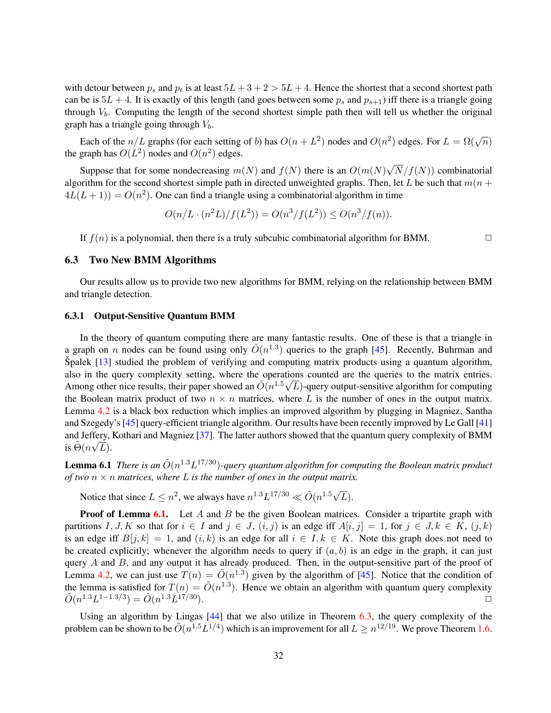with detour between  $p_s$  and  $p_t$  is at least  $5L + 3 + 2 > 5L + 4$ . Hence the shortest that a second shortest path can be is  $5L + 4$ . It is exactly of this length (and goes between some  $p_s$  and  $p_{s+1}$ ) iff there is a triangle going through  $V_b$ . Computing the length of the second shortest simple path then will tell us whether the original graph has a triangle going through  $V<sub>b</sub>$ .

Each of the  $n/L$  graphs (for each setting of b) has  $O(n + L^2)$  nodes and  $O(n^2)$  edges. For  $L = \Omega(\sqrt{n})$ the graph has  $O(L^2)$  nodes and  $O(n^2)$  edges.

Suppose that for some nondecreasing  $m(N)$  and  $f(N)$  there is an  $O(m(N))$ √  $N/f(N)$ ) combinatorial algorithm for the second shortest simple path in directed unweighted graphs. Then, let L be such that  $m(n + 1)$  $4L(L+1) = O(n^2)$ . One can find a triangle using a combinatorial algorithm in time

$$
O(n/L \cdot (n^2L)/f(L^2)) = O(n^3/f(L^2)) \le O(n^3/f(n)).
$$

If  $f(n)$  is a polynomial, then there is a truly subcubic combinatorial algorithm for BMM.

#### 6.3 Two New BMM Algorithms

Our results allow us to provide two new algorithms for BMM, relying on the relationship between BMM and triangle detection.

#### 6.3.1 Output-Sensitive Quantum BMM

In the theory of quantum computing there are many fantastic results. One of these is that a triangle in a graph on n nodes can be found using only  $\tilde{O}(n^{1.3})$  queries to the graph [\[45\]](#page-40-5). Recently, Buhrman and Spalek  $[13]$  $[13]$  studied the problem of verifying and computing matrix products using a quantum algorithm, also in the query complexity setting, where the operations counted are the queries to the matrix entries. Among other nice results, their paper showed an  $\tilde{O}(n^{1.5}\sqrt{L})$ -query output-sensitive algorithm for computing the Boolean matrix product of two  $n \times n$  matrices, where L is the number of ones in the output matrix. Lemma [4.2](#page-16-1) is a black box reduction which implies an improved algorithm by plugging in Magniez, Santha and Szegedy's [\[45\]](#page-40-5) query-efficient triangle algorithm. Our results have been recently improved by Le Gall [\[41\]](#page-40-8) and Jeffery, Kothari and Magniez [\[37\]](#page-40-9). The latter authors showed that the quantum query complexity of BMM is  $\tilde{\Theta}(n\sqrt{L}).$ 

<span id="page-31-0"></span>**Lemma 6.1** There is an  $\tilde{O}(n^{1.3}L^{17/30})$ -query quantum algorithm for computing the Boolean matrix product *of two* n × n *matrices, where* L *is the number of ones in the output matrix.*

Notice that since  $L \leq n^2$ , we always have  $n^{1.3}L^{17/30} \ll \tilde{O}(n^{1.5}\sqrt{n^2})$  $L$ ).

**Proof of Lemma [6.1.](#page-31-0)** Let A and B be the given Boolean matrices. Consider a tripartite graph with partitions I, J, K so that for  $i \in I$  and  $j \in J$ ,  $(i, j)$  is an edge iff  $A[i, j] = 1$ , for  $j \in J, k \in K$ ,  $(j, k)$ is an edge iff  $B[j, k] = 1$ , and  $(i, k)$  is an edge for all  $i \in I, k \in K$ . Note this graph does not need to be created explicitly; whenever the algorithm needs to query if  $(a, b)$  is an edge in the graph, it can just query A and B, and any output it has already produced. Then, in the output-sensitive part of the proof of Lemma [4.2,](#page-16-1) we can just use  $T(n) = \tilde{O}(n^{1.3})$  given by the algorithm of [\[45\]](#page-40-5). Notice that the condition of the lemma is satisfied for  $T(n) = \tilde{O}(n^{1.3})$ . Hence we obtain an algorithm with quantum query complexity  $\tilde{O}(n^{1.3}L^{1-1.3/3}) = \tilde{O}(n^{1.3}L)$  $17/30$ ).

Using an algorithm by Lingas [\[44\]](#page-40-7) that we also utilize in Theorem [6.3,](#page-29-1) the query complexity of the problem can be shown to be  $\tilde{O}(n^{1.5}L^{1/4})$  which is an improvement for all  $L \geq n^{12/19}$ . We prove Theorem [1.6.](#page-5-0)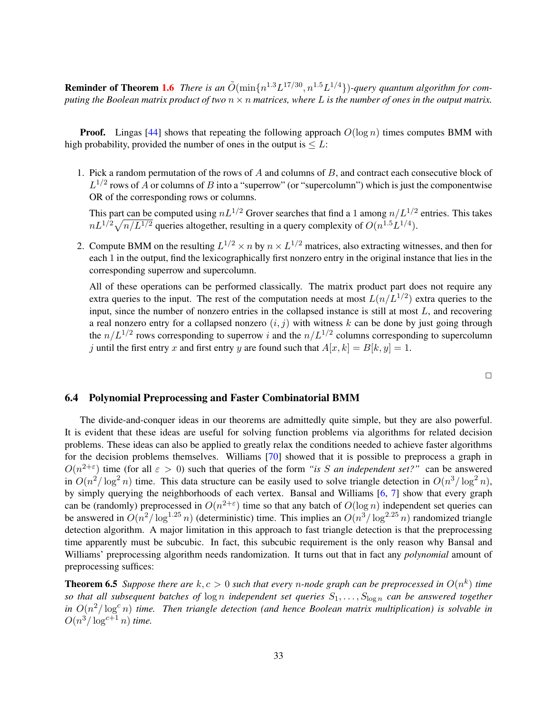**Reminder of Theorem [1.6](#page-5-0)** There is an  $\tilde{O}(\min\{n^{1.3}L^{17/30}, n^{1.5}L^{1/4}\})$ -query quantum algorithm for com*puting the Boolean matrix product of two*  $n \times n$  *matrices, where* L *is the number of ones in the output matrix.* 

**Proof.** Lingas [\[44\]](#page-40-7) shows that repeating the following approach  $O(\log n)$  times computes BMM with high probability, provided the number of ones in the output is  $\leq L$ :

1. Pick a random permutation of the rows of A and columns of B, and contract each consecutive block of  $L^{1/2}$  rows of A or columns of B into a "superrow" (or "supercolumn") which is just the componentwise OR of the corresponding rows or columns.

This part can be computed using  $nL^{1/2}$  Grover searches that find a 1 among  $n/L^{1/2}$  entries. This takes  $nL^{1/2}\sqrt{n/L^{1/2}}$  queries altogether, resulting in a query complexity of  $O(n^{1.5}L^{1/4})$ .

2. Compute BMM on the resulting  $L^{1/2} \times n$  by  $n \times L^{1/2}$  matrices, also extracting witnesses, and then for each 1 in the output, find the lexicographically first nonzero entry in the original instance that lies in the corresponding superrow and supercolumn.

All of these operations can be performed classically. The matrix product part does not require any extra queries to the input. The rest of the computation needs at most  $L(n/L^{1/2})$  extra queries to the input, since the number of nonzero entries in the collapsed instance is still at most  $L$ , and recovering a real nonzero entry for a collapsed nonzero  $(i, j)$  with witness k can be done by just going through the  $n/L^{1/2}$  rows corresponding to superrow i and the  $n/L^{1/2}$  columns corresponding to supercolumn j until the first entry x and first entry y are found such that  $A[x, k] = B[k, y] = 1$ .

 $\Box$ 

#### 6.4 Polynomial Preprocessing and Faster Combinatorial BMM

The divide-and-conquer ideas in our theorems are admittedly quite simple, but they are also powerful. It is evident that these ideas are useful for solving function problems via algorithms for related decision problems. These ideas can also be applied to greatly relax the conditions needed to achieve faster algorithms for the decision problems themselves. Williams [\[70\]](#page-41-16) showed that it is possible to preprocess a graph in  $O(n^{2+\epsilon})$  time (for all  $\epsilon > 0$ ) such that queries of the form *"is S an independent set?"* can be answered in  $O(n^2/\log^2 n)$  time. This data structure can be easily used to solve triangle detection in  $O(n^3/\log^2 n)$ , by simply querying the neighborhoods of each vertex. Bansal and Williams [\[6,](#page-38-4) [7\]](#page-38-14) show that every graph can be (randomly) preprocessed in  $O(n^{2+\epsilon})$  time so that any batch of  $O(\log n)$  independent set queries can be answered in  $O(n^2/\log^{1.25} n)$  (deterministic) time. This implies an  $O(n^3/\log^{2.25} n)$  randomized triangle detection algorithm. A major limitation in this approach to fast triangle detection is that the preprocessing time apparently must be subcubic. In fact, this subcubic requirement is the only reason why Bansal and Williams' preprocessing algorithm needs randomization. It turns out that in fact any *polynomial* amount of preprocessing suffices:

<span id="page-32-0"></span>**Theorem 6.5** Suppose there are  $k, c > 0$  such that every n-node graph can be preprocessed in  $O(n^k)$  time *so that all subsequent batches of*  $\log n$  *independent set queries*  $S_1, \ldots, S_{\log n}$  *can be answered together* in  $O(n^2/\log^c n)$  *time. Then triangle detection (and hence Boolean matrix multiplication) is solvable in*  $O(n^3/\log^{c+1} n)$  time.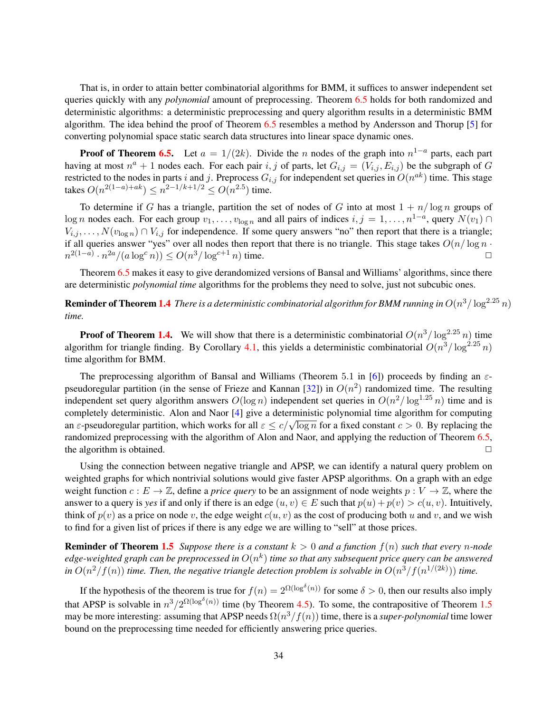That is, in order to attain better combinatorial algorithms for BMM, it suffices to answer independent set queries quickly with any *polynomial* amount of preprocessing. Theorem [6.5](#page-32-0) holds for both randomized and deterministic algorithms: a deterministic preprocessing and query algorithm results in a deterministic BMM algorithm. The idea behind the proof of Theorem [6.5](#page-32-0) resembles a method by Andersson and Thorup [\[5\]](#page-38-15) for converting polynomial space static search data structures into linear space dynamic ones.

**Proof of Theorem [6.5.](#page-32-0)** Let  $a = 1/(2k)$ . Divide the n nodes of the graph into  $n^{1-a}$  parts, each part having at most  $n^a + 1$  nodes each. For each pair i, j of parts, let  $G_{i,j} = (V_{i,j}, E_{i,j})$  be the subgraph of G restricted to the nodes in parts i and j. Preprocess  $G_{i,j}$  for independent set queries in  $O(n^{ak})$  time. This stage takes  $O(n^{2(1-a)+ak}) \leq n^{2-1/k+1/2} \leq O(n^{2.5})$  time.

To determine if G has a triangle, partition the set of nodes of G into at most  $1 + n/\log n$  groups of log n nodes each. For each group  $v_1, \ldots, v_{\log n}$  and all pairs of indices  $i, j = 1, \ldots, n^{1-a}$ , query  $N(v_1) \cap$  $V_{i,j}, \ldots, N(v_{\log n}) \cap V_{i,j}$  for independence. If some query answers "no" then report that there is a triangle; if all queries answer "yes" over all nodes then report that there is no triangle. This stage takes  $O(n/\log n \cdot$  $n^{2(1-a)} \cdot n^{2a} / (a \log^c n)) \le O(n^3 / \log^{c+1} n)$  time.

Theorem [6.5](#page-32-0) makes it easy to give derandomized versions of Bansal and Williams' algorithms, since there are deterministic *polynomial time* algorithms for the problems they need to solve, just not subcubic ones.

**Reminder of Theorem [1.4](#page-4-0)** There is a deterministic combinatorial algorithm for BMM running in  $O(n^3/\log^{2.25} n)$ *time.*

**Proof of Theorem [1.4.](#page-4-0)** We will show that there is a deterministic combinatorial  $O(n^3/\log^{2.25} n)$  time algorithm for triangle finding. By Corollary [4.1,](#page-18-0) this yields a deterministic combinatorial  $O(n^3/\log^{2.25} n)$ time algorithm for BMM.

The preprocessing algorithm of Bansal and Williams (Theorem 5.1 in [\[6\]](#page-38-4)) proceeds by finding an  $\varepsilon$ -pseudoregular partition (in the sense of Frieze and Kannan [\[32\]](#page-39-16)) in  $O(n^2)$  randomized time. The resulting independent set query algorithm answers  $O(\log n)$  independent set queries in  $O(n^2/\log^{1.25} n)$  time and is completely deterministic. Alon and Naor [\[4\]](#page-38-6) give a deterministic polynomial time algorithm for computing completely deterministic. Alon and Naor [4] give a deterministic porynomial time algorithm for computing<br>an  $\varepsilon$ -pseudoregular partition, which works for all  $\varepsilon \le c/\sqrt{\log n}$  for a fixed constant  $c > 0$ . By replacing the randomized preprocessing with the algorithm of Alon and Naor, and applying the reduction of Theorem [6.5,](#page-32-0) the algorithm is obtained.  $\Box$ 

Using the connection between negative triangle and APSP, we can identify a natural query problem on weighted graphs for which nontrivial solutions would give faster APSP algorithms. On a graph with an edge weight function  $c : E \to \mathbb{Z}$ , define a *price query* to be an assignment of node weights  $p : V \to \mathbb{Z}$ , where the answer to a query is *yes* if and only if there is an edge  $(u, v) \in E$  such that  $p(u) + p(v) > c(u, v)$ . Intuitively, think of  $p(v)$  as a price on node v, the edge weight  $c(u, v)$  as the cost of producing both u and v, and we wish to find for a given list of prices if there is any edge we are willing to "sell" at those prices.

**Reminder of Theorem [1.5](#page-4-1)** *Suppose there is a constant*  $k > 0$  *and a function*  $f(n)$  *such that every n-node* edge-weighted graph can be preprocessed in  $O(n^k)$  time so that any subsequent price query can be answered in  $O(n^2/f(n))$  time. Then, the negative triangle detection problem is solvable in  $O(n^3/f(n^{1/(2k)}))$  time.

If the hypothesis of the theorem is true for  $f(n) = 2^{\Omega(\log^\delta(n))}$  for some  $\delta > 0$ , then our results also imply that APSP is solvable in  $n^3/2^{\Omega(\log^\delta(n))}$  time (by Theorem [4.5\)](#page-20-1). To some, the contrapositive of Theorem [1.5](#page-4-1) may be more interesting: assuming that APSP needs  $\Omega(n^3/f(n))$  time, there is a *super-polynomial* time lower bound on the preprocessing time needed for efficiently answering price queries.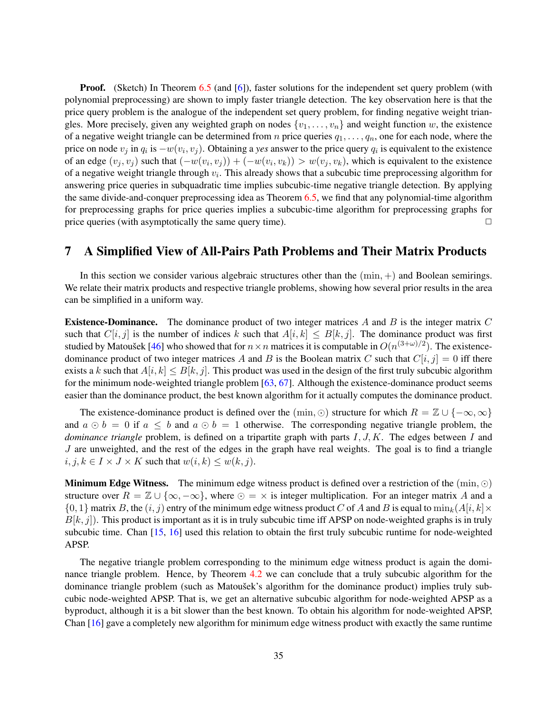**Proof.** (Sketch) In Theorem [6.5](#page-32-0) (and [\[6\]](#page-38-4)), faster solutions for the independent set query problem (with polynomial preprocessing) are shown to imply faster triangle detection. The key observation here is that the price query problem is the analogue of the independent set query problem, for finding negative weight triangles. More precisely, given any weighted graph on nodes  $\{v_1, \ldots, v_n\}$  and weight function w, the existence of a negative weight triangle can be determined from *n* price queries  $q_1, \ldots, q_n$ , one for each node, where the price on node  $v_j$  in  $q_i$  is  $-w(v_i, v_j)$ . Obtaining a *yes* answer to the price query  $q_i$  is equivalent to the existence of an edge  $(v_j, v_j)$  such that  $(-w(v_i, v_j)) + (-w(v_i, v_k)) > w(v_j, v_k)$ , which is equivalent to the existence of a negative weight triangle through  $v_i$ . This already shows that a subcubic time preprocessing algorithm for answering price queries in subquadratic time implies subcubic-time negative triangle detection. By applying the same divide-and-conquer preprocessing idea as Theorem [6.5,](#page-32-0) we find that any polynomial-time algorithm for preprocessing graphs for price queries implies a subcubic-time algorithm for preprocessing graphs for price queries (with asymptotically the same query time).  $\Box$ 

# 7 A Simplified View of All-Pairs Path Problems and Their Matrix Products

In this section we consider various algebraic structures other than the  $(\min, +)$  and Boolean semirings. We relate their matrix products and respective triangle problems, showing how several prior results in the area can be simplified in a uniform way.

**Existence-Dominance.** The dominance product of two integer matrices A and B is the integer matrix C such that  $C[i, j]$  is the number of indices k such that  $A[i, k] \leq B[k, j]$ . The dominance product was first studied by Matoušek [[46\]](#page-40-16) who showed that for  $n \times n$  matrices it is computable in  $O(n^{(3+\omega)/2})$ . The existencedominance product of two integer matrices A and B is the Boolean matrix C such that  $C[i, j] = 0$  iff there exists a k such that  $A[i, k] \leq B[k, j]$ . This product was used in the design of the first truly subcubic algorithm for the minimum node-weighted triangle problem [\[63,](#page-41-3) [67\]](#page-41-5). Although the existence-dominance product seems easier than the dominance product, the best known algorithm for it actually computes the dominance product.

The existence-dominance product is defined over the  $(\min, \odot)$  structure for which  $R = \mathbb{Z} \cup \{-\infty, \infty\}$ and  $a \odot b = 0$  if  $a \leq b$  and  $a \odot b = 1$  otherwise. The corresponding negative triangle problem, the *dominance triangle* problem, is defined on a tripartite graph with parts I, J, K. The edges between I and  $J$  are unweighted, and the rest of the edges in the graph have real weights. The goal is to find a triangle  $i, j, k \in I \times J \times K$  such that  $w(i, k) \leq w(k, j)$ .

**Minimum Edge Witness.** The minimum edge witness product is defined over a restriction of the  $(\min, \odot)$ structure over  $R = \mathbb{Z} \cup \{\infty, -\infty\}$ , where  $\odot = \times$  is integer multiplication. For an integer matrix A and a  $\{0, 1\}$  matrix B, the  $(i, j)$  entry of the minimum edge witness product C of A and B is equal to  $\min_k(A[i, k] \times$  $B[k, j]$ ). This product is important as it is in truly subcubic time iff APSP on node-weighted graphs is in truly subcubic time. Chan [\[15,](#page-38-9) [16\]](#page-38-10) used this relation to obtain the first truly subcubic runtime for node-weighted APSP.

The negative triangle problem corresponding to the minimum edge witness product is again the dominance triangle problem. Hence, by Theorem [4.2](#page-14-1) we can conclude that a truly subcubic algorithm for the dominance triangle problem (such as Matoušek's algorithm for the dominance product) implies truly subcubic node-weighted APSP. That is, we get an alternative subcubic algorithm for node-weighted APSP as a byproduct, although it is a bit slower than the best known. To obtain his algorithm for node-weighted APSP, Chan [\[16\]](#page-38-10) gave a completely new algorithm for minimum edge witness product with exactly the same runtime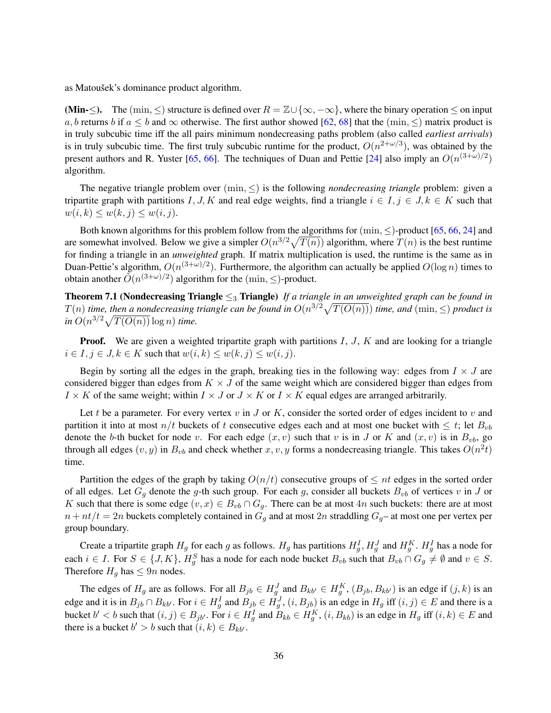as Matoušek's dominance product algorithm.

(Min- $\leq$ ). The (min,  $\leq$ ) structure is defined over  $R = \mathbb{Z} \cup {\infty, -\infty}$ , where the binary operation  $\leq$  on input a, b returns b if  $a \le b$  and  $\infty$  otherwise. The first author showed [\[62,](#page-41-9) [68\]](#page-41-10) that the (min,  $\le$ ) matrix product is in truly subcubic time iff the all pairs minimum nondecreasing paths problem (also called *earliest arrivals*) is in truly subcubic time. The first truly subcubic runtime for the product,  $O(n^{2+\omega/3})$ , was obtained by the present authors and R. Yuster [\[65,](#page-41-17) [66\]](#page-41-13). The techniques of Duan and Pettie [\[24\]](#page-39-11) also imply an  $O(n^{(3+\omega)/2})$ algorithm.

The negative triangle problem over  $(\min, \leq)$  is the following *nondecreasing triangle* problem: given a tripartite graph with partitions I, J, K and real edge weights, find a triangle  $i \in I, j \in J, k \in K$  such that  $w(i, k) \leq w(k, j) \leq w(i, j).$ 

Both known algorithms for this problem follow from the algorithms for  $(\min, \le)$ -product [\[65,](#page-41-17) [66,](#page-41-13) [24\]](#page-39-11) and are somewhat involved. Below we give a simpler  $O(n^{3/2}\sqrt{T(n)})$  algorithm, where  $T(n)$  is the best runtime for finding a triangle in an *unweighted* graph. If matrix multiplication is used, the runtime is the same as in Duan-Pettie's algorithm,  $O(n^{(3+\omega)/2})$ . Furthermore, the algorithm can actually be applied  $O(\log n)$  times to obtain another  $\tilde{O}(n^{(3+\omega)/2})$  algorithm for the  $(\min, \le)$ -product.

<span id="page-35-0"></span>Theorem 7.1 (Nondecreasing Triangle ≤<sup>3</sup> Triangle) *If a triangle in an unweighted graph can be found in*  $T(n)$  *time, then a nondecreasing triangle can be found in*  $O(n^{3/2}\sqrt{T(O(n))})$  *time, and*  $(\min, \leq)$  *product is*  $\sin O(n^{3/2}\sqrt{T(O(n))}\log n)$  *time.* 

**Proof.** We are given a weighted tripartite graph with partitions  $I, J, K$  and are looking for a triangle  $i \in I, j \in J, k \in K$  such that  $w(i, k) \leq w(k, j) \leq w(i, j)$ .

Begin by sorting all the edges in the graph, breaking ties in the following way: edges from  $I \times J$  are considered bigger than edges from  $K \times J$  of the same weight which are considered bigger than edges from  $I \times K$  of the same weight; within  $I \times J$  or  $J \times K$  or  $I \times K$  equal edges are arranged arbitrarily.

Let t be a parameter. For every vertex v in J or K, consider the sorted order of edges incident to v and partition it into at most  $n/t$  buckets of t consecutive edges each and at most one bucket with  $\leq t$ ; let  $B_{vb}$ denote the b-th bucket for node v. For each edge  $(x, v)$  such that v is in J or K and  $(x, v)$  is in  $B_{vb}$ , go through all edges  $(v, y)$  in  $B_{vb}$  and check whether  $x, v, y$  forms a nondecreasing triangle. This takes  $O(n^2t)$ time.

Partition the edges of the graph by taking  $O(n/t)$  consecutive groups of  $\leq nt$  edges in the sorted order of all edges. Let  $G_q$  denote the g-th such group. For each g, consider all buckets  $B_{vb}$  of vertices v in J or K such that there is some edge  $(v, x) \in B_{vb} \cap G_g$ . There can be at most 4n such buckets: there are at most  $n + nt/t = 2n$  buckets completely contained in  $G<sub>q</sub>$  and at most 2n straddling  $G<sub>q</sub>$ - at most one per vertex per group boundary.

Create a tripartite graph  $H_g$  for each g as follows.  $H_g$  has partitions  $H_g^I$ ,  $H_g^J$  and  $H_g^K$ .  $H_g^I$  has a node for each  $i \in I$ . For  $S \in \{J, K\}$ ,  $H_g^S$  has a node for each node bucket  $B_{vb}$  such that  $B_{vb} \cap G_g \neq \emptyset$  and  $v \in S$ . Therefore  $H<sub>q</sub>$  has  $\leq 9n$  nodes.

The edges of  $H_g$  are as follows. For all  $B_{jb} \in H_g^J$  and  $B_{kb'} \in H_g^K$ ,  $(B_{jb}, B_{kb'})$  is an edge if  $(j, k)$  is an edge and it is in  $B_{jb} \cap B_{kb'}$ . For  $i \in H_g^I$  and  $B_{jb} \in H_g^J$ ,  $(i, B_{jb})$  is an edge in  $H_g$  iff  $(i, j) \in E$  and there is a bucket  $b' < b$  such that  $(i, j) \in B_{jb'}$ . For  $i \in H_g^I$  and  $B_{kb} \in H_g^K$ ,  $(i, B_{kb})$  is an edge in  $H_g$  iff  $(i, k) \in E$  and there is a bucket  $b' > b$  such that  $(i, k) \in B_{kb'}$ .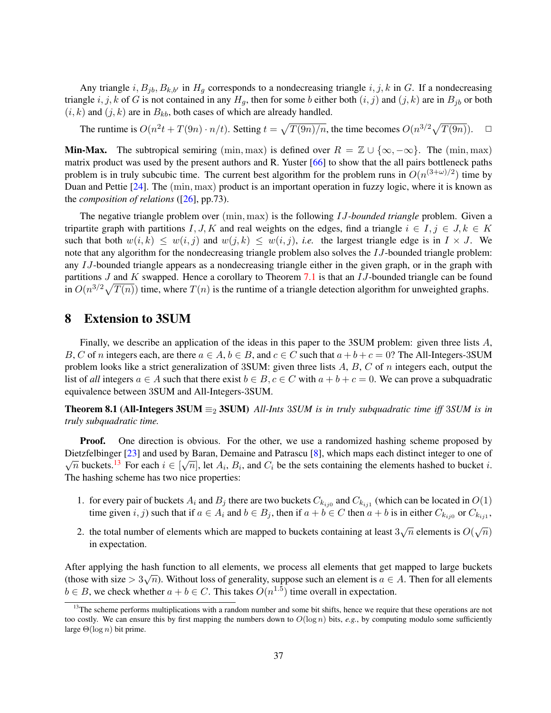Any triangle  $i, B_{jb}, B_{k,b'}$  in  $H_g$  corresponds to a nondecreasing triangle  $i, j, k$  in G. If a nondecreasing triangle i, j, k of G is not contained in any  $H_q$ , then for some b either both  $(i, j)$  and  $(j, k)$  are in  $B_{jb}$  or both  $(i, k)$  and  $(j, k)$  are in  $B_{kb}$ , both cases of which are already handled.

The runtime is  $O(n^2t + T(9n) \cdot n/t)$ . Setting  $t = \sqrt{T(9n)/n}$ , the time becomes  $O(n^{3/2}\sqrt{T(9n)})$ .  $\Box$ 

**Min-Max.** The subtropical semiring (min, max) is defined over  $R = \mathbb{Z} \cup \{\infty, -\infty\}$ . The (min, max) matrix product was used by the present authors and R. Yuster [\[66\]](#page-41-13) to show that the all pairs bottleneck paths problem is in truly subcubic time. The current best algorithm for the problem runs in  $O(n^{(3+\omega)/2})$  time by Duan and Pettie [\[24\]](#page-39-11). The (min, max) product is an important operation in fuzzy logic, where it is known as the *composition of relations* ([\[26\]](#page-39-17), pp.73).

The negative triangle problem over (min, max) is the following IJ*-bounded triangle* problem. Given a tripartite graph with partitions I, J, K and real weights on the edges, find a triangle  $i \in I, j \in J, k \in K$ such that both  $w(i, k) \leq w(i, j)$  and  $w(j, k) \leq w(i, j)$ , *i.e.* the largest triangle edge is in  $I \times J$ . We note that any algorithm for the nondecreasing triangle problem also solves the IJ-bounded triangle problem: any IJ-bounded triangle appears as a nondecreasing triangle either in the given graph, or in the graph with partitions  $J$  and  $K$  swapped. Hence a corollary to Theorem [7.1](#page-35-0) is that an  $IJ$ -bounded triangle can be found in  $O(n^{3/2}\sqrt{T(n)})$  time, where  $T(n)$  is the runtime of a triangle detection algorithm for unweighted graphs.

### 8 Extension to 3SUM

Finally, we describe an application of the ideas in this paper to the 3SUM problem: given three lists A, B, C of n integers each, are there  $a \in A$ ,  $b \in B$ , and  $c \in C$  such that  $a + b + c = 0$ ? The All-Integers-3SUM problem looks like a strict generalization of 3SUM: given three lists  $A, B, C$  of n integers each, output the list of *all* integers  $a \in A$  such that there exist  $b \in B$ ,  $c \in C$  with  $a + b + c = 0$ . We can prove a subquadratic equivalence between 3SUM and All-Integers-3SUM.

<span id="page-36-1"></span>**Theorem 8.1 (All-Integers 3SUM**  $\equiv_2$  3SUM) *All-Ints* 3*SUM is in truly subquadratic time iff* 3*SUM is in truly subquadratic time.*

**Proof.** One direction is obvious. For the other, we use a randomized hashing scheme proposed by Dietzfelbinger [\[23\]](#page-39-18) and used by Baran, Demaine and Patrascu [\[8\]](#page-38-16), which maps each distinct integer to one of Dietzrefologer [25] and used by Baran, Demaine and Fatrascu [6], which maps each distinct integer to one of  $\sqrt{n}$  buckets.<sup>[13](#page-36-0)</sup> For each  $i \in [\sqrt{n}]$ , let  $A_i$ ,  $B_i$ , and  $C_i$  be the sets containing the elements hashed to bu The hashing scheme has two nice properties:

- 1. for every pair of buckets  $A_i$  and  $B_j$  there are two buckets  $C_{k_{ij0}}$  and  $C_{k_{ij1}}$  (which can be located in  $O(1)$ ) time given  $i, j$ ) such that if  $a \in A_i$  and  $b \in B_j$ , then if  $a + b \in C$  then  $a + b$  is in either  $C_{k_{ij0}}$  or  $C_{k_{ij1}}$ ,
- 2. the total number of elements which are mapped to buckets containing at least  $3\sqrt{n}$  elements is  $O(\sqrt{n})$ in expectation.

After applying the hash function to all elements, we process all elements that get mapped to large buckets and the control of the control of the control of the control of the control of the control of the control of the c (those with size  $> 3\sqrt{n}$ ). Without loss of generality, suppose such an element is  $a \in A$ . Then for all elements  $b \in B$ , we check whether  $a + b \in C$ . This takes  $O(n^{1.5})$  time overall in expectation.

<span id="page-36-0"></span><sup>&</sup>lt;sup>13</sup>The scheme performs multiplications with a random number and some bit shifts, hence we require that these operations are not too costly. We can ensure this by first mapping the numbers down to  $O(\log n)$  bits, *e.g.*, by computing modulo some sufficiently large  $\Theta(\log n)$  bit prime.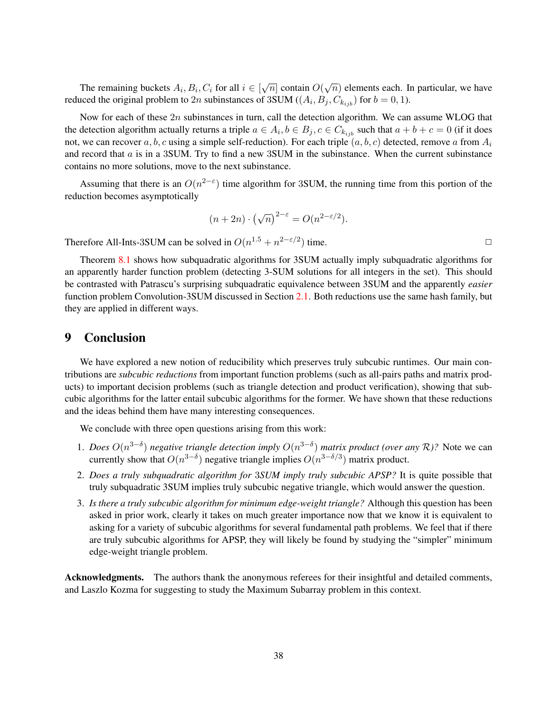The remaining buckets  $A_i, B_i, C_i$  for all  $i \in [\sqrt{n}]$  contain  $O(\sqrt{n})$  elements each. In particular, we have reduced the original problem to 2n subinstances of 3SUM ( $(A_i, B_j, C_{k_{ijb}})$  for  $b = 0, 1$ ).

Now for each of these  $2n$  subinstances in turn, call the detection algorithm. We can assume WLOG that the detection algorithm actually returns a triple  $a \in A_i$ ,  $b \in B_j$ ,  $c \in C_{k_{ijb}}$  such that  $a + b + c = 0$  (if it does not, we can recover a, b, c using a simple self-reduction). For each triple  $(a, b, c)$  detected, remove a from  $A_i$ and record that  $\alpha$  is in a 3SUM. Try to find a new 3SUM in the subinstance. When the current subinstance contains no more solutions, move to the next subinstance.

Assuming that there is an  $O(n^{2-\epsilon})$  time algorithm for 3SUM, the running time from this portion of the reduction becomes asymptotically

$$
(n+2n) \cdot (\sqrt{n})^{2-\varepsilon} = O(n^{2-\varepsilon/2}).
$$

Therefore All-Ints-3SUM can be solved in  $O(n^{1.5} + n^{2-\epsilon/2})$  time.

Theorem [8.1](#page-36-1) shows how subquadratic algorithms for 3SUM actually imply subquadratic algorithms for an apparently harder function problem (detecting 3-SUM solutions for all integers in the set). This should be contrasted with Patrascu's surprising subquadratic equivalence between 3SUM and the apparently *easier* function problem Convolution-3SUM discussed in Section [2.1.](#page-7-1) Both reductions use the same hash family, but they are applied in different ways.

### 9 Conclusion

We have explored a new notion of reducibility which preserves truly subcubic runtimes. Our main contributions are *subcubic reductions* from important function problems (such as all-pairs paths and matrix products) to important decision problems (such as triangle detection and product verification), showing that subcubic algorithms for the latter entail subcubic algorithms for the former. We have shown that these reductions and the ideas behind them have many interesting consequences.

We conclude with three open questions arising from this work:

- 1. *Does*  $O(n^{3-\delta})$  *negative triangle detection imply*  $O(n^{3-\delta})$  *matrix product (over any*  $\mathcal{R}$ )? Note we can currently show that  $O(n^{3-\delta})$  negative triangle implies  $O(n^{3-\delta/3})$  matrix product.
- 2. *Does a truly subquadratic algorithm for* 3*SUM imply truly subcubic APSP?* It is quite possible that truly subquadratic 3SUM implies truly subcubic negative triangle, which would answer the question.
- 3. *Is there a truly subcubic algorithm for minimum edge-weight triangle?* Although this question has been asked in prior work, clearly it takes on much greater importance now that we know it is equivalent to asking for a variety of subcubic algorithms for several fundamental path problems. We feel that if there are truly subcubic algorithms for APSP, they will likely be found by studying the "simpler" minimum edge-weight triangle problem.

Acknowledgments. The authors thank the anonymous referees for their insightful and detailed comments, and Laszlo Kozma for suggesting to study the Maximum Subarray problem in this context.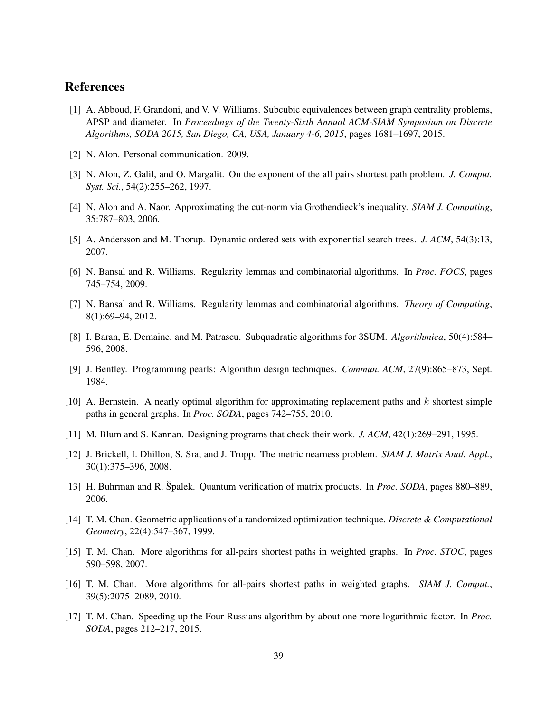# References

- <span id="page-38-1"></span>[1] A. Abboud, F. Grandoni, and V. V. Williams. Subcubic equivalences between graph centrality problems, APSP and diameter. In *Proceedings of the Twenty-Sixth Annual ACM-SIAM Symposium on Discrete Algorithms, SODA 2015, San Diego, CA, USA, January 4-6, 2015*, pages 1681–1697, 2015.
- <span id="page-38-3"></span>[2] N. Alon. Personal communication. 2009.
- <span id="page-38-8"></span>[3] N. Alon, Z. Galil, and O. Margalit. On the exponent of the all pairs shortest path problem. *J. Comput. Syst. Sci.*, 54(2):255–262, 1997.
- <span id="page-38-6"></span>[4] N. Alon and A. Naor. Approximating the cut-norm via Grothendieck's inequality. *SIAM J. Computing*, 35:787–803, 2006.
- <span id="page-38-15"></span>[5] A. Andersson and M. Thorup. Dynamic ordered sets with exponential search trees. *J. ACM*, 54(3):13, 2007.
- <span id="page-38-4"></span>[6] N. Bansal and R. Williams. Regularity lemmas and combinatorial algorithms. In *Proc. FOCS*, pages 745–754, 2009.
- <span id="page-38-14"></span>[7] N. Bansal and R. Williams. Regularity lemmas and combinatorial algorithms. *Theory of Computing*, 8(1):69–94, 2012.
- <span id="page-38-16"></span>[8] I. Baran, E. Demaine, and M. Patrascu. Subquadratic algorithms for 3SUM. *Algorithmica*, 50(4):584– 596, 2008.
- <span id="page-38-12"></span>[9] J. Bentley. Programming pearls: Algorithm design techniques. *Commun. ACM*, 27(9):865–873, Sept. 1984.
- <span id="page-38-0"></span>[10] A. Bernstein. A nearly optimal algorithm for approximating replacement paths and k shortest simple paths in general graphs. In *Proc. SODA*, pages 742–755, 2010.
- <span id="page-38-2"></span>[11] M. Blum and S. Kannan. Designing programs that check their work. *J. ACM*, 42(1):269–291, 1995.
- <span id="page-38-11"></span>[12] J. Brickell, I. Dhillon, S. Sra, and J. Tropp. The metric nearness problem. *SIAM J. Matrix Anal. Appl.*, 30(1):375–396, 2008.
- <span id="page-38-7"></span>[13] H. Buhrman and R. Špalek. Quantum verification of matrix products. In *Proc. SODA*, pages 880–889, 2006.
- <span id="page-38-13"></span>[14] T. M. Chan. Geometric applications of a randomized optimization technique. *Discrete & Computational Geometry*, 22(4):547–567, 1999.
- <span id="page-38-9"></span>[15] T. M. Chan. More algorithms for all-pairs shortest paths in weighted graphs. In *Proc. STOC*, pages 590–598, 2007.
- <span id="page-38-10"></span>[16] T. M. Chan. More algorithms for all-pairs shortest paths in weighted graphs. *SIAM J. Comput.*, 39(5):2075–2089, 2010.
- <span id="page-38-5"></span>[17] T. M. Chan. Speeding up the Four Russians algorithm by about one more logarithmic factor. In *Proc. SODA*, pages 212–217, 2015.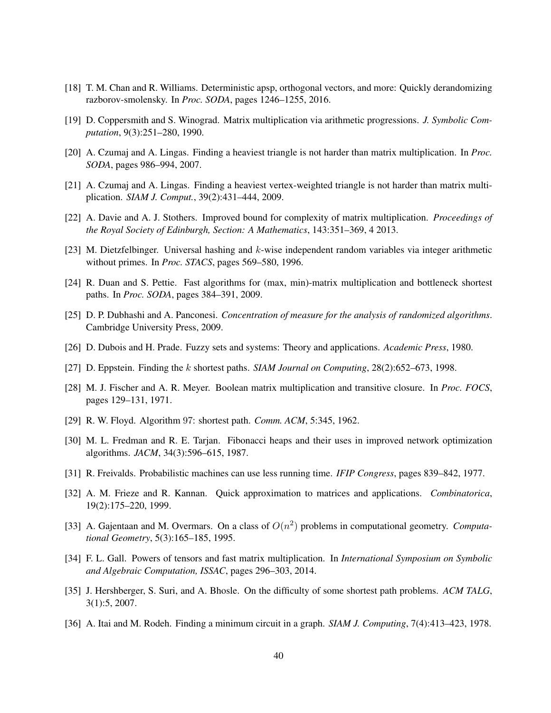- <span id="page-39-2"></span>[18] T. M. Chan and R. Williams. Deterministic apsp, orthogonal vectors, and more: Quickly derandomizing razborov-smolensky. In *Proc. SODA*, pages 1246–1255, 2016.
- <span id="page-39-7"></span>[19] D. Coppersmith and S. Winograd. Matrix multiplication via arithmetic progressions. *J. Symbolic Computation*, 9(3):251–280, 1990.
- <span id="page-39-4"></span>[20] A. Czumaj and A. Lingas. Finding a heaviest triangle is not harder than matrix multiplication. In *Proc. SODA*, pages 986–994, 2007.
- <span id="page-39-5"></span>[21] A. Czumaj and A. Lingas. Finding a heaviest vertex-weighted triangle is not harder than matrix multiplication. *SIAM J. Comput.*, 39(2):431–444, 2009.
- <span id="page-39-10"></span>[22] A. Davie and A. J. Stothers. Improved bound for complexity of matrix multiplication. *Proceedings of the Royal Society of Edinburgh, Section: A Mathematics*, 143:351–369, 4 2013.
- <span id="page-39-18"></span>[23] M. Dietzfelbinger. Universal hashing and k-wise independent random variables via integer arithmetic without primes. In *Proc. STACS*, pages 569–580, 1996.
- <span id="page-39-11"></span>[24] R. Duan and S. Pettie. Fast algorithms for (max, min)-matrix multiplication and bottleneck shortest paths. In *Proc. SODA*, pages 384–391, 2009.
- <span id="page-39-14"></span>[25] D. P. Dubhashi and A. Panconesi. *Concentration of measure for the analysis of randomized algorithms*. Cambridge University Press, 2009.
- <span id="page-39-17"></span>[26] D. Dubois and H. Prade. Fuzzy sets and systems: Theory and applications. *Academic Press*, 1980.
- <span id="page-39-3"></span>[27] D. Eppstein. Finding the k shortest paths. *SIAM Journal on Computing*, 28(2):652–673, 1998.
- <span id="page-39-1"></span>[28] M. J. Fischer and A. R. Meyer. Boolean matrix multiplication and transitive closure. In *Proc. FOCS*, pages 129–131, 1971.
- <span id="page-39-0"></span>[29] R. W. Floyd. Algorithm 97: shortest path. *Comm. ACM*, 5:345, 1962.
- <span id="page-39-12"></span>[30] M. L. Fredman and R. E. Tarjan. Fibonacci heaps and their uses in improved network optimization algorithms. *JACM*, 34(3):596–615, 1987.
- <span id="page-39-8"></span>[31] R. Freivalds. Probabilistic machines can use less running time. *IFIP Congress*, pages 839–842, 1977.
- <span id="page-39-16"></span>[32] A. M. Frieze and R. Kannan. Quick approximation to matrices and applications. *Combinatorica*, 19(2):175–220, 1999.
- <span id="page-39-13"></span>[33] A. Gajentaan and M. Overmars. On a class of  $O(n^2)$  problems in computational geometry. *Computational Geometry*, 5(3):165–185, 1995.
- <span id="page-39-9"></span>[34] F. L. Gall. Powers of tensors and fast matrix multiplication. In *International Symposium on Symbolic and Algebraic Computation, ISSAC*, pages 296–303, 2014.
- <span id="page-39-15"></span>[35] J. Hershberger, S. Suri, and A. Bhosle. On the difficulty of some shortest path problems. *ACM TALG*, 3(1):5, 2007.
- <span id="page-39-6"></span>[36] A. Itai and M. Rodeh. Finding a minimum circuit in a graph. *SIAM J. Computing*, 7(4):413–423, 1978.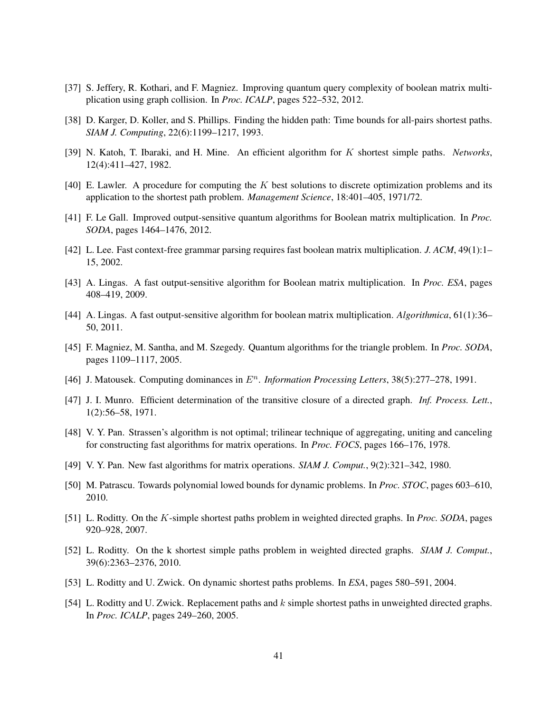- <span id="page-40-9"></span>[37] S. Jeffery, R. Kothari, and F. Magniez. Improving quantum query complexity of boolean matrix multiplication using graph collision. In *Proc. ICALP*, pages 522–532, 2012.
- <span id="page-40-17"></span>[38] D. Karger, D. Koller, and S. Phillips. Finding the hidden path: Time bounds for all-pairs shortest paths. *SIAM J. Computing*, 22(6):1199–1217, 1993.
- <span id="page-40-2"></span>[39] N. Katoh, T. Ibaraki, and H. Mine. An efficient algorithm for K shortest simple paths. *Networks*, 12(4):411–427, 1982.
- <span id="page-40-1"></span>[40] E. Lawler. A procedure for computing the K best solutions to discrete optimization problems and its application to the shortest path problem. *Management Science*, 18:401–405, 1971/72.
- <span id="page-40-8"></span>[41] F. Le Gall. Improved output-sensitive quantum algorithms for Boolean matrix multiplication. In *Proc. SODA*, pages 1464–1476, 2012.
- <span id="page-40-4"></span>[42] L. Lee. Fast context-free grammar parsing requires fast boolean matrix multiplication. *J. ACM*, 49(1):1– 15, 2002.
- <span id="page-40-6"></span>[43] A. Lingas. A fast output-sensitive algorithm for Boolean matrix multiplication. In *Proc. ESA*, pages 408–419, 2009.
- <span id="page-40-7"></span>[44] A. Lingas. A fast output-sensitive algorithm for boolean matrix multiplication. *Algorithmica*, 61(1):36– 50, 2011.
- <span id="page-40-5"></span>[45] F. Magniez, M. Santha, and M. Szegedy. Quantum algorithms for the triangle problem. In *Proc. SODA*, pages 1109–1117, 2005.
- <span id="page-40-16"></span>[46] J. Matousek. Computing dominances in  $E<sup>n</sup>$ . *Information Processing Letters*, 38(5):277–278, 1991.
- <span id="page-40-0"></span>[47] J. I. Munro. Efficient determination of the transitive closure of a directed graph. *Inf. Process. Lett.*, 1(2):56–58, 1971.
- <span id="page-40-10"></span>[48] V. Y. Pan. Strassen's algorithm is not optimal; trilinear technique of aggregating, uniting and canceling for constructing fast algorithms for matrix operations. In *Proc. FOCS*, pages 166–176, 1978.
- <span id="page-40-11"></span>[49] V. Y. Pan. New fast algorithms for matrix operations. *SIAM J. Comput.*, 9(2):321–342, 1980.
- <span id="page-40-15"></span>[50] M. Patrascu. Towards polynomial lowed bounds for dynamic problems. In *Proc. STOC*, pages 603–610, 2010.
- <span id="page-40-12"></span>[51] L. Roditty. On the K-simple shortest paths problem in weighted directed graphs. In *Proc. SODA*, pages 920–928, 2007.
- <span id="page-40-3"></span>[52] L. Roditty. On the k shortest simple paths problem in weighted directed graphs. *SIAM J. Comput.*, 39(6):2363–2376, 2010.
- <span id="page-40-14"></span>[53] L. Roditty and U. Zwick. On dynamic shortest paths problems. In *ESA*, pages 580–591, 2004.
- <span id="page-40-13"></span>[54] L. Roditty and U. Zwick. Replacement paths and  $k$  simple shortest paths in unweighted directed graphs. In *Proc. ICALP*, pages 249–260, 2005.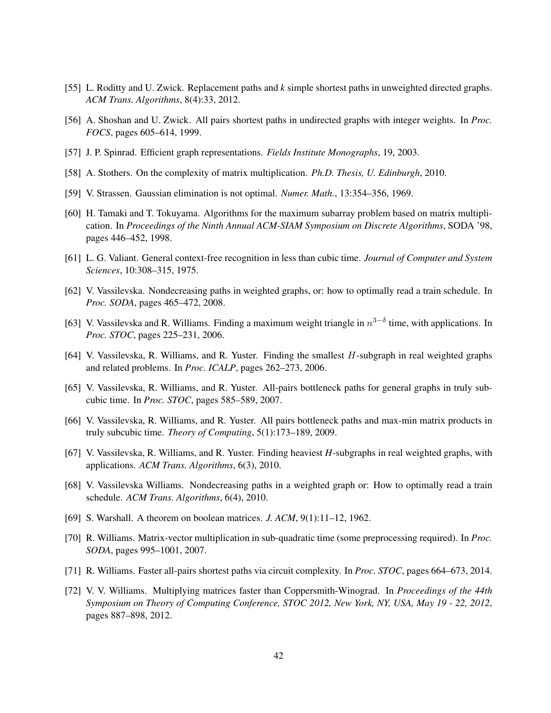- <span id="page-41-2"></span>[55] L. Roditty and U. Zwick. Replacement paths and *k* simple shortest paths in unweighted directed graphs. *ACM Trans. Algorithms*, 8(4):33, 2012.
- <span id="page-41-14"></span>[56] A. Shoshan and U. Zwick. All pairs shortest paths in undirected graphs with integer weights. In *Proc. FOCS*, pages 605–614, 1999.
- <span id="page-41-7"></span>[57] J. P. Spinrad. Efficient graph representations. *Fields Institute Monographs*, 19, 2003.
- <span id="page-41-12"></span>[58] A. Stothers. On the complexity of matrix multiplication. *Ph.D. Thesis, U. Edinburgh*, 2010.
- <span id="page-41-6"></span>[59] V. Strassen. Gaussian elimination is not optimal. *Numer. Math.*, 13:354–356, 1969.
- <span id="page-41-15"></span>[60] H. Tamaki and T. Tokuyama. Algorithms for the maximum subarray problem based on matrix multiplication. In *Proceedings of the Ninth Annual ACM-SIAM Symposium on Discrete Algorithms*, SODA '98, pages 446–452, 1998.
- <span id="page-41-8"></span>[61] L. G. Valiant. General context-free recognition in less than cubic time. *Journal of Computer and System Sciences*, 10:308–315, 1975.
- <span id="page-41-9"></span>[62] V. Vassilevska. Nondecreasing paths in weighted graphs, or: how to optimally read a train schedule. In *Proc. SODA*, pages 465–472, 2008.
- <span id="page-41-3"></span>[63] V. Vassilevska and R. Williams. Finding a maximum weight triangle in  $n^{3-\delta}$  time, with applications. In *Proc. STOC*, pages 225–231, 2006.
- <span id="page-41-4"></span>[64] V. Vassilevska, R. Williams, and R. Yuster. Finding the smallest H-subgraph in real weighted graphs and related problems. In *Proc. ICALP*, pages 262–273, 2006.
- <span id="page-41-17"></span>[65] V. Vassilevska, R. Williams, and R. Yuster. All-pairs bottleneck paths for general graphs in truly subcubic time. In *Proc. STOC*, pages 585–589, 2007.
- <span id="page-41-13"></span>[66] V. Vassilevska, R. Williams, and R. Yuster. All pairs bottleneck paths and max-min matrix products in truly subcubic time. *Theory of Computing*, 5(1):173–189, 2009.
- <span id="page-41-5"></span>[67] V. Vassilevska, R. Williams, and R. Yuster. Finding heaviest *H*-subgraphs in real weighted graphs, with applications. *ACM Trans. Algorithms*, 6(3), 2010.
- <span id="page-41-10"></span>[68] V. Vassilevska Williams. Nondecreasing paths in a weighted graph or: How to optimally read a train schedule. *ACM Trans. Algorithms*, 6(4), 2010.
- <span id="page-41-0"></span>[69] S. Warshall. A theorem on boolean matrices. *J. ACM*, 9(1):11–12, 1962.
- <span id="page-41-16"></span>[70] R. Williams. Matrix-vector multiplication in sub-quadratic time (some preprocessing required). In *Proc. SODA*, pages 995–1001, 2007.
- <span id="page-41-1"></span>[71] R. Williams. Faster all-pairs shortest paths via circuit complexity. In *Proc. STOC*, pages 664–673, 2014.
- <span id="page-41-11"></span>[72] V. V. Williams. Multiplying matrices faster than Coppersmith-Winograd. In *Proceedings of the 44th Symposium on Theory of Computing Conference, STOC 2012, New York, NY, USA, May 19 - 22, 2012*, pages 887–898, 2012.